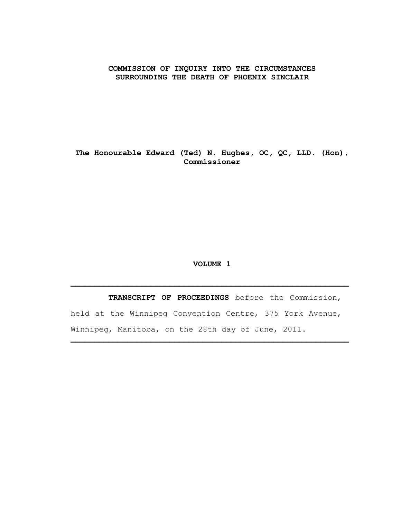#### **COMMISSION OF INQUIRY INTO THE CIRCUMSTANCES SURROUNDING THE DEATH OF PHOENIX SINCLAIR**

**The Honourable Edward (Ted) N. Hughes, OC, QC, LLD. (Hon), Commissioner**

#### **VOLUME 1**

 **TRANSCRIPT OF PROCEEDINGS** before the Commission, held at the Winnipeg Convention Centre, 375 York Avenue, Winnipeg, Manitoba, on the 28th day of June, 2011.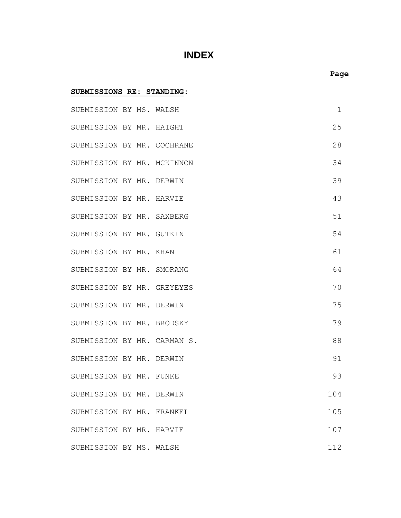# **INDEX**

| SUBMISSIONS RE: STANDING:   |  |  |  |     |
|-----------------------------|--|--|--|-----|
| SUBMISSION BY MS. WALSH     |  |  |  | 1   |
| SUBMISSION BY MR. HAIGHT    |  |  |  | 25  |
| SUBMISSION BY MR. COCHRANE  |  |  |  | 28  |
| SUBMISSION BY MR. MCKINNON  |  |  |  | 34  |
| SUBMISSION BY MR. DERWIN    |  |  |  | 39  |
| SUBMISSION BY MR. HARVIE    |  |  |  | 43  |
| SUBMISSION BY MR. SAXBERG   |  |  |  | 51  |
| SUBMISSION BY MR. GUTKIN    |  |  |  | 54  |
| SUBMISSION BY MR. KHAN      |  |  |  | 61  |
| SUBMISSION BY MR. SMORANG   |  |  |  | 64  |
| SUBMISSION BY MR. GREYEYES  |  |  |  | 70  |
| SUBMISSION BY MR. DERWIN    |  |  |  | 75  |
| SUBMISSION BY MR. BRODSKY   |  |  |  | 79  |
| SUBMISSION BY MR. CARMAN S. |  |  |  | 88  |
| SUBMISSION BY MR. DERWIN    |  |  |  | 91  |
| SUBMISSION BY MR. FUNKE     |  |  |  | 93  |
| SUBMISSION BY MR. DERWIN    |  |  |  | 104 |
| SUBMISSION BY MR. FRANKEL   |  |  |  | 105 |
| SUBMISSION BY MR. HARVIE    |  |  |  | 107 |
| SUBMISSION BY MS. WALSH     |  |  |  | 112 |

## **Page**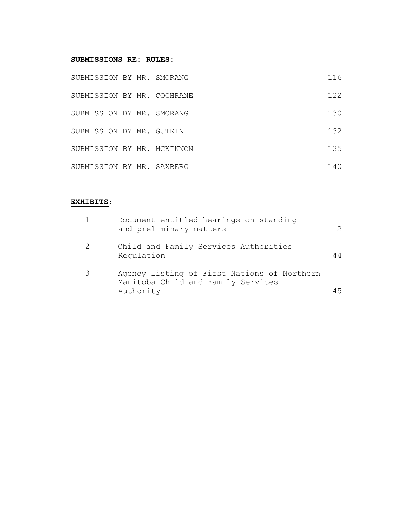#### **SUBMISSIONS RE: RULES:**

| SUBMISSION BY MR. SMORANG  |  | 116 |
|----------------------------|--|-----|
| SUBMISSION BY MR. COCHRANE |  | 122 |
| SUBMISSION BY MR. SMORANG  |  | 130 |
| SUBMISSION BY MR. GUTKIN   |  | 132 |
| SUBMISSION BY MR. MCKINNON |  | 135 |
| SUBMISSION BY MR. SAXBERG  |  | 140 |

## **EXHIBITS**:

|   | Document entitled hearings on standing<br>and preliminary matters                              | 2   |
|---|------------------------------------------------------------------------------------------------|-----|
| 2 | Child and Family Services Authorities<br>Regulation                                            | 44  |
| 3 | Agency listing of First Nations of Northern<br>Manitoba Child and Family Services<br>Authority | 4.5 |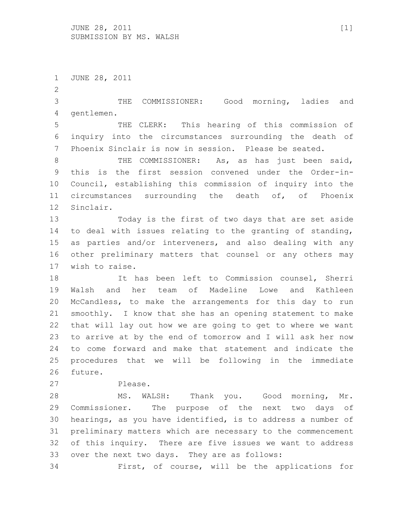$JUNE$  28, 2011 [1] SUBMISSION BY MS. WALSH

 JUNE 28, 2011 THE COMMISSIONER: Good morning, ladies and gentlemen. THE CLERK: This hearing of this commission of inquiry into the circumstances surrounding the death of Phoenix Sinclair is now in session. Please be seated. 8 THE COMMISSIONER: As, as has just been said, this is the first session convened under the Order-in- Council, establishing this commission of inquiry into the circumstances surrounding the death of, of Phoenix Sinclair. Today is the first of two days that are set aside to deal with issues relating to the granting of standing, as parties and/or interveners, and also dealing with any other preliminary matters that counsel or any others may wish to raise. It has been left to Commission counsel, Sherri Walsh and her team of Madeline Lowe and Kathleen McCandless, to make the arrangements for this day to run smoothly. I know that she has an opening statement to make that will lay out how we are going to get to where we want to arrive at by the end of tomorrow and I will ask her now to come forward and make that statement and indicate the procedures that we will be following in the immediate future. Please. MS. WALSH: Thank you. Good morning, Mr. Commissioner. The purpose of the next two days of hearings, as you have identified, is to address a number of preliminary matters which are necessary to the commencement of this inquiry. There are five issues we want to address over the next two days. They are as follows: First, of course, will be the applications for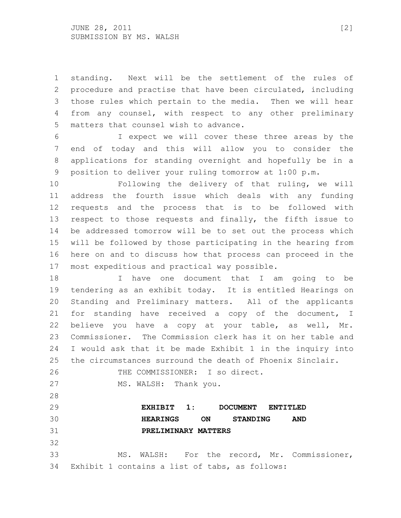standing. Next will be the settlement of the rules of procedure and practise that have been circulated, including those rules which pertain to the media. Then we will hear from any counsel, with respect to any other preliminary matters that counsel wish to advance.

 I expect we will cover these three areas by the end of today and this will allow you to consider the applications for standing overnight and hopefully be in a position to deliver your ruling tomorrow at 1:00 p.m.

 Following the delivery of that ruling, we will address the fourth issue which deals with any funding requests and the process that is to be followed with respect to those requests and finally, the fifth issue to be addressed tomorrow will be to set out the process which will be followed by those participating in the hearing from here on and to discuss how that process can proceed in the most expeditious and practical way possible.

 I have one document that I am going to be tendering as an exhibit today. It is entitled Hearings on Standing and Preliminary matters. All of the applicants for standing have received a copy of the document, I believe you have a copy at your table, as well, Mr. Commissioner. The Commission clerk has it on her table and I would ask that it be made Exhibit 1 in the inquiry into the circumstances surround the death of Phoenix Sinclair.

```
26 THE COMMISSIONER: I so direct.
27 MS. WALSH: Thank you.
```
 **EXHIBIT 1: DOCUMENT ENTITLED HEARINGS ON STANDING AND PRELIMINARY MATTERS**

 MS. WALSH: For the record, Mr. Commissioner, Exhibit 1 contains a list of tabs, as follows: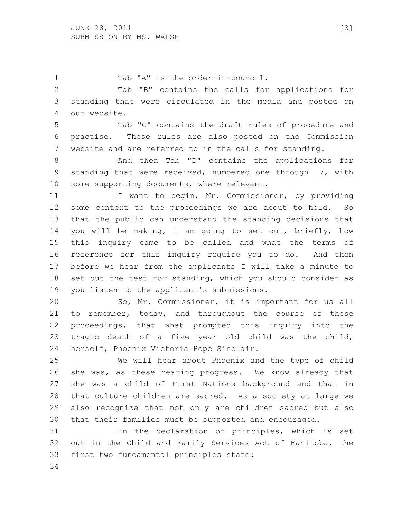1 Tab "A" is the order-in-council.

 Tab "B" contains the calls for applications for standing that were circulated in the media and posted on our website.

 Tab "C" contains the draft rules of procedure and practise. Those rules are also posted on the Commission website and are referred to in the calls for standing.

 And then Tab "D" contains the applications for standing that were received, numbered one through 17, with 10 some supporting documents, where relevant.

11 I want to begin, Mr. Commissioner, by providing some context to the proceedings we are about to hold. So that the public can understand the standing decisions that you will be making, I am going to set out, briefly, how this inquiry came to be called and what the terms of reference for this inquiry require you to do. And then before we hear from the applicants I will take a minute to 18 set out the test for standing, which you should consider as you listen to the applicant's submissions.

 So, Mr. Commissioner, it is important for us all 21 to remember, today, and throughout the course of these proceedings, that what prompted this inquiry into the tragic death of a five year old child was the child, herself, Phoenix Victoria Hope Sinclair.

 We will hear about Phoenix and the type of child she was, as these hearing progress. We know already that she was a child of First Nations background and that in that culture children are sacred. As a society at large we also recognize that not only are children sacred but also that their families must be supported and encouraged.

 In the declaration of principles, which is set out in the Child and Family Services Act of Manitoba, the first two fundamental principles state: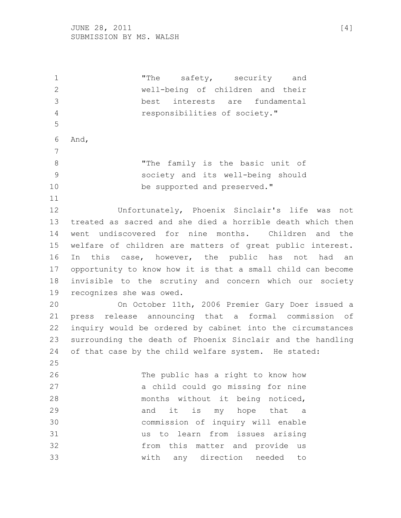1 The safety, security and well-being of children and their best interests are fundamental responsibilities of society." And, "The family is the basic unit of society and its well-being should 10 be supported and preserved." Unfortunately, Phoenix Sinclair's life was not treated as sacred and she died a horrible death which then went undiscovered for nine months. Children and the welfare of children are matters of great public interest. In this case, however, the public has not had an opportunity to know how it is that a small child can become invisible to the scrutiny and concern which our society recognizes she was owed. On October 11th, 2006 Premier Gary Doer issued a press release announcing that a formal commission of inquiry would be ordered by cabinet into the circumstances surrounding the death of Phoenix Sinclair and the handling of that case by the child welfare system. He stated: The public has a right to know how a child could go missing for nine months without it being noticed, 29 and it is my hope that a commission of inquiry will enable us to learn from issues arising from this matter and provide us with any direction needed to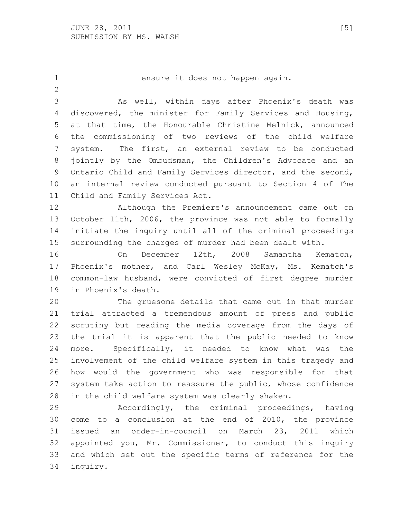ensure it does not happen again. As well, within days after Phoenix's death was discovered, the minister for Family Services and Housing, at that time, the Honourable Christine Melnick, announced the commissioning of two reviews of the child welfare system. The first, an external review to be conducted jointly by the Ombudsman, the Children's Advocate and an Ontario Child and Family Services director, and the second, an internal review conducted pursuant to Section 4 of The Child and Family Services Act. Although the Premiere's announcement came out on October 11th, 2006, the province was not able to formally initiate the inquiry until all of the criminal proceedings surrounding the charges of murder had been dealt with. On December 12th, 2008 Samantha Kematch, Phoenix's mother, and Carl Wesley McKay, Ms. Kematch's common-law husband, were convicted of first degree murder in Phoenix's death. The gruesome details that came out in that murder trial attracted a tremendous amount of press and public scrutiny but reading the media coverage from the days of the trial it is apparent that the public needed to know more. Specifically, it needed to know what was the involvement of the child welfare system in this tragedy and how would the government who was responsible for that system take action to reassure the public, whose confidence in the child welfare system was clearly shaken. Accordingly, the criminal proceedings, having come to a conclusion at the end of 2010, the province issued an order-in-council on March 23, 2011 which appointed you, Mr. Commissioner, to conduct this inquiry and which set out the specific terms of reference for the inquiry.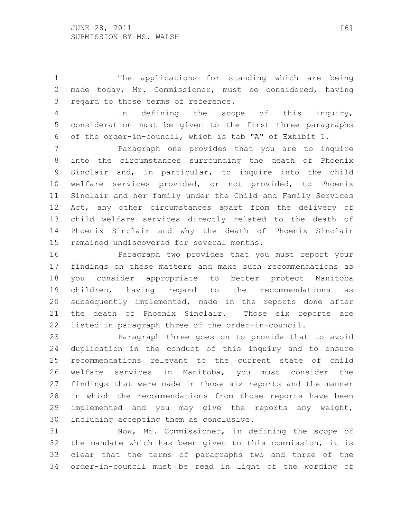The applications for standing which are being made today, Mr. Commissioner, must be considered, having regard to those terms of reference.

 In defining the scope of this inquiry, consideration must be given to the first three paragraphs of the order-in-council, which is tab "A" of Exhibit 1.

 Paragraph one provides that you are to inquire into the circumstances surrounding the death of Phoenix Sinclair and, in particular, to inquire into the child welfare services provided, or not provided, to Phoenix Sinclair and her family under the Child and Family Services Act, any other circumstances apart from the delivery of child welfare services directly related to the death of Phoenix Sinclair and why the death of Phoenix Sinclair remained undiscovered for several months.

 Paragraph two provides that you must report your findings on these matters and make such recommendations as you consider appropriate to better protect Manitoba children, having regard to the recommendations as subsequently implemented, made in the reports done after the death of Phoenix Sinclair. Those six reports are listed in paragraph three of the order-in-council.

 Paragraph three goes on to provide that to avoid duplication in the conduct of this inquiry and to ensure recommendations relevant to the current state of child welfare services in Manitoba, you must consider the findings that were made in those six reports and the manner in which the recommendations from those reports have been implemented and you may give the reports any weight, including accepting them as conclusive.

 Now, Mr. Commissioner, in defining the scope of the mandate which has been given to this commission, it is clear that the terms of paragraphs two and three of the order-in-council must be read in light of the wording of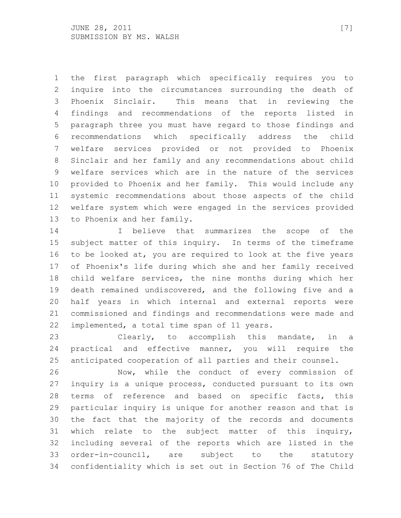the first paragraph which specifically requires you to inquire into the circumstances surrounding the death of Phoenix Sinclair. This means that in reviewing the findings and recommendations of the reports listed in paragraph three you must have regard to those findings and recommendations which specifically address the child welfare services provided or not provided to Phoenix Sinclair and her family and any recommendations about child welfare services which are in the nature of the services provided to Phoenix and her family. This would include any systemic recommendations about those aspects of the child welfare system which were engaged in the services provided to Phoenix and her family.

 I believe that summarizes the scope of the subject matter of this inquiry. In terms of the timeframe to be looked at, you are required to look at the five years of Phoenix's life during which she and her family received child welfare services, the nine months during which her death remained undiscovered, and the following five and a half years in which internal and external reports were commissioned and findings and recommendations were made and implemented, a total time span of 11 years.

 Clearly, to accomplish this mandate, in a practical and effective manner, you will require the anticipated cooperation of all parties and their counsel.

 Now, while the conduct of every commission of inquiry is a unique process, conducted pursuant to its own terms of reference and based on specific facts, this particular inquiry is unique for another reason and that is the fact that the majority of the records and documents which relate to the subject matter of this inquiry, including several of the reports which are listed in the order-in-council, are subject to the statutory confidentiality which is set out in Section 76 of The Child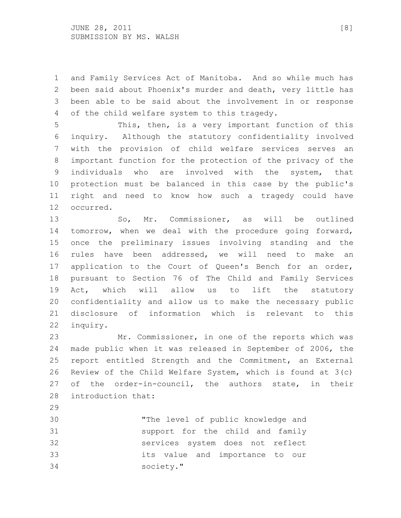and Family Services Act of Manitoba. And so while much has been said about Phoenix's murder and death, very little has been able to be said about the involvement in or response of the child welfare system to this tragedy.

 This, then, is a very important function of this inquiry. Although the statutory confidentiality involved with the provision of child welfare services serves an important function for the protection of the privacy of the individuals who are involved with the system, that protection must be balanced in this case by the public's right and need to know how such a tragedy could have occurred.

 So, Mr. Commissioner, as will be outlined tomorrow, when we deal with the procedure going forward, once the preliminary issues involving standing and the rules have been addressed, we will need to make an application to the Court of Queen's Bench for an order, pursuant to Section 76 of The Child and Family Services Act, which will allow us to lift the statutory confidentiality and allow us to make the necessary public disclosure of information which is relevant to this inquiry.

 Mr. Commissioner, in one of the reports which was made public when it was released in September of 2006, the report entitled Strength and the Commitment, an External Review of the Child Welfare System, which is found at 3(c) of the order-in-council, the authors state, in their introduction that:

 "The level of public knowledge and support for the child and family services system does not reflect its value and importance to our society."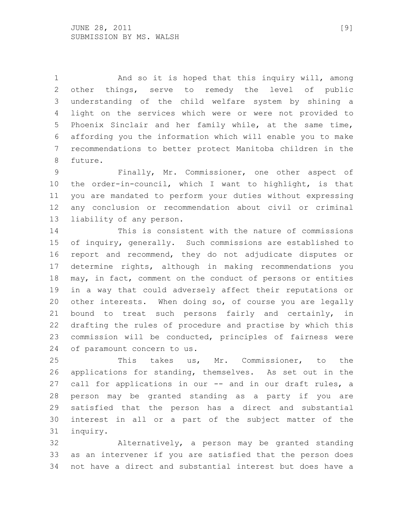And so it is hoped that this inquiry will, among other things, serve to remedy the level of public understanding of the child welfare system by shining a light on the services which were or were not provided to Phoenix Sinclair and her family while, at the same time, affording you the information which will enable you to make recommendations to better protect Manitoba children in the future.

 Finally, Mr. Commissioner, one other aspect of the order-in-council, which I want to highlight, is that you are mandated to perform your duties without expressing any conclusion or recommendation about civil or criminal liability of any person.

 This is consistent with the nature of commissions of inquiry, generally. Such commissions are established to report and recommend, they do not adjudicate disputes or determine rights, although in making recommendations you may, in fact, comment on the conduct of persons or entities in a way that could adversely affect their reputations or other interests. When doing so, of course you are legally bound to treat such persons fairly and certainly, in drafting the rules of procedure and practise by which this commission will be conducted, principles of fairness were of paramount concern to us.

 This takes us, Mr. Commissioner, to the applications for standing, themselves. As set out in the call for applications in our -- and in our draft rules, a person may be granted standing as a party if you are satisfied that the person has a direct and substantial interest in all or a part of the subject matter of the inquiry.

 Alternatively, a person may be granted standing as an intervener if you are satisfied that the person does not have a direct and substantial interest but does have a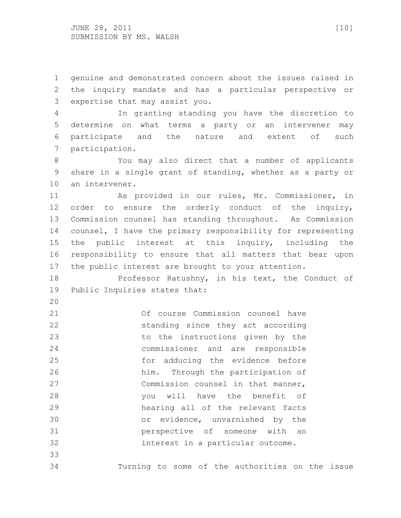genuine and demonstrated concern about the issues raised in the inquiry mandate and has a particular perspective or expertise that may assist you.

 In granting standing you have the discretion to determine on what terms a party or an intervener may participate and the nature and extent of such participation.

 You may also direct that a number of applicants share in a single grant of standing, whether as a party or an intervener.

 As provided in our rules, Mr. Commissioner, in order to ensure the orderly conduct of the inquiry, Commission counsel has standing throughout. As Commission counsel, I have the primary responsibility for representing the public interest at this inquiry, including the responsibility to ensure that all matters that bear upon the public interest are brought to your attention.

 Professor Ratushny, in his text, the Conduct of Public Inquiries states that:

 Of course Commission counsel have standing since they act according to the instructions given by the commissioner and are responsible for adducing the evidence before him. Through the participation of Commission counsel in that manner, you will have the benefit of hearing all of the relevant facts or evidence, unvarnished by the perspective of someone with an interest in a particular outcome. 

Turning to some of the authorities on the issue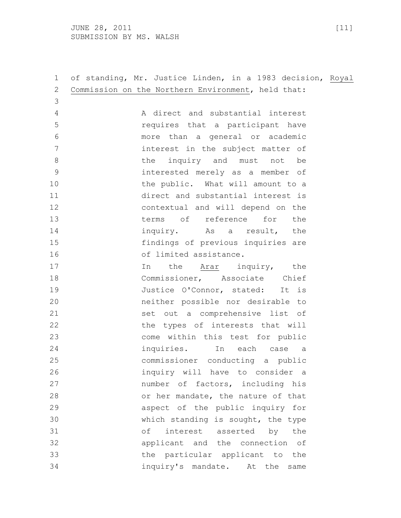JUNE 28, 2011 [11] SUBMISSION BY MS. WALSH

| $\mathbf 1$    | of standing, Mr. Justice Linden, in a 1983 decision, Royal |
|----------------|------------------------------------------------------------|
| $\overline{2}$ | Commission on the Northern Environment, held that:         |
| 3              |                                                            |
| $\overline{4}$ | A direct and substantial interest                          |
| 5              | requires that a participant have                           |
| 6              | more than a general or academic                            |
| 7              | interest in the subject matter of                          |
| $\,8\,$        | the inquiry and must not<br>be                             |
| $\mathcal{G}$  | interested merely as a member of                           |
| 10             | the public. What will amount to a                          |
| 11             | direct and substantial interest is                         |
| 12             | contextual and will depend on the                          |
| 13             | terms of reference for the                                 |
| 14             | inquiry. As a result, the                                  |
| 15             | findings of previous inquiries are                         |
| 16             | of limited assistance.                                     |
| 17             | In<br>the Arar inquiry, the                                |
| 18             | Commissioner, Associate Chief                              |
| 19             | Justice O'Connor, stated: It is                            |
| 20             | neither possible nor desirable to                          |
| 21             | set out a comprehensive list of                            |
| 22             | the types of interests that will                           |
| 23             | come within this test for public                           |
| 24             | inquiries. In each case a                                  |
| 25             | commissioner conducting a public                           |
| 26             | inquiry will have to consider a                            |
| 27             | number of factors, including his                           |
| 28             | or her mandate, the nature of that                         |
| 29             | aspect of the public inquiry for                           |
| 30             | which standing is sought, the type                         |
| 31             | of interest asserted by the                                |
| 32             | applicant and the connection of                            |
| 33             | the particular applicant to the                            |
| 34             | inquiry's mandate. At the same                             |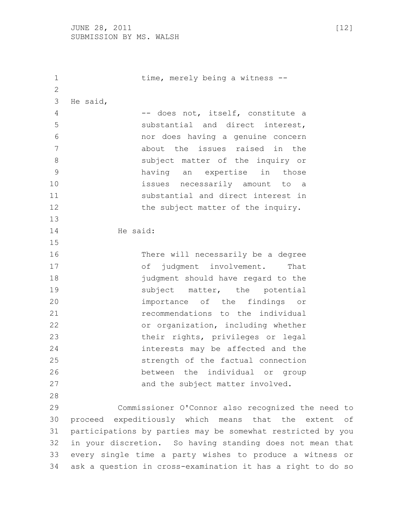1 time, merely being a witness -- He said, 4 -- does not, itself, constitute a substantial and direct interest, nor does having a genuine concern about the issues raised in the subject matter of the inquiry or having an expertise in those issues necessarily amount to a substantial and direct interest in 12 the subject matter of the inquiry. He said: There will necessarily be a degree 17 of judgment involvement. That judgment should have regard to the 19 and subject matter, the potential importance of the findings or recommendations to the individual or organization, including whether their rights, privileges or legal interests may be affected and the strength of the factual connection between the individual or group 27 and the subject matter involved. Commissioner O'Connor also recognized the need to proceed expeditiously which means that the extent of participations by parties may be somewhat restricted by you in your discretion. So having standing does not mean that every single time a party wishes to produce a witness or ask a question in cross-examination it has a right to do so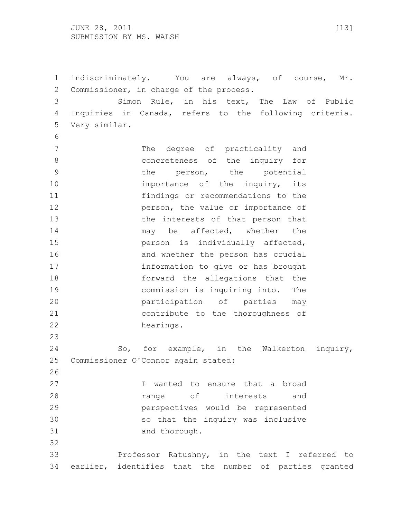JUNE 28, 2011 [13] SUBMISSION BY MS. WALSH

 indiscriminately. You are always, of course, Mr. Commissioner, in charge of the process.

 Simon Rule, in his text, The Law of Public Inquiries in Canada, refers to the following criteria. Very similar.

7 The degree of practicality and concreteness of the inquiry for 9 the person, the potential 10 10 importance of the inquiry, its findings or recommendations to the **person, the value or importance of**  the interests of that person that 14 may be affected, whether the person is individually affected, 16 and whether the person has crucial information to give or has brought forward the allegations that the commission is inquiring into. The participation of parties may contribute to the thoroughness of hearings.

 So, for example, in the Walkerton inquiry, Commissioner O'Connor again stated:

 I wanted to ensure that a broad **range** of interests and perspectives would be represented so that the inquiry was inclusive and thorough. 

 Professor Ratushny, in the text I referred to earlier, identifies that the number of parties granted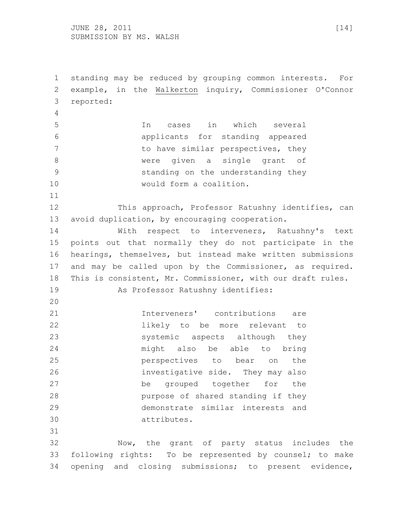$JUNE$  28, 2011 [14] SUBMISSION BY MS. WALSH

 standing may be reduced by grouping common interests. For example, in the Walkerton inquiry, Commissioner O'Connor reported: In cases in which several applicants for standing appeared 7 to have similar perspectives, they were given a single grant of standing on the understanding they would form a coalition. This approach, Professor Ratushny identifies, can avoid duplication, by encouraging cooperation. With respect to interveners, Ratushny's text points out that normally they do not participate in the hearings, themselves, but instead make written submissions and may be called upon by the Commissioner, as required. This is consistent, Mr. Commissioner, with our draft rules. As Professor Ratushny identifies: Interveners' contributions are likely to be more relevant to systemic aspects although they might also be able to bring perspectives to bear on the investigative side. They may also be grouped together for the purpose of shared standing if they demonstrate similar interests and attributes. Now, the grant of party status includes the following rights: To be represented by counsel; to make opening and closing submissions; to present evidence,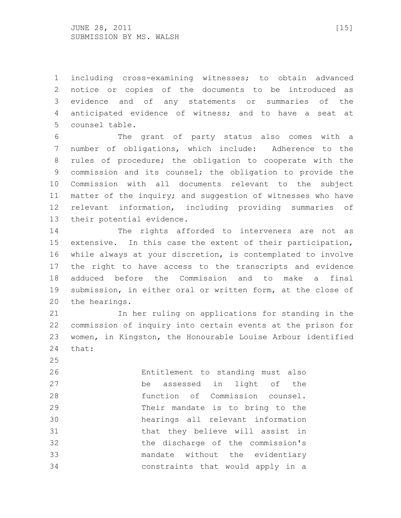including cross-examining witnesses; to obtain advanced notice or copies of the documents to be introduced as evidence and of any statements or summaries of the anticipated evidence of witness; and to have a seat at counsel table.

 The grant of party status also comes with a number of obligations, which include: Adherence to the rules of procedure; the obligation to cooperate with the commission and its counsel; the obligation to provide the Commission with all documents relevant to the subject matter of the inquiry; and suggestion of witnesses who have relevant information, including providing summaries of their potential evidence.

 The rights afforded to interveners are not as extensive. In this case the extent of their participation, while always at your discretion, is contemplated to involve the right to have access to the transcripts and evidence adduced before the Commission and to make a final submission, in either oral or written form, at the close of the hearings.

 In her ruling on applications for standing in the commission of inquiry into certain events at the prison for women, in Kingston, the Honourable Louise Arbour identified that:

 Entitlement to standing must also be assessed in light of the function of Commission counsel. Their mandate is to bring to the hearings all relevant information that they believe will assist in the discharge of the commission's mandate without the evidentiary constraints that would apply in a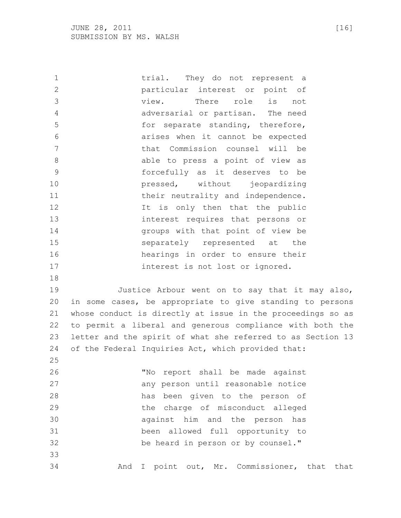1 trial. They do not represent a particular interest or point of view. There role is not adversarial or partisan. The need for separate standing, therefore, arises when it cannot be expected that Commission counsel will be 8 able to press a point of view as forcefully as it deserves to be pressed, without jeopardizing 11 their neutrality and independence. 12 12 It is only then that the public interest requires that persons or groups with that point of view be separately represented at the hearings in order to ensure their 17 interest is not lost or ignored. Justice Arbour went on to say that it may also, in some cases, be appropriate to give standing to persons whose conduct is directly at issue in the proceedings so as to permit a liberal and generous compliance with both the letter and the spirit of what she referred to as Section 13 of the Federal Inquiries Act, which provided that: "No report shall be made against any person until reasonable notice has been given to the person of the charge of misconduct alleged against him and the person has been allowed full opportunity to be heard in person or by counsel." And I point out, Mr. Commissioner, that that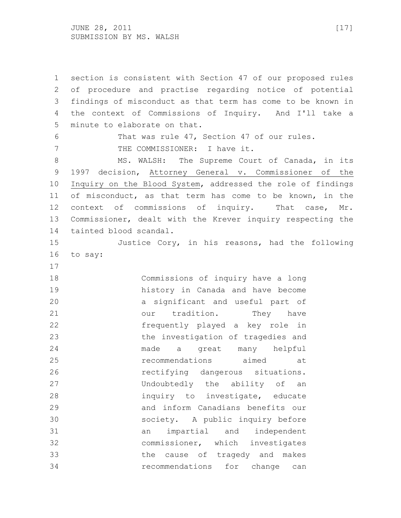JUNE 28, 2011 [17] SUBMISSION BY MS. WALSH

 section is consistent with Section 47 of our proposed rules of procedure and practise regarding notice of potential findings of misconduct as that term has come to be known in the context of Commissions of Inquiry. And I'll take a minute to elaborate on that. That was rule 47, Section 47 of our rules. 7 THE COMMISSIONER: I have it. 8 MS. WALSH: The Supreme Court of Canada, in its 1997 decision, Attorney General v. Commissioner of the Inquiry on the Blood System, addressed the role of findings of misconduct, as that term has come to be known, in the context of commissions of inquiry. That case, Mr. Commissioner, dealt with the Krever inquiry respecting the tainted blood scandal. Justice Cory, in his reasons, had the following to say: Commissions of inquiry have a long history in Canada and have become a significant and useful part of 21 our tradition. They have frequently played a key role in the investigation of tragedies and made a great many helpful recommendations aimed at rectifying dangerous situations. Undoubtedly the ability of an inquiry to investigate, educate and inform Canadians benefits our society. A public inquiry before an impartial and independent commissioner, which investigates the cause of tragedy and makes recommendations for change can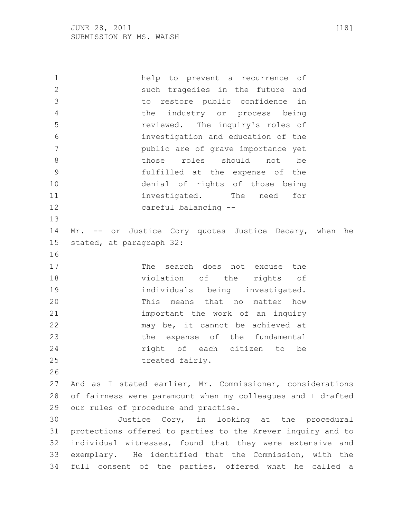help to prevent a recurrence of such tragedies in the future and to restore public confidence in the industry or process being reviewed. The inquiry's roles of investigation and education of the public are of grave importance yet 8 bhose roles should not be fulfilled at the expense of the denial of rights of those being 11 investigated. The need for careful balancing -- 14 Mr. -- or Justice Cory quotes Justice Decary, when he stated, at paragraph 32: 17 The search does not excuse the violation of the rights of individuals being investigated. This means that no matter how important the work of an inquiry may be, it cannot be achieved at the expense of the fundamental right of each citizen to be 25 treated fairly. And as I stated earlier, Mr. Commissioner, considerations of fairness were paramount when my colleagues and I drafted our rules of procedure and practise. Justice Cory, in looking at the procedural protections offered to parties to the Krever inquiry and to individual witnesses, found that they were extensive and exemplary. He identified that the Commission, with the full consent of the parties, offered what he called a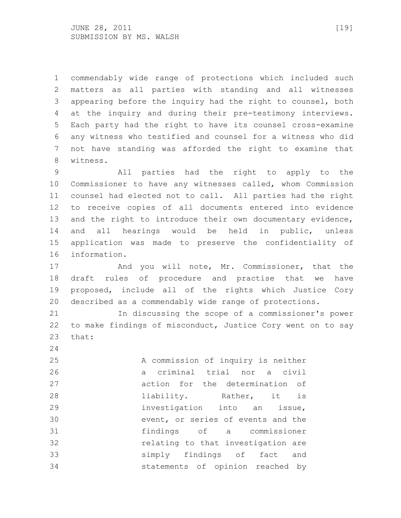commendably wide range of protections which included such matters as all parties with standing and all witnesses appearing before the inquiry had the right to counsel, both at the inquiry and during their pre-testimony interviews. Each party had the right to have its counsel cross-examine any witness who testified and counsel for a witness who did not have standing was afforded the right to examine that witness.

 All parties had the right to apply to the Commissioner to have any witnesses called, whom Commission counsel had elected not to call. All parties had the right to receive copies of all documents entered into evidence 13 and the right to introduce their own documentary evidence, and all hearings would be held in public, unless application was made to preserve the confidentiality of information.

17 And you will note, Mr. Commissioner, that the draft rules of procedure and practise that we have proposed, include all of the rights which Justice Cory described as a commendably wide range of protections.

 In discussing the scope of a commissioner's power to make findings of misconduct, Justice Cory went on to say that:

 A commission of inquiry is neither a criminal trial nor a civil action for the determination of **liability.** Rather, it is investigation into an issue, event, or series of events and the findings of a commissioner relating to that investigation are simply findings of fact and statements of opinion reached by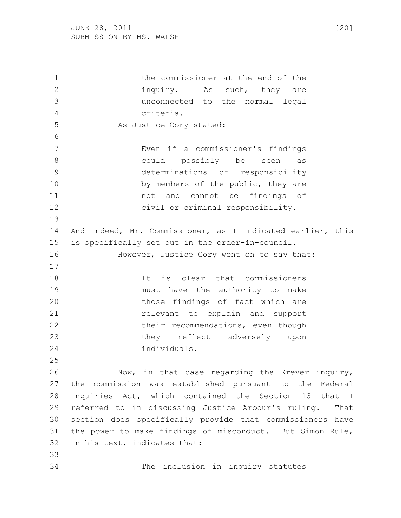the commissioner at the end of the 2 inquiry. As such, they are unconnected to the normal legal criteria. 5 As Justice Cory stated: Even if a commissioner's findings could possibly be seen as determinations of responsibility 10 by members of the public, they are not and cannot be findings of civil or criminal responsibility. And indeed, Mr. Commissioner, as I indicated earlier, this is specifically set out in the order-in-council. **However, Justice Cory went on to say that:**  It is clear that commissioners must have the authority to make 20 those findings of fact which are relevant to explain and support 22 their recommendations, even though they reflect adversely upon individuals. Now, in that case regarding the Krever inquiry, the commission was established pursuant to the Federal Inquiries Act, which contained the Section 13 that I referred to in discussing Justice Arbour's ruling. That section does specifically provide that commissioners have the power to make findings of misconduct. But Simon Rule, in his text, indicates that: The inclusion in inquiry statutes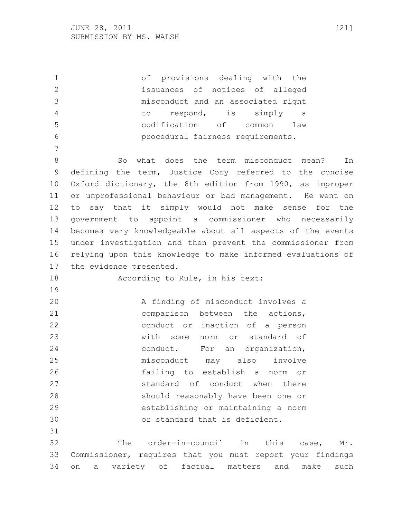of provisions dealing with the issuances of notices of alleged misconduct and an associated right to respond, is simply a codification of common law procedural fairness requirements. 8 So what does the term misconduct mean? In defining the term, Justice Cory referred to the concise Oxford dictionary, the 8th edition from 1990, as improper or unprofessional behaviour or bad management. He went on to say that it simply would not make sense for the government to appoint a commissioner who necessarily becomes very knowledgeable about all aspects of the events under investigation and then prevent the commissioner from relying upon this knowledge to make informed evaluations of the evidence presented. According to Rule, in his text: A finding of misconduct involves a comparison between the actions, conduct or inaction of a person with some norm or standard of conduct. For an organization, misconduct may also involve failing to establish a norm or standard of conduct when there should reasonably have been one or establishing or maintaining a norm or standard that is deficient. The order-in-council in this case, Mr. Commissioner, requires that you must report your findings on a variety of factual matters and make such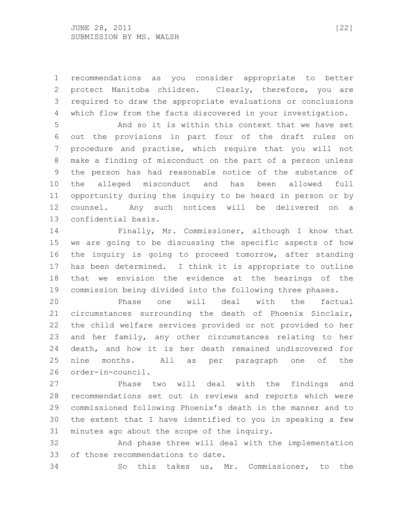recommendations as you consider appropriate to better protect Manitoba children. Clearly, therefore, you are required to draw the appropriate evaluations or conclusions which flow from the facts discovered in your investigation.

 And so it is within this context that we have set out the provisions in part four of the draft rules on procedure and practise, which require that you will not make a finding of misconduct on the part of a person unless the person has had reasonable notice of the substance of the alleged misconduct and has been allowed full opportunity during the inquiry to be heard in person or by counsel. Any such notices will be delivered on a confidential basis.

 Finally, Mr. Commissioner, although I know that we are going to be discussing the specific aspects of how the inquiry is going to proceed tomorrow, after standing has been determined. I think it is appropriate to outline that we envision the evidence at the hearings of the commission being divided into the following three phases.

 Phase one will deal with the factual circumstances surrounding the death of Phoenix Sinclair, the child welfare services provided or not provided to her and her family, any other circumstances relating to her death, and how it is her death remained undiscovered for nine months. All as per paragraph one of the order-in-council.

 Phase two will deal with the findings and recommendations set out in reviews and reports which were commissioned following Phoenix's death in the manner and to the extent that I have identified to you in speaking a few minutes ago about the scope of the inquiry.

 And phase three will deal with the implementation of those recommendations to date.

So this takes us, Mr. Commissioner, to the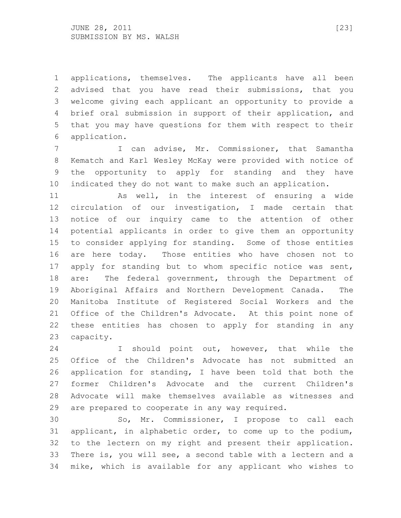applications, themselves. The applicants have all been advised that you have read their submissions, that you welcome giving each applicant an opportunity to provide a brief oral submission in support of their application, and that you may have questions for them with respect to their application.

 I can advise, Mr. Commissioner, that Samantha Kematch and Karl Wesley McKay were provided with notice of the opportunity to apply for standing and they have indicated they do not want to make such an application.

 As well, in the interest of ensuring a wide circulation of our investigation, I made certain that notice of our inquiry came to the attention of other potential applicants in order to give them an opportunity to consider applying for standing. Some of those entities are here today. Those entities who have chosen not to apply for standing but to whom specific notice was sent, 18 are: The federal government, through the Department of Aboriginal Affairs and Northern Development Canada. The Manitoba Institute of Registered Social Workers and the Office of the Children's Advocate. At this point none of these entities has chosen to apply for standing in any capacity.

 I should point out, however, that while the Office of the Children's Advocate has not submitted an application for standing, I have been told that both the former Children's Advocate and the current Children's Advocate will make themselves available as witnesses and are prepared to cooperate in any way required.

 So, Mr. Commissioner, I propose to call each applicant, in alphabetic order, to come up to the podium, to the lectern on my right and present their application. There is, you will see, a second table with a lectern and a mike, which is available for any applicant who wishes to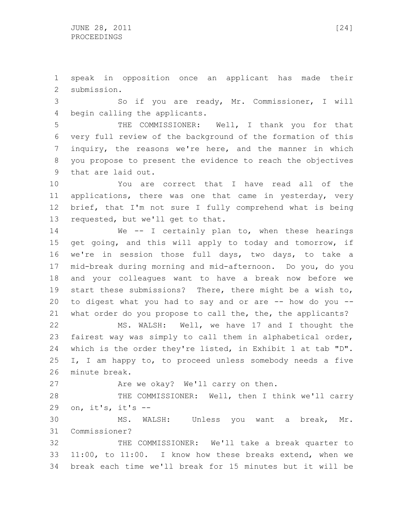speak in opposition once an applicant has made their submission.

 So if you are ready, Mr. Commissioner, I will begin calling the applicants.

 THE COMMISSIONER: Well, I thank you for that very full review of the background of the formation of this inquiry, the reasons we're here, and the manner in which you propose to present the evidence to reach the objectives that are laid out.

 You are correct that I have read all of the applications, there was one that came in yesterday, very brief, that I'm not sure I fully comprehend what is being requested, but we'll get to that.

14 We -- I certainly plan to, when these hearings get going, and this will apply to today and tomorrow, if we're in session those full days, two days, to take a mid-break during morning and mid-afternoon. Do you, do you and your colleagues want to have a break now before we start these submissions? There, there might be a wish to, 20 to digest what you had to say and or are  $-$ - how do you  $-$ -what order do you propose to call the, the, the applicants?

 MS. WALSH: Well, we have 17 and I thought the fairest way was simply to call them in alphabetical order, which is the order they're listed, in Exhibit 1 at tab "D". I, I am happy to, to proceed unless somebody needs a five minute break.

27 Are we okay? We'll carry on then.

28 THE COMMISSIONER: Well, then I think we'll carry on, it's, it's --

 MS. WALSH: Unless you want a break, Mr. Commissioner?

 THE COMMISSIONER: We'll take a break quarter to 11:00, to 11:00. I know how these breaks extend, when we break each time we'll break for 15 minutes but it will be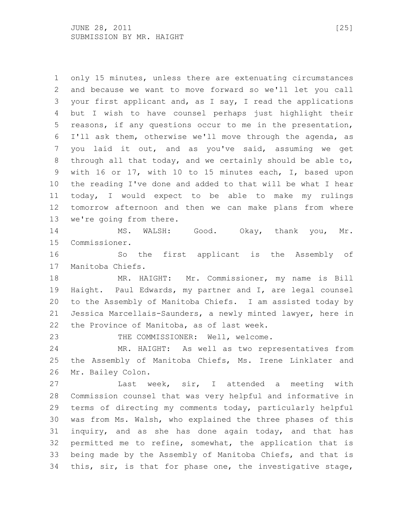only 15 minutes, unless there are extenuating circumstances and because we want to move forward so we'll let you call your first applicant and, as I say, I read the applications but I wish to have counsel perhaps just highlight their reasons, if any questions occur to me in the presentation, I'll ask them, otherwise we'll move through the agenda, as you laid it out, and as you've said, assuming we get through all that today, and we certainly should be able to, with 16 or 17, with 10 to 15 minutes each, I, based upon the reading I've done and added to that will be what I hear today, I would expect to be able to make my rulings tomorrow afternoon and then we can make plans from where we're going from there. MS. WALSH: Good. Okay, thank you, Mr. Commissioner.

 So the first applicant is the Assembly of Manitoba Chiefs.

 MR. HAIGHT: Mr. Commissioner, my name is Bill Haight. Paul Edwards, my partner and I, are legal counsel to the Assembly of Manitoba Chiefs. I am assisted today by Jessica Marcellais-Saunders, a newly minted lawyer, here in the Province of Manitoba, as of last week.

23 THE COMMISSIONER: Well, welcome.

 MR. HAIGHT: As well as two representatives from the Assembly of Manitoba Chiefs, Ms. Irene Linklater and Mr. Bailey Colon.

 Last week, sir, I attended a meeting with Commission counsel that was very helpful and informative in terms of directing my comments today, particularly helpful was from Ms. Walsh, who explained the three phases of this inquiry, and as she has done again today, and that has permitted me to refine, somewhat, the application that is being made by the Assembly of Manitoba Chiefs, and that is this, sir, is that for phase one, the investigative stage,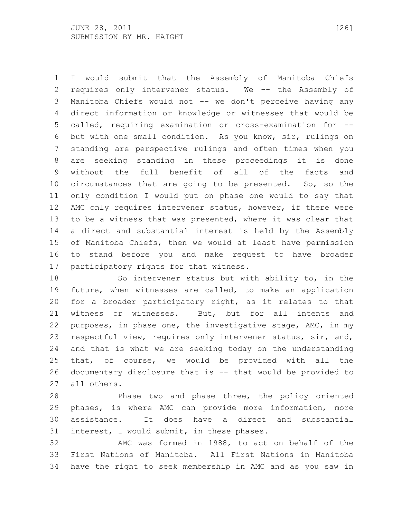I would submit that the Assembly of Manitoba Chiefs requires only intervener status. We -- the Assembly of Manitoba Chiefs would not -- we don't perceive having any direct information or knowledge or witnesses that would be called, requiring examination or cross-examination for -- but with one small condition. As you know, sir, rulings on standing are perspective rulings and often times when you are seeking standing in these proceedings it is done without the full benefit of all of the facts and circumstances that are going to be presented. So, so the only condition I would put on phase one would to say that AMC only requires intervener status, however, if there were to be a witness that was presented, where it was clear that a direct and substantial interest is held by the Assembly of Manitoba Chiefs, then we would at least have permission to stand before you and make request to have broader participatory rights for that witness.

 So intervener status but with ability to, in the future, when witnesses are called, to make an application for a broader participatory right, as it relates to that witness or witnesses. But, but for all intents and purposes, in phase one, the investigative stage, AMC, in my respectful view, requires only intervener status, sir, and, and that is what we are seeking today on the understanding that, of course, we would be provided with all the documentary disclosure that is -- that would be provided to all others.

 Phase two and phase three, the policy oriented phases, is where AMC can provide more information, more assistance. It does have a direct and substantial interest, I would submit, in these phases.

 AMC was formed in 1988, to act on behalf of the First Nations of Manitoba. All First Nations in Manitoba have the right to seek membership in AMC and as you saw in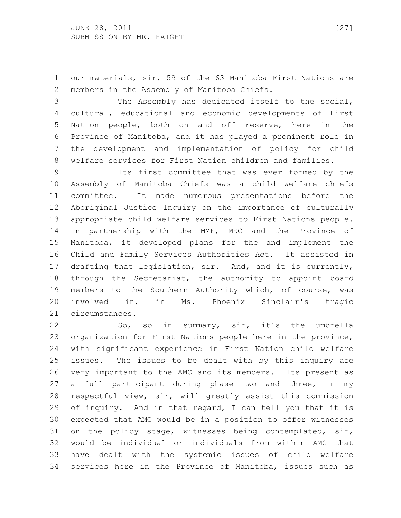our materials, sir, 59 of the 63 Manitoba First Nations are members in the Assembly of Manitoba Chiefs.

 The Assembly has dedicated itself to the social, cultural, educational and economic developments of First Nation people, both on and off reserve, here in the Province of Manitoba, and it has played a prominent role in the development and implementation of policy for child welfare services for First Nation children and families.

 Its first committee that was ever formed by the Assembly of Manitoba Chiefs was a child welfare chiefs committee. It made numerous presentations before the Aboriginal Justice Inquiry on the importance of culturally appropriate child welfare services to First Nations people. In partnership with the MMF, MKO and the Province of Manitoba, it developed plans for the and implement the Child and Family Services Authorities Act. It assisted in drafting that legislation, sir. And, and it is currently, through the Secretariat, the authority to appoint board members to the Southern Authority which, of course, was involved in, in Ms. Phoenix Sinclair's tragic circumstances.

 So, so in summary, sir, it's the umbrella organization for First Nations people here in the province, with significant experience in First Nation child welfare issues. The issues to be dealt with by this inquiry are very important to the AMC and its members. Its present as a full participant during phase two and three, in my respectful view, sir, will greatly assist this commission of inquiry. And in that regard, I can tell you that it is expected that AMC would be in a position to offer witnesses on the policy stage, witnesses being contemplated, sir, would be individual or individuals from within AMC that have dealt with the systemic issues of child welfare services here in the Province of Manitoba, issues such as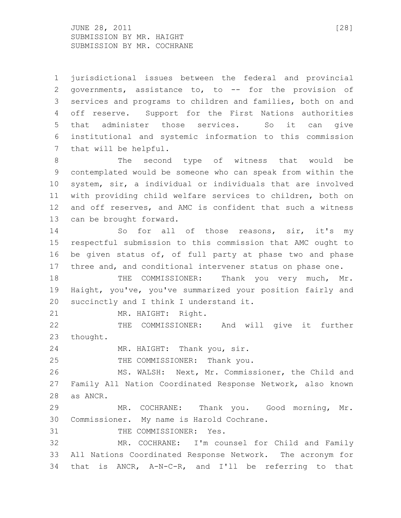$JUNE$  28, 2011 [28] SUBMISSION BY MR. HAIGHT SUBMISSION BY MR. COCHRANE

 jurisdictional issues between the federal and provincial governments, assistance to, to -- for the provision of services and programs to children and families, both on and off reserve. Support for the First Nations authorities that administer those services. So it can give institutional and systemic information to this commission that will be helpful.

 The second type of witness that would be contemplated would be someone who can speak from within the system, sir, a individual or individuals that are involved with providing child welfare services to children, both on and off reserves, and AMC is confident that such a witness can be brought forward.

14 So for all of those reasons, sir, it's my respectful submission to this commission that AMC ought to be given status of, of full party at phase two and phase three and, and conditional intervener status on phase one.

 THE COMMISSIONER: Thank you very much, Mr. Haight, you've, you've summarized your position fairly and succinctly and I think I understand it.

MR. HAIGHT: Right.

 THE COMMISSIONER: And will give it further thought.

MR. HAIGHT: Thank you, sir.

25 THE COMMISSIONER: Thank you.

 MS. WALSH: Next, Mr. Commissioner, the Child and Family All Nation Coordinated Response Network, also known as ANCR.

 MR. COCHRANE: Thank you. Good morning, Mr. Commissioner. My name is Harold Cochrane.

31 THE COMMISSIONER: Yes.

 MR. COCHRANE: I'm counsel for Child and Family All Nations Coordinated Response Network. The acronym for that is ANCR, A-N-C-R, and I'll be referring to that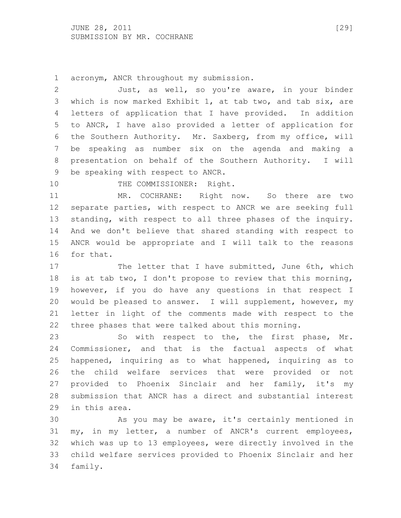acronym, ANCR throughout my submission.

 Just, as well, so you're aware, in your binder which is now marked Exhibit 1, at tab two, and tab six, are letters of application that I have provided. In addition to ANCR, I have also provided a letter of application for the Southern Authority. Mr. Saxberg, from my office, will be speaking as number six on the agenda and making a presentation on behalf of the Southern Authority. I will be speaking with respect to ANCR.

10 THE COMMISSIONER: Right.

 MR. COCHRANE: Right now. So there are two separate parties, with respect to ANCR we are seeking full standing, with respect to all three phases of the inquiry. And we don't believe that shared standing with respect to ANCR would be appropriate and I will talk to the reasons for that.

17 The letter that I have submitted, June 6th, which is at tab two, I don't propose to review that this morning, however, if you do have any questions in that respect I would be pleased to answer. I will supplement, however, my letter in light of the comments made with respect to the three phases that were talked about this morning.

 So with respect to the, the first phase, Mr. Commissioner, and that is the factual aspects of what happened, inquiring as to what happened, inquiring as to the child welfare services that were provided or not provided to Phoenix Sinclair and her family, it's my submission that ANCR has a direct and substantial interest in this area.

 As you may be aware, it's certainly mentioned in my, in my letter, a number of ANCR's current employees, which was up to 13 employees, were directly involved in the child welfare services provided to Phoenix Sinclair and her family.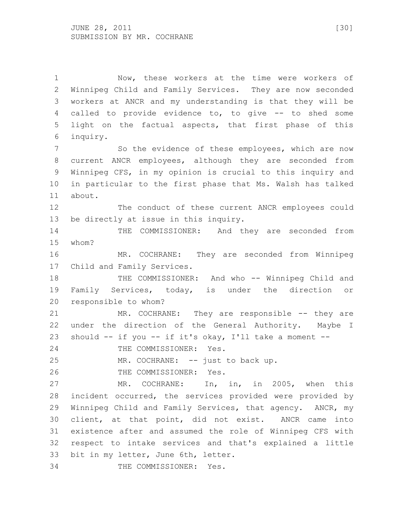Now, these workers at the time were workers of Winnipeg Child and Family Services. They are now seconded workers at ANCR and my understanding is that they will be called to provide evidence to, to give -- to shed some light on the factual aspects, that first phase of this inquiry. 7 So the evidence of these employees, which are now current ANCR employees, although they are seconded from Winnipeg CFS, in my opinion is crucial to this inquiry and in particular to the first phase that Ms. Walsh has talked about. The conduct of these current ANCR employees could be directly at issue in this inquiry. THE COMMISSIONER: And they are seconded from whom? MR. COCHRANE: They are seconded from Winnipeg Child and Family Services. 18 THE COMMISSIONER: And who -- Winnipeg Child and Family Services, today, is under the direction or responsible to whom? MR. COCHRANE: They are responsible -- they are under the direction of the General Authority. Maybe I should -- if you -- if it's okay, I'll take a moment -- 24 THE COMMISSIONER: Yes. MR. COCHRANE: -- just to back up. THE COMMISSIONER: Yes. MR. COCHRANE: In, in, in 2005, when this incident occurred, the services provided were provided by Winnipeg Child and Family Services, that agency. ANCR, my client, at that point, did not exist. ANCR came into existence after and assumed the role of Winnipeg CFS with respect to intake services and that's explained a little bit in my letter, June 6th, letter. THE COMMISSIONER: Yes.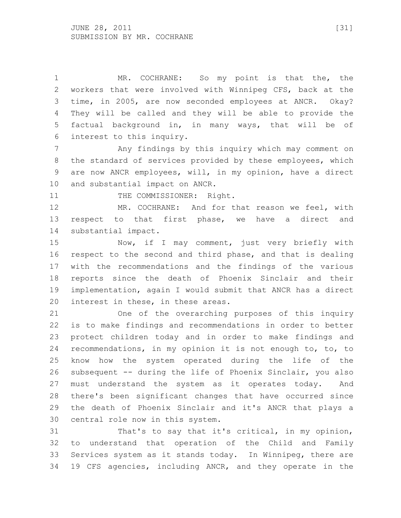MR. COCHRANE: So my point is that the, the workers that were involved with Winnipeg CFS, back at the time, in 2005, are now seconded employees at ANCR. Okay? They will be called and they will be able to provide the factual background in, in many ways, that will be of interest to this inquiry.

 Any findings by this inquiry which may comment on the standard of services provided by these employees, which are now ANCR employees, will, in my opinion, have a direct and substantial impact on ANCR.

11 THE COMMISSIONER: Right.

 MR. COCHRANE: And for that reason we feel, with respect to that first phase, we have a direct and substantial impact.

 Now, if I may comment, just very briefly with respect to the second and third phase, and that is dealing with the recommendations and the findings of the various reports since the death of Phoenix Sinclair and their implementation, again I would submit that ANCR has a direct interest in these, in these areas.

 One of the overarching purposes of this inquiry is to make findings and recommendations in order to better protect children today and in order to make findings and recommendations, in my opinion it is not enough to, to, to know how the system operated during the life of the subsequent -- during the life of Phoenix Sinclair, you also must understand the system as it operates today. And there's been significant changes that have occurred since the death of Phoenix Sinclair and it's ANCR that plays a central role now in this system.

 That's to say that it's critical, in my opinion, to understand that operation of the Child and Family Services system as it stands today. In Winnipeg, there are 19 CFS agencies, including ANCR, and they operate in the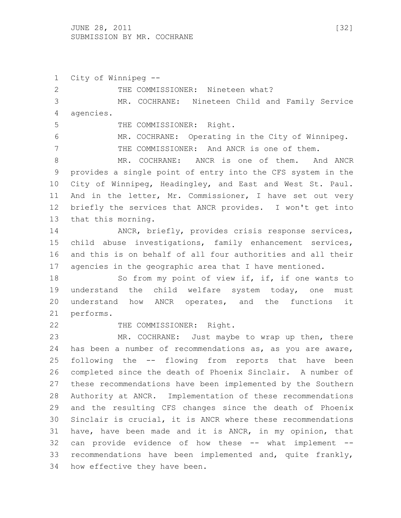City of Winnipeg -- 2 THE COMMISSIONER: Nineteen what? MR. COCHRANE: Nineteen Child and Family Service agencies. 5 THE COMMISSIONER: Right. MR. COCHRANE: Operating in the City of Winnipeg. THE COMMISSIONER: And ANCR is one of them. MR. COCHRANE: ANCR is one of them. And ANCR provides a single point of entry into the CFS system in the City of Winnipeg, Headingley, and East and West St. Paul. And in the letter, Mr. Commissioner, I have set out very briefly the services that ANCR provides. I won't get into that this morning. ANCR, briefly, provides crisis response services, child abuse investigations, family enhancement services, and this is on behalf of all four authorities and all their agencies in the geographic area that I have mentioned. 18 So from my point of view if, if, if one wants to understand the child welfare system today, one must understand how ANCR operates, and the functions it performs. 22 THE COMMISSIONER: Right. MR. COCHRANE: Just maybe to wrap up then, there has been a number of recommendations as, as you are aware, following the -- flowing from reports that have been completed since the death of Phoenix Sinclair. A number of these recommendations have been implemented by the Southern Authority at ANCR. Implementation of these recommendations and the resulting CFS changes since the death of Phoenix Sinclair is crucial, it is ANCR where these recommendations have, have been made and it is ANCR, in my opinion, that

 can provide evidence of how these -- what implement -- recommendations have been implemented and, quite frankly, how effective they have been.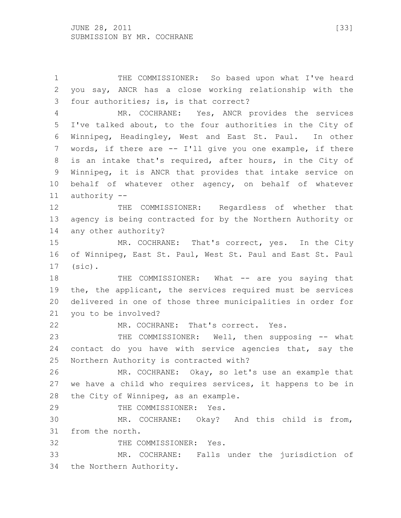THE COMMISSIONER: So based upon what I've heard you say, ANCR has a close working relationship with the four authorities; is, is that correct? MR. COCHRANE: Yes, ANCR provides the services I've talked about, to the four authorities in the City of Winnipeg, Headingley, West and East St. Paul. In other words, if there are -- I'll give you one example, if there is an intake that's required, after hours, in the City of Winnipeg, it is ANCR that provides that intake service on behalf of whatever other agency, on behalf of whatever authority -- THE COMMISSIONER: Regardless of whether that agency is being contracted for by the Northern Authority or any other authority? MR. COCHRANE: That's correct, yes. In the City of Winnipeg, East St. Paul, West St. Paul and East St. Paul (sic). 18 THE COMMISSIONER: What -- are you saying that the, the applicant, the services required must be services delivered in one of those three municipalities in order for you to be involved? MR. COCHRANE: That's correct. Yes. THE COMMISSIONER: Well, then supposing -- what contact do you have with service agencies that, say the Northern Authority is contracted with? MR. COCHRANE: Okay, so let's use an example that we have a child who requires services, it happens to be in the City of Winnipeg, as an example. THE COMMISSIONER: Yes. MR. COCHRANE: Okay? And this child is from, from the north. 32 THE COMMISSIONER: Yes. MR. COCHRANE: Falls under the jurisdiction of the Northern Authority.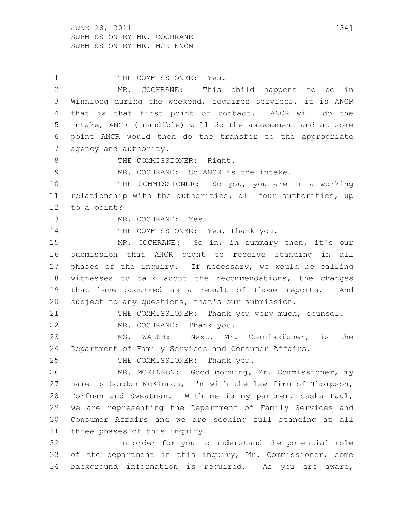$JUNE$  28, 2011 [34] SUBMISSION BY MR. COCHRANE SUBMISSION BY MR. MCKINNON

1 THE COMMISSIONER: Yes. MR. COCHRANE: This child happens to be in Winnipeg during the weekend, requires services, it is ANCR that is that first point of contact. ANCR will do the intake, ANCR (inaudible) will do the assessment and at some point ANCR would then do the transfer to the appropriate agency and authority. 8 THE COMMISSIONER: Right. MR. COCHRANE: So ANCR is the intake. THE COMMISSIONER: So you, you are in a working relationship with the authorities, all four authorities, up to a point? MR. COCHRANE: Yes. 14 THE COMMISSIONER: Yes, thank you. MR. COCHRANE: So in, in summary then, it's our submission that ANCR ought to receive standing in all phases of the inquiry. If necessary, we would be calling witnesses to talk about the recommendations, the changes that have occurred as a result of those reports. And subject to any questions, that's our submission. THE COMMISSIONER: Thank you very much, counsel. MR. COCHRANE: Thank you. MS. WALSH: Next, Mr. Commissioner, is the Department of Family Services and Consumer Affairs. 25 THE COMMISSIONER: Thank you. MR. MCKINNON: Good morning, Mr. Commissioner, my name is Gordon McKinnon, I'm with the law firm of Thompson, Dorfman and Sweatman. With me is my partner, Sasha Paul, we are representing the Department of Family Services and Consumer Affairs and we are seeking full standing at all three phases of this inquiry. In order for you to understand the potential role of the department in this inquiry, Mr. Commissioner, some background information is required. As you are aware,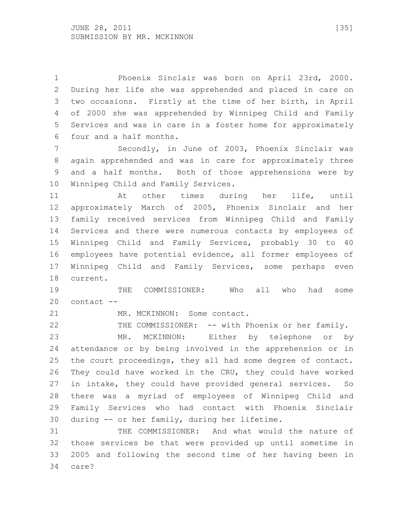Phoenix Sinclair was born on April 23rd, 2000. During her life she was apprehended and placed in care on two occasions. Firstly at the time of her birth, in April of 2000 she was apprehended by Winnipeg Child and Family Services and was in care in a foster home for approximately four and a half months.

 Secondly, in June of 2003, Phoenix Sinclair was again apprehended and was in care for approximately three and a half months. Both of those apprehensions were by Winnipeg Child and Family Services.

 At other times during her life, until approximately March of 2005, Phoenix Sinclair and her family received services from Winnipeg Child and Family Services and there were numerous contacts by employees of Winnipeg Child and Family Services, probably 30 to 40 employees have potential evidence, all former employees of Winnipeg Child and Family Services, some perhaps even current.

 THE COMMISSIONER: Who all who had some contact --

21 MR. MCKINNON: Some contact.

THE COMMISSIONER: -- with Phoenix or her family.

 MR. MCKINNON: Either by telephone or by attendance or by being involved in the apprehension or in the court proceedings, they all had some degree of contact. They could have worked in the CRU, they could have worked in intake, they could have provided general services. So there was a myriad of employees of Winnipeg Child and Family Services who had contact with Phoenix Sinclair during -- or her family, during her lifetime.

 THE COMMISSIONER: And what would the nature of those services be that were provided up until sometime in 2005 and following the second time of her having been in care?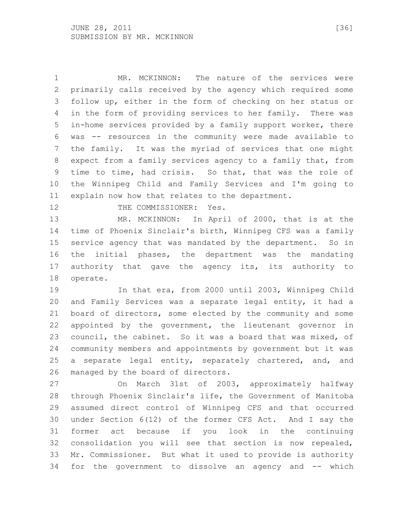MR. MCKINNON: The nature of the services were primarily calls received by the agency which required some follow up, either in the form of checking on her status or in the form of providing services to her family. There was in-home services provided by a family support worker, there was -- resources in the community were made available to the family. It was the myriad of services that one might expect from a family services agency to a family that, from time to time, had crisis. So that, that was the role of the Winnipeg Child and Family Services and I'm going to explain now how that relates to the department.

12 THE COMMISSIONER: Yes.

 MR. MCKINNON: In April of 2000, that is at the time of Phoenix Sinclair's birth, Winnipeg CFS was a family service agency that was mandated by the department. So in the initial phases, the department was the mandating authority that gave the agency its, its authority to operate.

 In that era, from 2000 until 2003, Winnipeg Child and Family Services was a separate legal entity, it had a board of directors, some elected by the community and some appointed by the government, the lieutenant governor in council, the cabinet. So it was a board that was mixed, of community members and appointments by government but it was 25 a separate legal entity, separately chartered, and, and managed by the board of directors.

 On March 31st of 2003, approximately halfway through Phoenix Sinclair's life, the Government of Manitoba assumed direct control of Winnipeg CFS and that occurred under Section 6(12) of the former CFS Act. And I say the former act because if you look in the continuing consolidation you will see that section is now repealed, Mr. Commissioner. But what it used to provide is authority for the government to dissolve an agency and -- which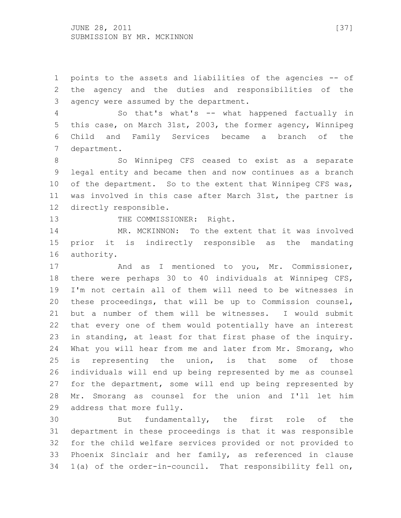points to the assets and liabilities of the agencies -- of the agency and the duties and responsibilities of the agency were assumed by the department.

 So that's what's -- what happened factually in this case, on March 31st, 2003, the former agency, Winnipeg Child and Family Services became a branch of the department.

8 So Winnipeg CFS ceased to exist as a separate legal entity and became then and now continues as a branch of the department. So to the extent that Winnipeg CFS was, was involved in this case after March 31st, the partner is directly responsible.

13 THE COMMISSIONER: Right.

 MR. MCKINNON: To the extent that it was involved prior it is indirectly responsible as the mandating authority.

17 And as I mentioned to you, Mr. Commissioner, there were perhaps 30 to 40 individuals at Winnipeg CFS, I'm not certain all of them will need to be witnesses in these proceedings, that will be up to Commission counsel, but a number of them will be witnesses. I would submit that every one of them would potentially have an interest in standing, at least for that first phase of the inquiry. What you will hear from me and later from Mr. Smorang, who is representing the union, is that some of those individuals will end up being represented by me as counsel for the department, some will end up being represented by Mr. Smorang as counsel for the union and I'll let him address that more fully.

 But fundamentally, the first role of the department in these proceedings is that it was responsible for the child welfare services provided or not provided to Phoenix Sinclair and her family, as referenced in clause 1(a) of the order-in-council. That responsibility fell on,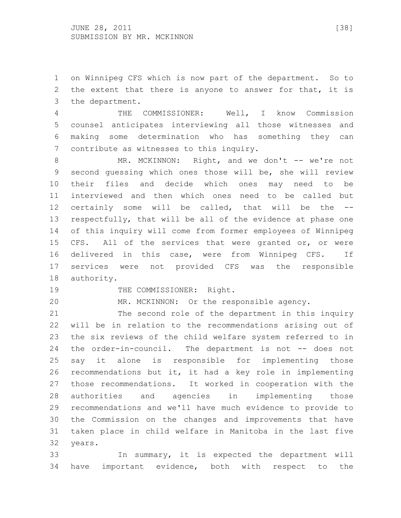on Winnipeg CFS which is now part of the department. So to the extent that there is anyone to answer for that, it is the department.

 THE COMMISSIONER: Well, I know Commission counsel anticipates interviewing all those witnesses and making some determination who has something they can contribute as witnesses to this inquiry.

8 MR. MCKINNON: Right, and we don't -- we're not second guessing which ones those will be, she will review their files and decide which ones may need to be interviewed and then which ones need to be called but certainly some will be called, that will be the -- respectfully, that will be all of the evidence at phase one of this inquiry will come from former employees of Winnipeg CFS. All of the services that were granted or, or were delivered in this case, were from Winnipeg CFS. If services were not provided CFS was the responsible authority.

19 THE COMMISSIONER: Right.

MR. MCKINNON: Or the responsible agency.

 The second role of the department in this inquiry will be in relation to the recommendations arising out of the six reviews of the child welfare system referred to in the order-in-council. The department is not -- does not say it alone is responsible for implementing those recommendations but it, it had a key role in implementing those recommendations. It worked in cooperation with the authorities and agencies in implementing those recommendations and we'll have much evidence to provide to the Commission on the changes and improvements that have taken place in child welfare in Manitoba in the last five years.

 In summary, it is expected the department will have important evidence, both with respect to the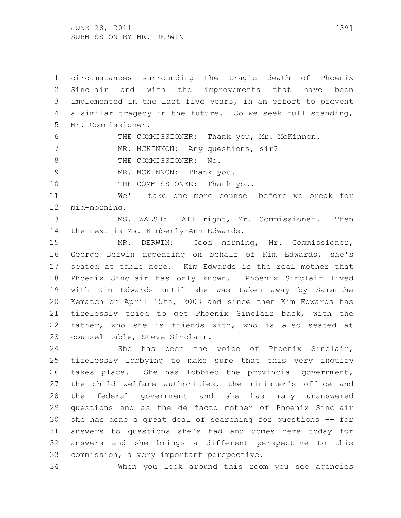JUNE 28, 2011 [39] SUBMISSION BY MR. DERWIN

 circumstances surrounding the tragic death of Phoenix Sinclair and with the improvements that have been implemented in the last five years, in an effort to prevent a similar tragedy in the future. So we seek full standing, Mr. Commissioner. THE COMMISSIONER: Thank you, Mr. McKinnon.

7 MR. MCKINNON: Any questions, sir?

8 THE COMMISSIONER: No.

9 MR. MCKINNON: Thank you.

10 THE COMMISSIONER: Thank you.

 We'll take one more counsel before we break for mid-morning.

 MS. WALSH: All right, Mr. Commissioner. Then the next is Ms. Kimberly-Ann Edwards.

 MR. DERWIN: Good morning, Mr. Commissioner, George Derwin appearing on behalf of Kim Edwards, she's seated at table here. Kim Edwards is the real mother that Phoenix Sinclair has only known. Phoenix Sinclair lived with Kim Edwards until she was taken away by Samantha Kematch on April 15th, 2003 and since then Kim Edwards has tirelessly tried to get Phoenix Sinclair back, with the father, who she is friends with, who is also seated at counsel table, Steve Sinclair.

 She has been the voice of Phoenix Sinclair, tirelessly lobbying to make sure that this very inquiry takes place. She has lobbied the provincial government, the child welfare authorities, the minister's office and the federal government and she has many unanswered questions and as the de facto mother of Phoenix Sinclair she has done a great deal of searching for questions -- for answers to questions she's had and comes here today for answers and she brings a different perspective to this commission, a very important perspective.

When you look around this room you see agencies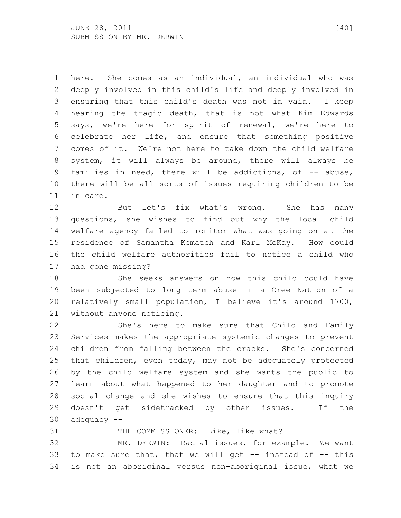here. She comes as an individual, an individual who was deeply involved in this child's life and deeply involved in ensuring that this child's death was not in vain. I keep hearing the tragic death, that is not what Kim Edwards says, we're here for spirit of renewal, we're here to celebrate her life, and ensure that something positive comes of it. We're not here to take down the child welfare system, it will always be around, there will always be families in need, there will be addictions, of -- abuse, there will be all sorts of issues requiring children to be in care.

 But let's fix what's wrong. She has many questions, she wishes to find out why the local child welfare agency failed to monitor what was going on at the residence of Samantha Kematch and Karl McKay. How could the child welfare authorities fail to notice a child who had gone missing?

 She seeks answers on how this child could have been subjected to long term abuse in a Cree Nation of a relatively small population, I believe it's around 1700, without anyone noticing.

 She's here to make sure that Child and Family Services makes the appropriate systemic changes to prevent children from falling between the cracks. She's concerned that children, even today, may not be adequately protected by the child welfare system and she wants the public to learn about what happened to her daughter and to promote social change and she wishes to ensure that this inquiry doesn't get sidetracked by other issues. If the adequacy --

31 THE COMMISSIONER: Like, like what?

 MR. DERWIN: Racial issues, for example. We want 33 to make sure that, that we will get  $-$  instead of  $-$  this is not an aboriginal versus non-aboriginal issue, what we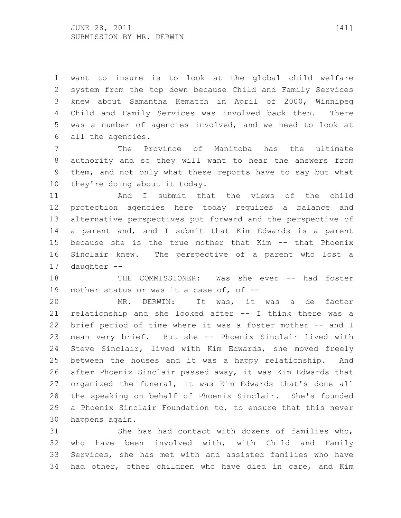want to insure is to look at the global child welfare system from the top down because Child and Family Services knew about Samantha Kematch in April of 2000, Winnipeg Child and Family Services was involved back then. There was a number of agencies involved, and we need to look at all the agencies.

 The Province of Manitoba has the ultimate authority and so they will want to hear the answers from them, and not only what these reports have to say but what they're doing about it today.

 And I submit that the views of the child protection agencies here today requires a balance and alternative perspectives put forward and the perspective of a parent and, and I submit that Kim Edwards is a parent because she is the true mother that Kim -- that Phoenix Sinclair knew. The perspective of a parent who lost a daughter --

 THE COMMISSIONER: Was she ever -- had foster mother status or was it a case of, of --

 MR. DERWIN: It was, it was a de factor relationship and she looked after -- I think there was a brief period of time where it was a foster mother -- and I mean very brief. But she -- Phoenix Sinclair lived with Steve Sinclair, lived with Kim Edwards, she moved freely between the houses and it was a happy relationship. And after Phoenix Sinclair passed away, it was Kim Edwards that organized the funeral, it was Kim Edwards that's done all the speaking on behalf of Phoenix Sinclair. She's founded a Phoenix Sinclair Foundation to, to ensure that this never happens again.

 She has had contact with dozens of families who, who have been involved with, with Child and Family Services, she has met with and assisted families who have had other, other children who have died in care, and Kim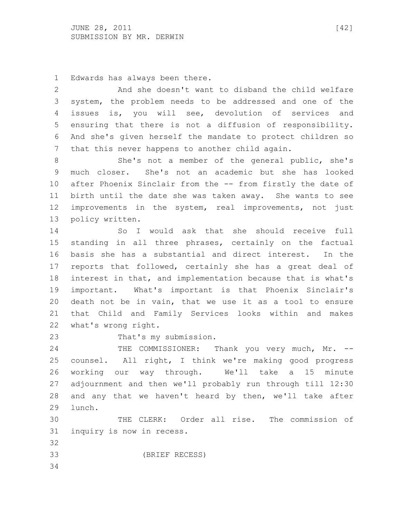Edwards has always been there.

 And she doesn't want to disband the child welfare system, the problem needs to be addressed and one of the issues is, you will see, devolution of services and ensuring that there is not a diffusion of responsibility. And she's given herself the mandate to protect children so that this never happens to another child again.

 She's not a member of the general public, she's much closer. She's not an academic but she has looked after Phoenix Sinclair from the -- from firstly the date of birth until the date she was taken away. She wants to see improvements in the system, real improvements, not just policy written.

 So I would ask that she should receive full standing in all three phrases, certainly on the factual basis she has a substantial and direct interest. In the reports that followed, certainly she has a great deal of interest in that, and implementation because that is what's important. What's important is that Phoenix Sinclair's death not be in vain, that we use it as a tool to ensure that Child and Family Services looks within and makes what's wrong right.

That's my submission.

24 THE COMMISSIONER: Thank you very much, Mr. -- counsel. All right, I think we're making good progress working our way through. We'll take a 15 minute adjournment and then we'll probably run through till 12:30 and any that we haven't heard by then, we'll take after lunch.

 THE CLERK: Order all rise. The commission of inquiry is now in recess.

(BRIEF RECESS)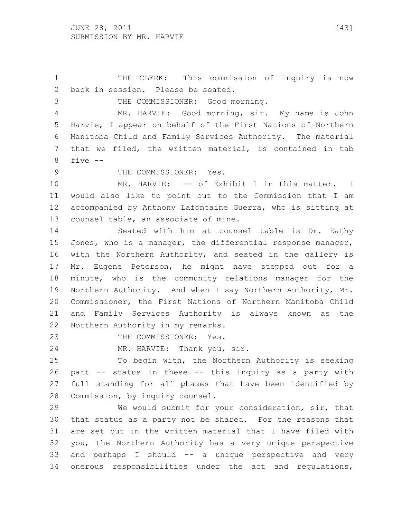THE CLERK: This commission of inquiry is now back in session. Please be seated. THE COMMISSIONER: Good morning. MR. HARVIE: Good morning, sir. My name is John Harvie, I appear on behalf of the First Nations of Northern Manitoba Child and Family Services Authority. The material that we filed, the written material, is contained in tab five -- 9 THE COMMISSIONER: Yes. MR. HARVIE: -- of Exhibit 1 in this matter. I would also like to point out to the Commission that I am accompanied by Anthony Lafontaine Guerra, who is sitting at counsel table, an associate of mine. Seated with him at counsel table is Dr. Kathy 15 Jones, who is a manager, the differential response manager, with the Northern Authority, and seated in the gallery is Mr. Eugene Peterson, he might have stepped out for a minute, who is the community relations manager for the Northern Authority. And when I say Northern Authority, Mr. Commissioner, the First Nations of Northern Manitoba Child and Family Services Authority is always known as the Northern Authority in my remarks. 23 THE COMMISSIONER: Yes. MR. HARVIE: Thank you, sir. To begin with, the Northern Authority is seeking part -- status in these -- this inquiry as a party with full standing for all phases that have been identified by Commission, by inquiry counsel. We would submit for your consideration, sir, that that status as a party not be shared. For the reasons that are set out in the written material that I have filed with you, the Northern Authority has a very unique perspective and perhaps I should -- a unique perspective and very onerous responsibilities under the act and regulations,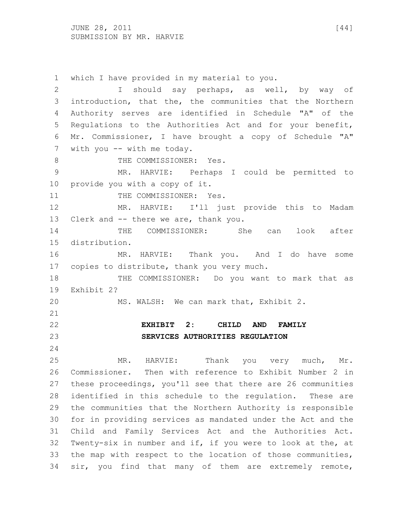$JUNE$  28, 2011 [44] SUBMISSION BY MR. HARVIE

 which I have provided in my material to you. I should say perhaps, as well, by way of introduction, that the, the communities that the Northern Authority serves are identified in Schedule "A" of the Regulations to the Authorities Act and for your benefit, Mr. Commissioner, I have brought a copy of Schedule "A" 7 with you -- with me today. 8 THE COMMISSIONER: Yes. MR. HARVIE: Perhaps I could be permitted to provide you with a copy of it. 11 THE COMMISSIONER: Yes. MR. HARVIE: I'll just provide this to Madam Clerk and -- there we are, thank you. THE COMMISSIONER: She can look after distribution. MR. HARVIE: Thank you. And I do have some copies to distribute, thank you very much. THE COMMISSIONER: Do you want to mark that as Exhibit 2? MS. WALSH: We can mark that, Exhibit 2. **EXHIBIT 2: CHILD AND FAMILY SERVICES AUTHORITIES REGULATION** MR. HARVIE: Thank you very much, Mr. Commissioner. Then with reference to Exhibit Number 2 in these proceedings, you'll see that there are 26 communities identified in this schedule to the regulation. These are the communities that the Northern Authority is responsible for in providing services as mandated under the Act and the Child and Family Services Act and the Authorities Act. Twenty-six in number and if, if you were to look at the, at the map with respect to the location of those communities, sir, you find that many of them are extremely remote,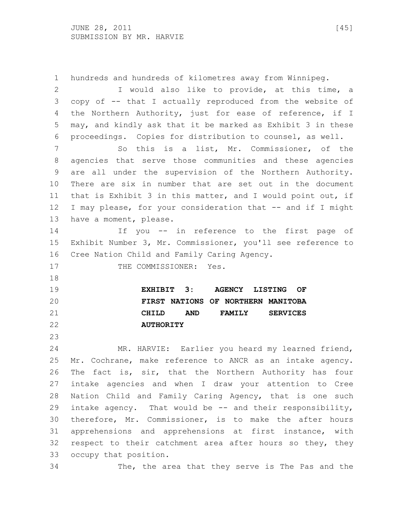hundreds and hundreds of kilometres away from Winnipeg. I would also like to provide, at this time, a copy of -- that I actually reproduced from the website of the Northern Authority, just for ease of reference, if I may, and kindly ask that it be marked as Exhibit 3 in these proceedings. Copies for distribution to counsel, as well. So this is a list, Mr. Commissioner, of the agencies that serve those communities and these agencies are all under the supervision of the Northern Authority. There are six in number that are set out in the document that is Exhibit 3 in this matter, and I would point out, if I may please, for your consideration that -- and if I might have a moment, please. If you -- in reference to the first page of Exhibit Number 3, Mr. Commissioner, you'll see reference to Cree Nation Child and Family Caring Agency. 17 THE COMMISSIONER: Yes. **EXHIBIT 3: AGENCY LISTING OF FIRST NATIONS OF NORTHERN MANITOBA CHILD AND FAMILY SERVICES AUTHORITY** MR. HARVIE: Earlier you heard my learned friend, Mr. Cochrane, make reference to ANCR as an intake agency. The fact is, sir, that the Northern Authority has four intake agencies and when I draw your attention to Cree Nation Child and Family Caring Agency, that is one such intake agency. That would be -- and their responsibility, therefore, Mr. Commissioner, is to make the after hours apprehensions and apprehensions at first instance, with respect to their catchment area after hours so they, they occupy that position. The, the area that they serve is The Pas and the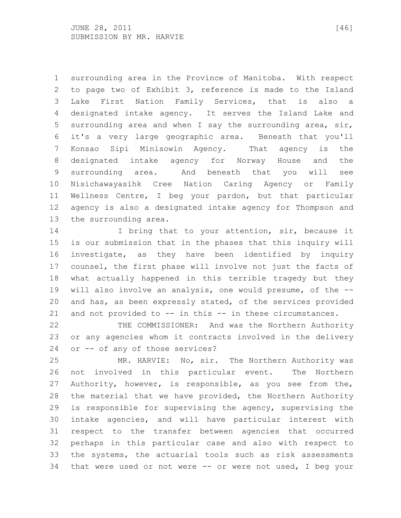surrounding area in the Province of Manitoba. With respect to page two of Exhibit 3, reference is made to the Island Lake First Nation Family Services, that is also a designated intake agency. It serves the Island Lake and surrounding area and when I say the surrounding area, sir, it's a very large geographic area. Beneath that you'll Konsao Sipi Minisowin Agency. That agency is the designated intake agency for Norway House and the surrounding area. And beneath that you will see Nisichawayasihk Cree Nation Caring Agency or Family Wellness Centre, I beg your pardon, but that particular agency is also a designated intake agency for Thompson and the surrounding area.

14 I bring that to your attention, sir, because it is our submission that in the phases that this inquiry will investigate, as they have been identified by inquiry counsel, the first phase will involve not just the facts of what actually happened in this terrible tragedy but they will also involve an analysis, one would presume, of the -- and has, as been expressly stated, of the services provided and not provided to -- in this -- in these circumstances.

22 THE COMMISSIONER: And was the Northern Authority or any agencies whom it contracts involved in the delivery or -- of any of those services?

 MR. HARVIE: No, sir. The Northern Authority was not involved in this particular event. The Northern Authority, however, is responsible, as you see from the, the material that we have provided, the Northern Authority is responsible for supervising the agency, supervising the intake agencies, and will have particular interest with respect to the transfer between agencies that occurred perhaps in this particular case and also with respect to the systems, the actuarial tools such as risk assessments that were used or not were -- or were not used, I beg your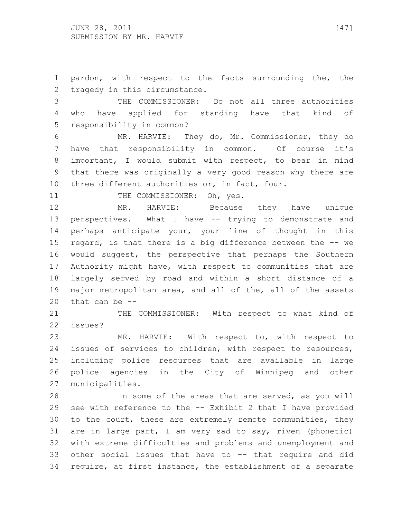pardon, with respect to the facts surrounding the, the tragedy in this circumstance.

 THE COMMISSIONER: Do not all three authorities who have applied for standing have that kind of responsibility in common?

 MR. HARVIE: They do, Mr. Commissioner, they do have that responsibility in common. Of course it's important, I would submit with respect, to bear in mind that there was originally a very good reason why there are three different authorities or, in fact, four.

11 THE COMMISSIONER: Oh, yes.

 MR. HARVIE: Because they have unique perspectives. What I have -- trying to demonstrate and perhaps anticipate your, your line of thought in this regard, is that there is a big difference between the -- we would suggest, the perspective that perhaps the Southern Authority might have, with respect to communities that are largely served by road and within a short distance of a major metropolitan area, and all of the, all of the assets that can be --

21 THE COMMISSIONER: With respect to what kind of issues?

 MR. HARVIE: With respect to, with respect to issues of services to children, with respect to resources, including police resources that are available in large police agencies in the City of Winnipeg and other municipalities.

 In some of the areas that are served, as you will see with reference to the -- Exhibit 2 that I have provided to the court, these are extremely remote communities, they are in large part, I am very sad to say, riven (phonetic) with extreme difficulties and problems and unemployment and other social issues that have to -- that require and did require, at first instance, the establishment of a separate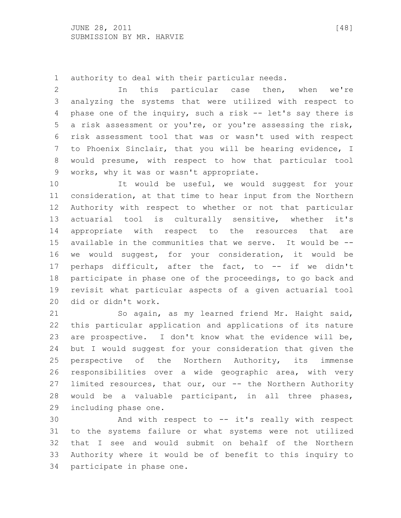authority to deal with their particular needs.

 In this particular case then, when we're analyzing the systems that were utilized with respect to phase one of the inquiry, such a risk -- let's say there is a risk assessment or you're, or you're assessing the risk, risk assessment tool that was or wasn't used with respect to Phoenix Sinclair, that you will be hearing evidence, I would presume, with respect to how that particular tool works, why it was or wasn't appropriate.

 It would be useful, we would suggest for your consideration, at that time to hear input from the Northern Authority with respect to whether or not that particular actuarial tool is culturally sensitive, whether it's appropriate with respect to the resources that are available in the communities that we serve. It would be -- we would suggest, for your consideration, it would be perhaps difficult, after the fact, to -- if we didn't participate in phase one of the proceedings, to go back and revisit what particular aspects of a given actuarial tool did or didn't work.

 So again, as my learned friend Mr. Haight said, this particular application and applications of its nature are prospective. I don't know what the evidence will be, but I would suggest for your consideration that given the perspective of the Northern Authority, its immense responsibilities over a wide geographic area, with very limited resources, that our, our -- the Northern Authority would be a valuable participant, in all three phases, including phase one.

 And with respect to -- it's really with respect to the systems failure or what systems were not utilized that I see and would submit on behalf of the Northern Authority where it would be of benefit to this inquiry to participate in phase one.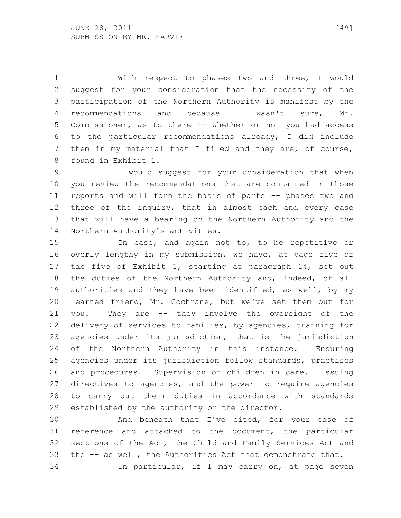With respect to phases two and three, I would suggest for your consideration that the necessity of the participation of the Northern Authority is manifest by the recommendations and because I wasn't sure, Mr. Commissioner, as to there -- whether or not you had access to the particular recommendations already, I did include them in my material that I filed and they are, of course, found in Exhibit 1.

 I would suggest for your consideration that when you review the recommendations that are contained in those reports and will form the basis of parts -- phases two and three of the inquiry, that in almost each and every case that will have a bearing on the Northern Authority and the Northern Authority's activities.

 In case, and again not to, to be repetitive or overly lengthy in my submission, we have, at page five of tab five of Exhibit 1, starting at paragraph 14, set out the duties of the Northern Authority and, indeed, of all authorities and they have been identified, as well, by my learned friend, Mr. Cochrane, but we've set them out for you. They are -- they involve the oversight of the delivery of services to families, by agencies, training for agencies under its jurisdiction, that is the jurisdiction of the Northern Authority in this instance. Ensuring agencies under its jurisdiction follow standards, practises and procedures. Supervision of children in care. Issuing directives to agencies, and the power to require agencies to carry out their duties in accordance with standards established by the authority or the director.

 And beneath that I've cited, for your ease of reference and attached to the document, the particular sections of the Act, the Child and Family Services Act and the -- as well, the Authorities Act that demonstrate that. In particular, if I may carry on, at page seven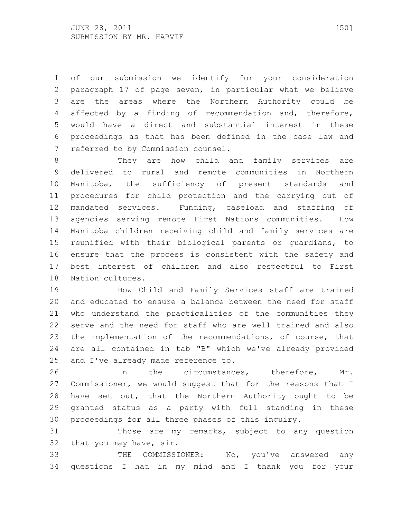of our submission we identify for your consideration paragraph 17 of page seven, in particular what we believe are the areas where the Northern Authority could be affected by a finding of recommendation and, therefore, would have a direct and substantial interest in these proceedings as that has been defined in the case law and referred to by Commission counsel.

 They are how child and family services are delivered to rural and remote communities in Northern Manitoba, the sufficiency of present standards and procedures for child protection and the carrying out of mandated services. Funding, caseload and staffing of agencies serving remote First Nations communities. How Manitoba children receiving child and family services are reunified with their biological parents or guardians, to ensure that the process is consistent with the safety and best interest of children and also respectful to First Nation cultures.

 How Child and Family Services staff are trained and educated to ensure a balance between the need for staff who understand the practicalities of the communities they serve and the need for staff who are well trained and also the implementation of the recommendations, of course, that are all contained in tab "B" which we've already provided and I've already made reference to.

 In the circumstances, therefore, Mr. Commissioner, we would suggest that for the reasons that I have set out, that the Northern Authority ought to be granted status as a party with full standing in these proceedings for all three phases of this inquiry.

 Those are my remarks, subject to any question that you may have, sir.

 THE COMMISSIONER: No, you've answered any questions I had in my mind and I thank you for your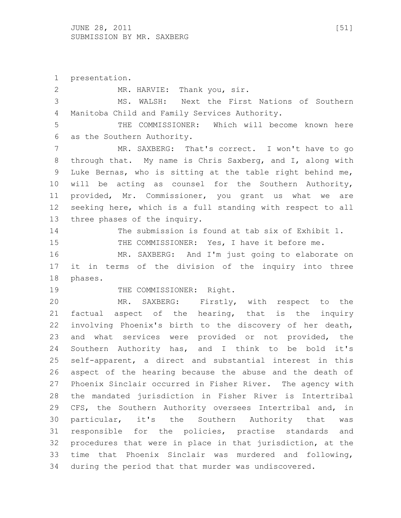presentation.

 MR. HARVIE: Thank you, sir. MS. WALSH: Next the First Nations of Southern Manitoba Child and Family Services Authority. THE COMMISSIONER: Which will become known here as the Southern Authority. 7 MR. SAXBERG: That's correct. I won't have to go through that. My name is Chris Saxberg, and I, along with Luke Bernas, who is sitting at the table right behind me, will be acting as counsel for the Southern Authority, provided, Mr. Commissioner, you grant us what we are seeking here, which is a full standing with respect to all three phases of the inquiry. The submission is found at tab six of Exhibit 1. THE COMMISSIONER: Yes, I have it before me. MR. SAXBERG: And I'm just going to elaborate on it in terms of the division of the inquiry into three phases. 19 THE COMMISSIONER: Right. MR. SAXBERG: Firstly, with respect to the factual aspect of the hearing, that is the inquiry involving Phoenix's birth to the discovery of her death, and what services were provided or not provided, the Southern Authority has, and I think to be bold it's self-apparent, a direct and substantial interest in this aspect of the hearing because the abuse and the death of Phoenix Sinclair occurred in Fisher River. The agency with the mandated jurisdiction in Fisher River is Intertribal CFS, the Southern Authority oversees Intertribal and, in particular, it's the Southern Authority that was responsible for the policies, practise standards and procedures that were in place in that jurisdiction, at the time that Phoenix Sinclair was murdered and following, during the period that that murder was undiscovered.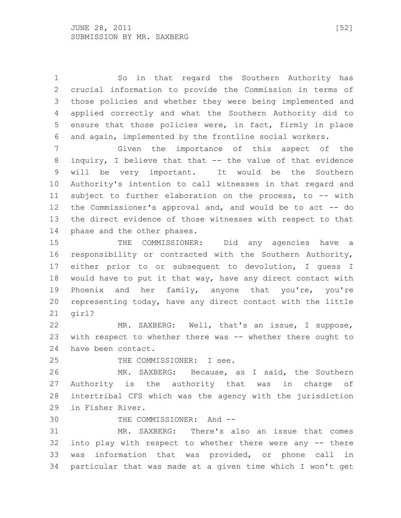So in that regard the Southern Authority has crucial information to provide the Commission in terms of those policies and whether they were being implemented and applied correctly and what the Southern Authority did to ensure that those policies were, in fact, firmly in place and again, implemented by the frontline social workers.

 Given the importance of this aspect of the inquiry, I believe that that -- the value of that evidence will be very important. It would be the Southern Authority's intention to call witnesses in that regard and subject to further elaboration on the process, to -- with the Commissioner's approval and, and would be to act -- do the direct evidence of those witnesses with respect to that phase and the other phases.

 THE COMMISSIONER: Did any agencies have a responsibility or contracted with the Southern Authority, either prior to or subsequent to devolution, I guess I would have to put it that way, have any direct contact with Phoenix and her family, anyone that you're, you're representing today, have any direct contact with the little girl?

 MR. SAXBERG: Well, that's an issue, I suppose, with respect to whether there was -- whether there ought to have been contact.

THE COMMISSIONER: I see.

 MR. SAXBERG: Because, as I said, the Southern Authority is the authority that was in charge of intertribal CFS which was the agency with the jurisdiction in Fisher River.

THE COMMISSIONER: And --

 MR. SAXBERG: There's also an issue that comes into play with respect to whether there were any -- there was information that was provided, or phone call in particular that was made at a given time which I won't get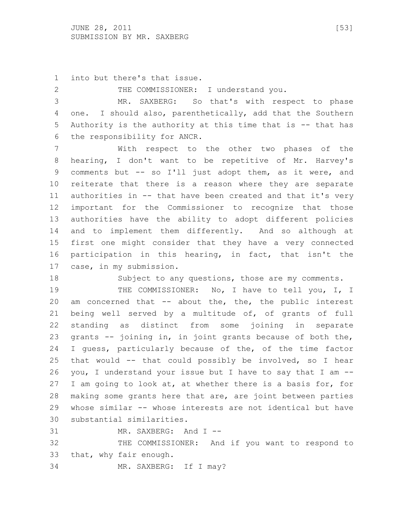into but there's that issue.

2 THE COMMISSIONER: I understand you.

 MR. SAXBERG: So that's with respect to phase 4 one. I should also, parenthetically, add that the Southern Authority is the authority at this time that is -- that has the responsibility for ANCR.

 With respect to the other two phases of the hearing, I don't want to be repetitive of Mr. Harvey's comments but -- so I'll just adopt them, as it were, and reiterate that there is a reason where they are separate authorities in -- that have been created and that it's very important for the Commissioner to recognize that those authorities have the ability to adopt different policies and to implement them differently. And so although at first one might consider that they have a very connected participation in this hearing, in fact, that isn't the case, in my submission.

Subject to any questions, those are my comments.

19 THE COMMISSIONER: No, I have to tell you, I, I am concerned that -- about the, the, the public interest being well served by a multitude of, of grants of full standing as distinct from some joining in separate grants -- joining in, in joint grants because of both the, I guess, particularly because of the, of the time factor that would -- that could possibly be involved, so I hear you, I understand your issue but I have to say that I am -- I am going to look at, at whether there is a basis for, for making some grants here that are, are joint between parties whose similar -- whose interests are not identical but have substantial similarities.

MR. SAXBERG: And I --

 THE COMMISSIONER: And if you want to respond to that, why fair enough.

MR. SAXBERG: If I may?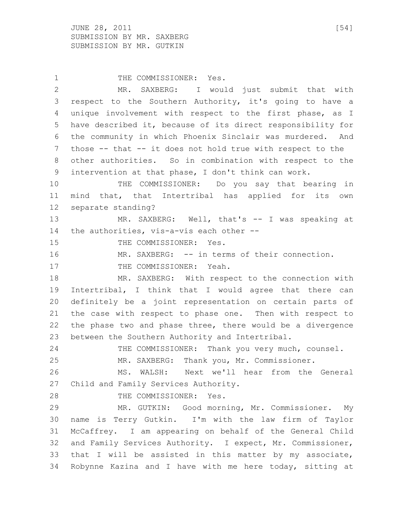$JUNE$  28, 2011 [54] SUBMISSION BY MR. SAXBERG SUBMISSION BY MR. GUTKIN

1 THE COMMISSIONER: Yes. MR. SAXBERG: I would just submit that with respect to the Southern Authority, it's going to have a unique involvement with respect to the first phase, as I have described it, because of its direct responsibility for the community in which Phoenix Sinclair was murdered. And those -- that -- it does not hold true with respect to the other authorities. So in combination with respect to the intervention at that phase, I don't think can work. THE COMMISSIONER: Do you say that bearing in mind that, that Intertribal has applied for its own separate standing? MR. SAXBERG: Well, that's -- I was speaking at the authorities, vis-a-vis each other -- 15 THE COMMISSIONER: Yes. MR. SAXBERG: -- in terms of their connection. 17 THE COMMISSIONER: Yeah. 18 MR. SAXBERG: With respect to the connection with Intertribal, I think that I would agree that there can definitely be a joint representation on certain parts of the case with respect to phase one. Then with respect to the phase two and phase three, there would be a divergence between the Southern Authority and Intertribal. 24 THE COMMISSIONER: Thank you very much, counsel. MR. SAXBERG: Thank you, Mr. Commissioner. MS. WALSH: Next we'll hear from the General Child and Family Services Authority. 28 THE COMMISSIONER: Yes. MR. GUTKIN: Good morning, Mr. Commissioner. My name is Terry Gutkin. I'm with the law firm of Taylor McCaffrey. I am appearing on behalf of the General Child and Family Services Authority. I expect, Mr. Commissioner, that I will be assisted in this matter by my associate, Robynne Kazina and I have with me here today, sitting at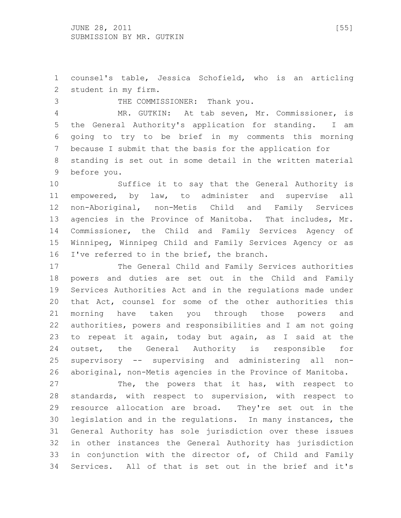counsel's table, Jessica Schofield, who is an articling student in my firm.

 THE COMMISSIONER: Thank you. MR. GUTKIN: At tab seven, Mr. Commissioner, is the General Authority's application for standing. I am going to try to be brief in my comments this morning because I submit that the basis for the application for standing is set out in some detail in the written material before you.

 Suffice it to say that the General Authority is empowered, by law, to administer and supervise all non-Aboriginal, non-Metis Child and Family Services agencies in the Province of Manitoba. That includes, Mr. Commissioner, the Child and Family Services Agency of Winnipeg, Winnipeg Child and Family Services Agency or as 16 I've referred to in the brief, the branch.

 The General Child and Family Services authorities powers and duties are set out in the Child and Family Services Authorities Act and in the regulations made under that Act, counsel for some of the other authorities this morning have taken you through those powers and authorities, powers and responsibilities and I am not going to repeat it again, today but again, as I said at the outset, the General Authority is responsible for supervisory -- supervising and administering all non-aboriginal, non-Metis agencies in the Province of Manitoba.

27 The, the powers that it has, with respect to standards, with respect to supervision, with respect to resource allocation are broad. They're set out in the legislation and in the regulations. In many instances, the General Authority has sole jurisdiction over these issues in other instances the General Authority has jurisdiction in conjunction with the director of, of Child and Family Services. All of that is set out in the brief and it's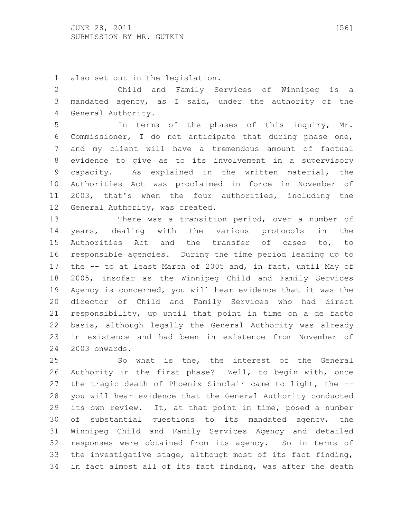also set out in the legislation.

 Child and Family Services of Winnipeg is a mandated agency, as I said, under the authority of the General Authority.

 In terms of the phases of this inquiry, Mr. Commissioner, I do not anticipate that during phase one, and my client will have a tremendous amount of factual evidence to give as to its involvement in a supervisory capacity. As explained in the written material, the Authorities Act was proclaimed in force in November of 2003, that's when the four authorities, including the General Authority, was created.

 There was a transition period, over a number of years, dealing with the various protocols in the Authorities Act and the transfer of cases to, to responsible agencies. During the time period leading up to the -- to at least March of 2005 and, in fact, until May of 2005, insofar as the Winnipeg Child and Family Services Agency is concerned, you will hear evidence that it was the director of Child and Family Services who had direct responsibility, up until that point in time on a de facto basis, although legally the General Authority was already in existence and had been in existence from November of 2003 onwards.

 So what is the, the interest of the General Authority in the first phase? Well, to begin with, once the tragic death of Phoenix Sinclair came to light, the -- you will hear evidence that the General Authority conducted its own review. It, at that point in time, posed a number of substantial questions to its mandated agency, the Winnipeg Child and Family Services Agency and detailed responses were obtained from its agency. So in terms of the investigative stage, although most of its fact finding, in fact almost all of its fact finding, was after the death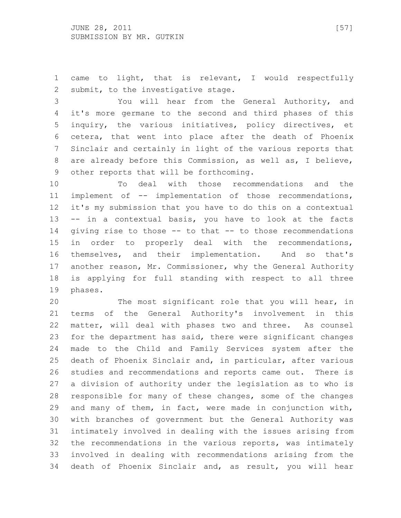came to light, that is relevant, I would respectfully submit, to the investigative stage.

 You will hear from the General Authority, and it's more germane to the second and third phases of this inquiry, the various initiatives, policy directives, et cetera, that went into place after the death of Phoenix Sinclair and certainly in light of the various reports that are already before this Commission, as well as, I believe, other reports that will be forthcoming.

 To deal with those recommendations and the implement of -- implementation of those recommendations, it's my submission that you have to do this on a contextual -- in a contextual basis, you have to look at the facts giving rise to those -- to that -- to those recommendations in order to properly deal with the recommendations, themselves, and their implementation. And so that's 17 another reason, Mr. Commissioner, why the General Authority is applying for full standing with respect to all three phases.

 The most significant role that you will hear, in terms of the General Authority's involvement in this matter, will deal with phases two and three. As counsel for the department has said, there were significant changes made to the Child and Family Services system after the death of Phoenix Sinclair and, in particular, after various studies and recommendations and reports came out. There is a division of authority under the legislation as to who is responsible for many of these changes, some of the changes and many of them, in fact, were made in conjunction with, with branches of government but the General Authority was intimately involved in dealing with the issues arising from the recommendations in the various reports, was intimately involved in dealing with recommendations arising from the death of Phoenix Sinclair and, as result, you will hear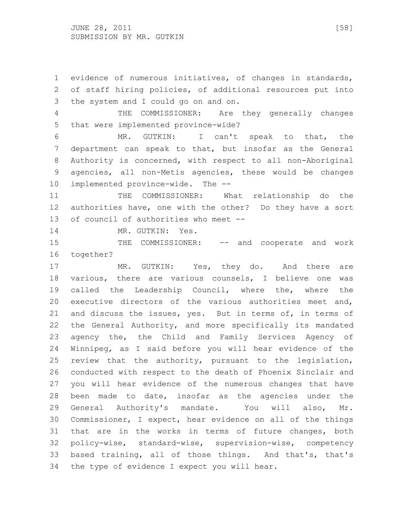evidence of numerous initiatives, of changes in standards, of staff hiring policies, of additional resources put into the system and I could go on and on.

 THE COMMISSIONER: Are they generally changes that were implemented province-wide?

 MR. GUTKIN: I can't speak to that, the department can speak to that, but insofar as the General Authority is concerned, with respect to all non-Aboriginal agencies, all non-Metis agencies, these would be changes implemented province-wide. The --

11 THE COMMISSIONER: What relationship do the authorities have, one with the other? Do they have a sort of council of authorities who meet --

14 MR. GUTKIN: Yes.

15 THE COMMISSIONER: -- and cooperate and work together?

17 MR. GUTKIN: Yes, they do. And there are various, there are various counsels, I believe one was called the Leadership Council, where the, where the executive directors of the various authorities meet and, and discuss the issues, yes. But in terms of, in terms of the General Authority, and more specifically its mandated agency the, the Child and Family Services Agency of Winnipeg, as I said before you will hear evidence of the review that the authority, pursuant to the legislation, conducted with respect to the death of Phoenix Sinclair and you will hear evidence of the numerous changes that have been made to date, insofar as the agencies under the General Authority's mandate. You will also, Mr. Commissioner, I expect, hear evidence on all of the things that are in the works in terms of future changes, both policy-wise, standard-wise, supervision-wise, competency based training, all of those things. And that's, that's the type of evidence I expect you will hear.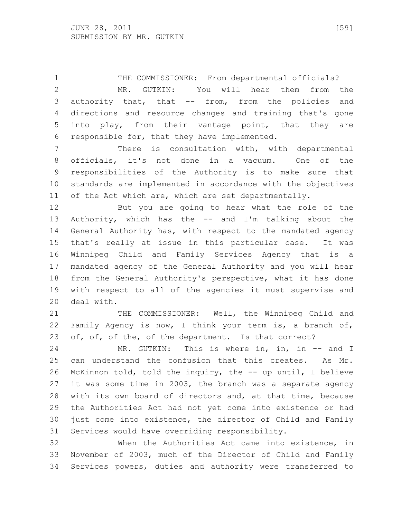THE COMMISSIONER: From departmental officials? MR. GUTKIN: You will hear them from the authority that, that -- from, from the policies and directions and resource changes and training that's gone into play, from their vantage point, that they are responsible for, that they have implemented.

 There is consultation with, with departmental officials, it's not done in a vacuum. One of the responsibilities of the Authority is to make sure that standards are implemented in accordance with the objectives of the Act which are, which are set departmentally.

 But you are going to hear what the role of the Authority, which has the -- and I'm talking about the General Authority has, with respect to the mandated agency that's really at issue in this particular case. It was Winnipeg Child and Family Services Agency that is a mandated agency of the General Authority and you will hear from the General Authority's perspective, what it has done with respect to all of the agencies it must supervise and deal with.

21 THE COMMISSIONER: Well, the Winnipeg Child and Family Agency is now, I think your term is, a branch of, 23 of, of, of the, of the department. Is that correct?

24 MR. GUTKIN: This is where in, in, in -- and I can understand the confusion that this creates. As Mr. McKinnon told, told the inquiry, the -- up until, I believe it was some time in 2003, the branch was a separate agency with its own board of directors and, at that time, because the Authorities Act had not yet come into existence or had just come into existence, the director of Child and Family Services would have overriding responsibility.

 When the Authorities Act came into existence, in November of 2003, much of the Director of Child and Family Services powers, duties and authority were transferred to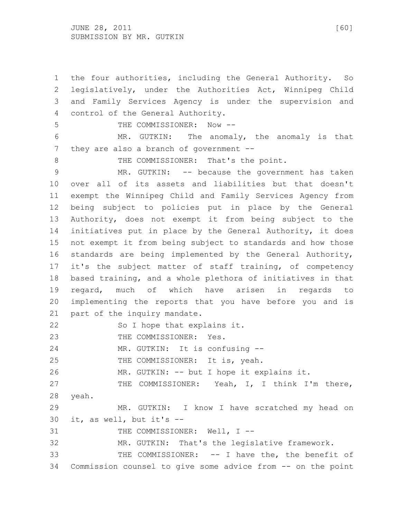JUNE 28, 2011 [60] SUBMISSION BY MR. GUTKIN

 the four authorities, including the General Authority. So legislatively, under the Authorities Act, Winnipeg Child and Family Services Agency is under the supervision and control of the General Authority. 5 THE COMMISSIONER: Now -- MR. GUTKIN: The anomaly, the anomaly is that 7 they are also a branch of government --8 THE COMMISSIONER: That's the point. 9 MR. GUTKIN: -- because the government has taken over all of its assets and liabilities but that doesn't exempt the Winnipeg Child and Family Services Agency from being subject to policies put in place by the General Authority, does not exempt it from being subject to the initiatives put in place by the General Authority, it does not exempt it from being subject to standards and how those standards are being implemented by the General Authority, it's the subject matter of staff training, of competency based training, and a whole plethora of initiatives in that regard, much of which have arisen in regards to implementing the reports that you have before you and is 21 part of the inquiry mandate. 22 So I hope that explains it. 23 THE COMMISSIONER: Yes. MR. GUTKIN: It is confusing -- 25 THE COMMISSIONER: It is, yeah. MR. GUTKIN: -- but I hope it explains it. THE COMMISSIONER: Yeah, I, I think I'm there, yeah. MR. GUTKIN: I know I have scratched my head on it, as well, but it's -- 31 THE COMMISSIONER: Well, I -- MR. GUTKIN: That's the legislative framework. THE COMMISSIONER: -- I have the, the benefit of Commission counsel to give some advice from -- on the point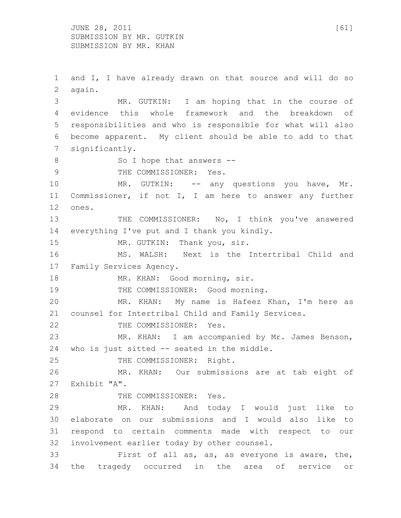$JUNE$  28, 2011 [61] SUBMISSION BY MR. GUTKIN SUBMISSION BY MR. KHAN

 and I, I have already drawn on that source and will do so again. MR. GUTKIN: I am hoping that in the course of evidence this whole framework and the breakdown of responsibilities and who is responsible for what will also become apparent. My client should be able to add to that significantly. 8 So I hope that answers --9 THE COMMISSIONER: Yes. MR. GUTKIN: -- any questions you have, Mr. Commissioner, if not I, I am here to answer any further ones. 13 THE COMMISSIONER: No, I think you've answered everything I've put and I thank you kindly. 15 MR. GUTKIN: Thank you, sir. MS. WALSH: Next is the Intertribal Child and Family Services Agency. 18 MR. KHAN: Good morning, sir. 19 THE COMMISSIONER: Good morning. MR. KHAN: My name is Hafeez Khan, I'm here as counsel for Intertribal Child and Family Services. 22 THE COMMISSIONER: Yes. MR. KHAN: I am accompanied by Mr. James Benson, who is just sitted -- seated in the middle. 25 THE COMMISSIONER: Right. MR. KHAN: Our submissions are at tab eight of Exhibit "A". 28 THE COMMISSIONER: Yes. MR. KHAN: And today I would just like to elaborate on our submissions and I would also like to respond to certain comments made with respect to our involvement earlier today by other counsel. First of all as, as, as everyone is aware, the, the tragedy occurred in the area of service or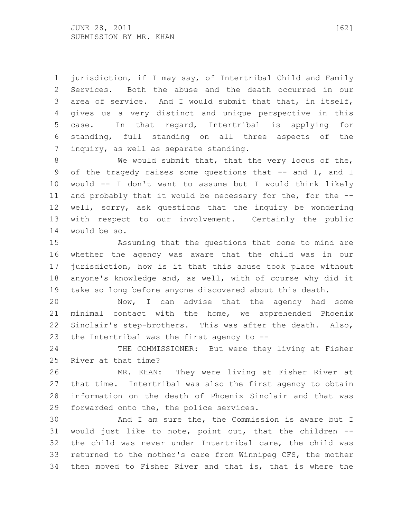jurisdiction, if I may say, of Intertribal Child and Family Services. Both the abuse and the death occurred in our area of service. And I would submit that that, in itself, gives us a very distinct and unique perspective in this case. In that regard, Intertribal is applying for standing, full standing on all three aspects of the inquiry, as well as separate standing.

8 We would submit that, that the very locus of the, 9 of the tragedy raises some questions that -- and I, and I would -- I don't want to assume but I would think likely 11 and probably that it would be necessary for the, for the -- well, sorry, ask questions that the inquiry be wondering with respect to our involvement. Certainly the public would be so.

 Assuming that the questions that come to mind are whether the agency was aware that the child was in our jurisdiction, how is it that this abuse took place without anyone's knowledge and, as well, with of course why did it take so long before anyone discovered about this death.

 Now, I can advise that the agency had some minimal contact with the home, we apprehended Phoenix Sinclair's step-brothers. This was after the death. Also, the Intertribal was the first agency to --

24 THE COMMISSIONER: But were they living at Fisher River at that time?

 MR. KHAN: They were living at Fisher River at that time. Intertribal was also the first agency to obtain information on the death of Phoenix Sinclair and that was forwarded onto the, the police services.

 And I am sure the, the Commission is aware but I would just like to note, point out, that the children -- the child was never under Intertribal care, the child was returned to the mother's care from Winnipeg CFS, the mother then moved to Fisher River and that is, that is where the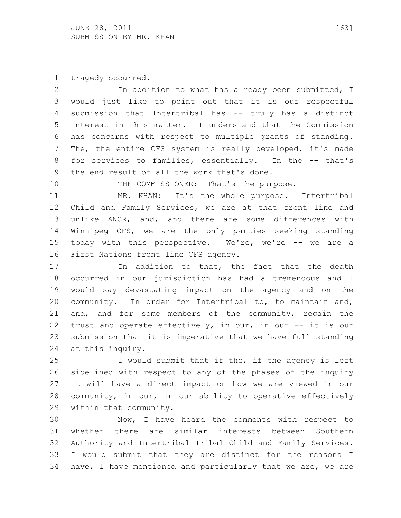tragedy occurred.

 In addition to what has already been submitted, I would just like to point out that it is our respectful submission that Intertribal has -- truly has a distinct interest in this matter. I understand that the Commission has concerns with respect to multiple grants of standing. The, the entire CFS system is really developed, it's made 8 for services to families, essentially. In the -- that's the end result of all the work that's done.

THE COMMISSIONER: That's the purpose.

 MR. KHAN: It's the whole purpose. Intertribal Child and Family Services, we are at that front line and unlike ANCR, and, and there are some differences with Winnipeg CFS, we are the only parties seeking standing today with this perspective. We're, we're -- we are a First Nations front line CFS agency.

 In addition to that, the fact that the death occurred in our jurisdiction has had a tremendous and I would say devastating impact on the agency and on the community. In order for Intertribal to, to maintain and, and, and for some members of the community, regain the trust and operate effectively, in our, in our -- it is our submission that it is imperative that we have full standing at this inquiry.

 I would submit that if the, if the agency is left sidelined with respect to any of the phases of the inquiry it will have a direct impact on how we are viewed in our community, in our, in our ability to operative effectively within that community.

 Now, I have heard the comments with respect to whether there are similar interests between Southern Authority and Intertribal Tribal Child and Family Services. I would submit that they are distinct for the reasons I have, I have mentioned and particularly that we are, we are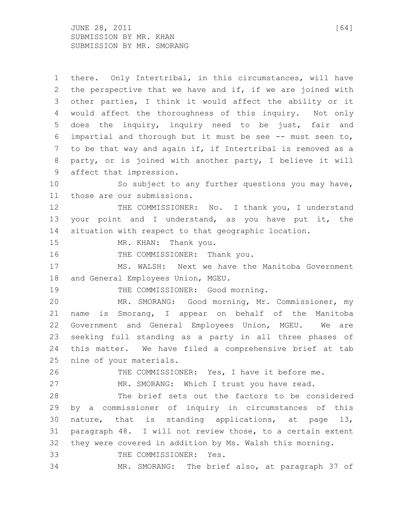$JUNE$  28, 2011 [64] SUBMISSION BY MR. KHAN SUBMISSION BY MR. SMORANG

 there. Only Intertribal, in this circumstances, will have the perspective that we have and if, if we are joined with other parties, I think it would affect the ability or it would affect the thoroughness of this inquiry. Not only does the inquiry, inquiry need to be just, fair and impartial and thorough but it must be see -- must seen to, to be that way and again if, if Intertribal is removed as a party, or is joined with another party, I believe it will affect that impression. So subject to any further questions you may have, those are our submissions. 12 THE COMMISSIONER: No. I thank you, I understand your point and I understand, as you have put it, the situation with respect to that geographic location. MR. KHAN: Thank you. 16 THE COMMISSIONER: Thank you. MS. WALSH: Next we have the Manitoba Government and General Employees Union, MGEU. 19 THE COMMISSIONER: Good morning. MR. SMORANG: Good morning, Mr. Commissioner, my name is Smorang, I appear on behalf of the Manitoba Government and General Employees Union, MGEU. We are seeking full standing as a party in all three phases of this matter. We have filed a comprehensive brief at tab nine of your materials. THE COMMISSIONER: Yes, I have it before me. MR. SMORANG: Which I trust you have read. The brief sets out the factors to be considered by a commissioner of inquiry in circumstances of this nature, that is standing applications, at page 13, paragraph 48. I will not review those, to a certain extent they were covered in addition by Ms. Walsh this morning. THE COMMISSIONER: Yes. MR. SMORANG: The brief also, at paragraph 37 of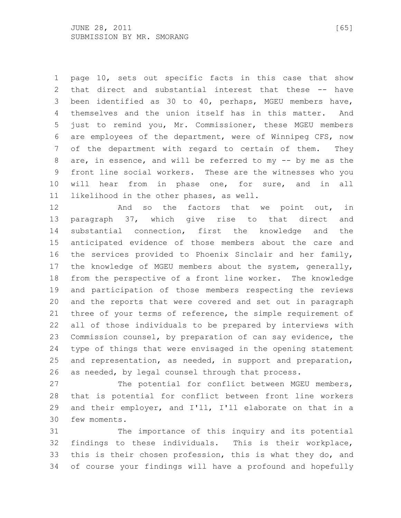page 10, sets out specific facts in this case that show that direct and substantial interest that these -- have been identified as 30 to 40, perhaps, MGEU members have, themselves and the union itself has in this matter. And just to remind you, Mr. Commissioner, these MGEU members are employees of the department, were of Winnipeg CFS, now of the department with regard to certain of them. They are, in essence, and will be referred to my -- by me as the front line social workers. These are the witnesses who you will hear from in phase one, for sure, and in all likelihood in the other phases, as well.

**And so the factors that we point out, in**  paragraph 37, which give rise to that direct and substantial connection, first the knowledge and the anticipated evidence of those members about the care and the services provided to Phoenix Sinclair and her family, the knowledge of MGEU members about the system, generally, from the perspective of a front line worker. The knowledge and participation of those members respecting the reviews and the reports that were covered and set out in paragraph 21 three of your terms of reference, the simple requirement of all of those individuals to be prepared by interviews with Commission counsel, by preparation of can say evidence, the type of things that were envisaged in the opening statement and representation, as needed, in support and preparation, as needed, by legal counsel through that process.

 The potential for conflict between MGEU members, that is potential for conflict between front line workers and their employer, and I'll, I'll elaborate on that in a few moments.

 The importance of this inquiry and its potential findings to these individuals. This is their workplace, this is their chosen profession, this is what they do, and of course your findings will have a profound and hopefully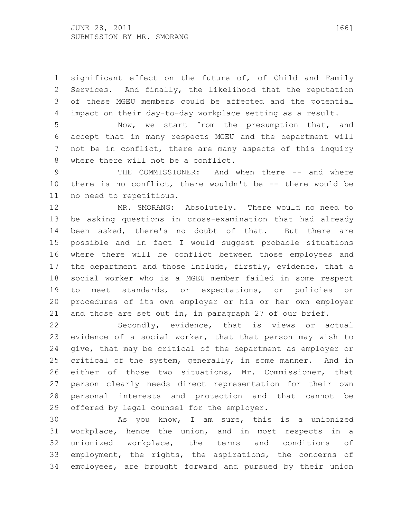significant effect on the future of, of Child and Family Services. And finally, the likelihood that the reputation of these MGEU members could be affected and the potential impact on their day-to-day workplace setting as a result.

 Now, we start from the presumption that, and accept that in many respects MGEU and the department will not be in conflict, there are many aspects of this inquiry where there will not be a conflict.

 THE COMMISSIONER: And when there -- and where there is no conflict, there wouldn't be -- there would be no need to repetitious.

 MR. SMORANG: Absolutely. There would no need to be asking questions in cross-examination that had already been asked, there's no doubt of that. But there are possible and in fact I would suggest probable situations where there will be conflict between those employees and 17 the department and those include, firstly, evidence, that a social worker who is a MGEU member failed in some respect to meet standards, or expectations, or policies or procedures of its own employer or his or her own employer and those are set out in, in paragraph 27 of our brief.

 Secondly, evidence, that is views or actual evidence of a social worker, that that person may wish to give, that may be critical of the department as employer or critical of the system, generally, in some manner. And in either of those two situations, Mr. Commissioner, that person clearly needs direct representation for their own personal interests and protection and that cannot be offered by legal counsel for the employer.

 As you know, I am sure, this is a unionized workplace, hence the union, and in most respects in a unionized workplace, the terms and conditions of employment, the rights, the aspirations, the concerns of employees, are brought forward and pursued by their union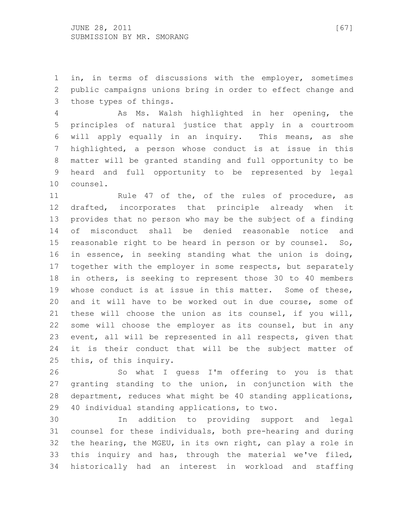in, in terms of discussions with the employer, sometimes public campaigns unions bring in order to effect change and those types of things.

 As Ms. Walsh highlighted in her opening, the principles of natural justice that apply in a courtroom will apply equally in an inquiry. This means, as she highlighted, a person whose conduct is at issue in this matter will be granted standing and full opportunity to be heard and full opportunity to be represented by legal counsel.

11 Rule 47 of the, of the rules of procedure, as drafted, incorporates that principle already when it provides that no person who may be the subject of a finding of misconduct shall be denied reasonable notice and reasonable right to be heard in person or by counsel. So, in essence, in seeking standing what the union is doing, together with the employer in some respects, but separately in others, is seeking to represent those 30 to 40 members whose conduct is at issue in this matter. Some of these, and it will have to be worked out in due course, some of these will choose the union as its counsel, if you will, some will choose the employer as its counsel, but in any event, all will be represented in all respects, given that it is their conduct that will be the subject matter of this, of this inquiry.

 So what I guess I'm offering to you is that granting standing to the union, in conjunction with the department, reduces what might be 40 standing applications, 40 individual standing applications, to two.

 In addition to providing support and legal counsel for these individuals, both pre-hearing and during the hearing, the MGEU, in its own right, can play a role in this inquiry and has, through the material we've filed, historically had an interest in workload and staffing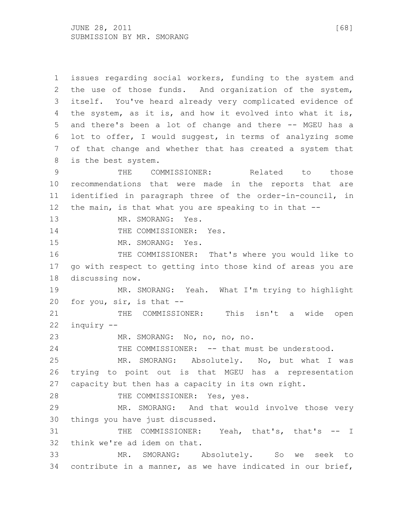issues regarding social workers, funding to the system and the use of those funds. And organization of the system, itself. You've heard already very complicated evidence of the system, as it is, and how it evolved into what it is, and there's been a lot of change and there -- MGEU has a lot to offer, I would suggest, in terms of analyzing some of that change and whether that has created a system that is the best system. THE COMMISSIONER: Related to those recommendations that were made in the reports that are identified in paragraph three of the order-in-council, in the main, is that what you are speaking to in that -- 13 MR. SMORANG: Yes. 14 THE COMMISSIONER: Yes. MR. SMORANG: Yes. THE COMMISSIONER: That's where you would like to go with respect to getting into those kind of areas you are discussing now. MR. SMORANG: Yeah. What I'm trying to highlight for you, sir, is that -- 21 THE COMMISSIONER: This isn't a wide open inquiry -- MR. SMORANG: No, no, no, no. THE COMMISSIONER: -- that must be understood. MR. SMORANG: Absolutely. No, but what I was trying to point out is that MGEU has a representation capacity but then has a capacity in its own right. 28 THE COMMISSIONER: Yes, yes. MR. SMORANG: And that would involve those very things you have just discussed. 31 THE COMMISSIONER: Yeah, that's, that's -- I think we're ad idem on that. MR. SMORANG: Absolutely. So we seek to contribute in a manner, as we have indicated in our brief,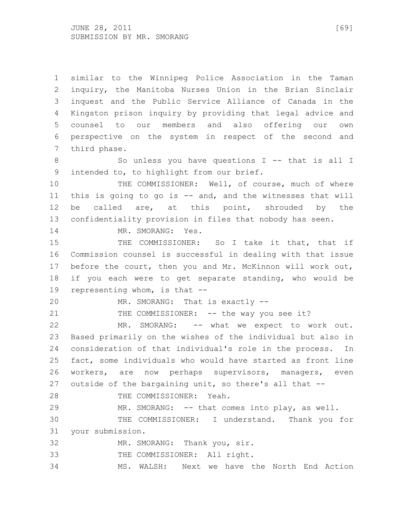similar to the Winnipeg Police Association in the Taman inquiry, the Manitoba Nurses Union in the Brian Sinclair inquest and the Public Service Alliance of Canada in the Kingston prison inquiry by providing that legal advice and counsel to our members and also offering our own perspective on the system in respect of the second and third phase.

 So unless you have questions I -- that is all I intended to, to highlight from our brief.

 THE COMMISSIONER: Well, of course, much of where this is going to go is -- and, and the witnesses that will be called are, at this point, shrouded by the confidentiality provision in files that nobody has seen.

14 MR. SMORANG: Yes.

 THE COMMISSIONER: So I take it that, that if Commission counsel is successful in dealing with that issue before the court, then you and Mr. McKinnon will work out, if you each were to get separate standing, who would be representing whom, is that --

MR. SMORANG: That is exactly --

21 THE COMMISSIONER: -- the way you see it?

 MR. SMORANG: -- what we expect to work out. Based primarily on the wishes of the individual but also in consideration of that individual's role in the process. In fact, some individuals who would have started as front line workers, are now perhaps supervisors, managers, even outside of the bargaining unit, so there's all that --

THE COMMISSIONER: Yeah.

MR. SMORANG: -- that comes into play, as well.

 THE COMMISSIONER: I understand. Thank you for your submission.

MR. SMORANG: Thank you, sir.

THE COMMISSIONER: All right.

MS. WALSH: Next we have the North End Action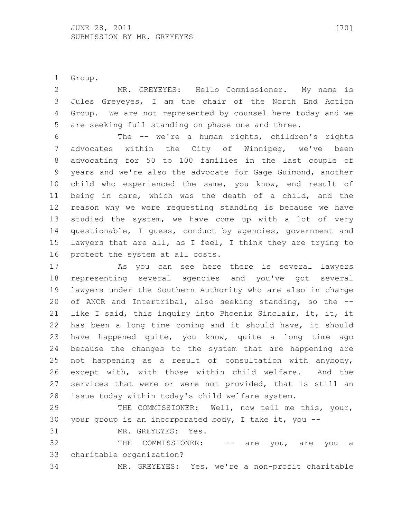Group.

 MR. GREYEYES: Hello Commissioner. My name is Jules Greyeyes, I am the chair of the North End Action Group. We are not represented by counsel here today and we are seeking full standing on phase one and three.

 The -- we're a human rights, children's rights advocates within the City of Winnipeg, we've been advocating for 50 to 100 families in the last couple of years and we're also the advocate for Gage Guimond, another child who experienced the same, you know, end result of being in care, which was the death of a child, and the reason why we were requesting standing is because we have studied the system, we have come up with a lot of very questionable, I guess, conduct by agencies, government and lawyers that are all, as I feel, I think they are trying to protect the system at all costs.

 As you can see here there is several lawyers representing several agencies and you've got several lawyers under the Southern Authority who are also in charge of ANCR and Intertribal, also seeking standing, so the -- like I said, this inquiry into Phoenix Sinclair, it, it, it has been a long time coming and it should have, it should have happened quite, you know, quite a long time ago because the changes to the system that are happening are not happening as a result of consultation with anybody, except with, with those within child welfare. And the services that were or were not provided, that is still an issue today within today's child welfare system.

 THE COMMISSIONER: Well, now tell me this, your, your group is an incorporated body, I take it, you --

MR. GREYEYES: Yes.

 THE COMMISSIONER: -- are you, are you a charitable organization?

MR. GREYEYES: Yes, we're a non-profit charitable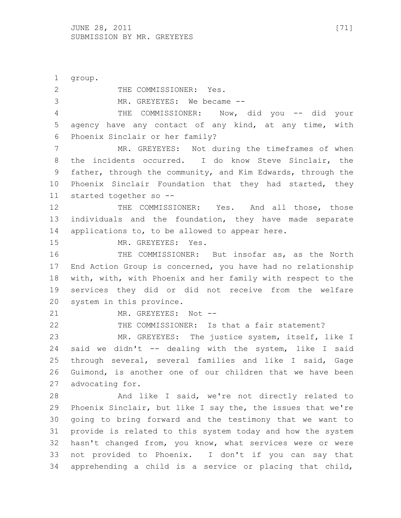group. 2 THE COMMISSIONER: Yes. MR. GREYEYES: We became -- THE COMMISSIONER: Now, did you -- did your agency have any contact of any kind, at any time, with Phoenix Sinclair or her family? MR. GREYEYES: Not during the timeframes of when the incidents occurred. I do know Steve Sinclair, the father, through the community, and Kim Edwards, through the Phoenix Sinclair Foundation that they had started, they started together so -- THE COMMISSIONER: Yes. And all those, those individuals and the foundation, they have made separate applications to, to be allowed to appear here. MR. GREYEYES: Yes. 16 THE COMMISSIONER: But insofar as, as the North End Action Group is concerned, you have had no relationship with, with, with Phoenix and her family with respect to the services they did or did not receive from the welfare system in this province. 21 MR. GREYEYES: Not -- THE COMMISSIONER: Is that a fair statement? MR. GREYEYES: The justice system, itself, like I said we didn't -- dealing with the system, like I said through several, several families and like I said, Gage Guimond, is another one of our children that we have been advocating for. And like I said, we're not directly related to Phoenix Sinclair, but like I say the, the issues that we're going to bring forward and the testimony that we want to provide is related to this system today and how the system hasn't changed from, you know, what services were or were not provided to Phoenix. I don't if you can say that apprehending a child is a service or placing that child,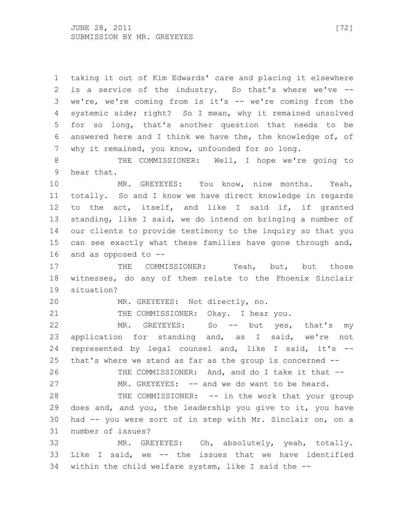taking it out of Kim Edwards' care and placing it elsewhere is a service of the industry. So that's where we've -- we're, we're coming from is it's -- we're coming from the systemic side; right? So I mean, why it remained unsolved for so long, that's another question that needs to be answered here and I think we have the, the knowledge of, of why it remained, you know, unfounded for so long. THE COMMISSIONER: Well, I hope we're going to hear that. MR. GREYEYES: You know, nine months. Yeah, totally. So and I know we have direct knowledge in regards to the act, itself, and like I said if, if granted standing, like I said, we do intend on bringing a number of our clients to provide testimony to the inquiry so that you can see exactly what these families have gone through and, and as opposed to -- 17 THE COMMISSIONER: Yeah, but, but those witnesses, do any of them relate to the Phoenix Sinclair situation? MR. GREYEYES: Not directly, no. 21 THE COMMISSIONER: Okay. I hear you. MR. GREYEYES: So -- but yes, that's my application for standing and, as I said, we're not represented by legal counsel and, like I said, it's -- that's where we stand as far as the group is concerned -- 26 THE COMMISSIONER: And, and do I take it that --27 MR. GREYEYES: -- and we do want to be heard. 28 THE COMMISSIONER: -- in the work that your group does and, and you, the leadership you give to it, you have had -- you were sort of in step with Mr. Sinclair on, on a number of issues? MR. GREYEYES: Oh, absolutely, yeah, totally. Like I said, we -- the issues that we have identified within the child welfare system, like I said the --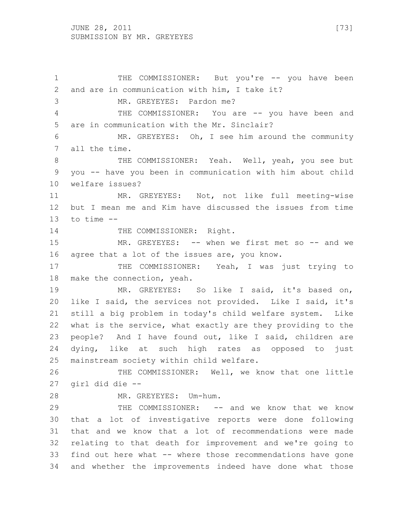THE COMMISSIONER: But you're -- you have been and are in communication with him, I take it? MR. GREYEYES: Pardon me? 4 THE COMMISSIONER: You are -- you have been and are in communication with the Mr. Sinclair? MR. GREYEYES: Oh, I see him around the community all the time. 8 THE COMMISSIONER: Yeah. Well, yeah, you see but you -- have you been in communication with him about child welfare issues? MR. GREYEYES: Not, not like full meeting-wise but I mean me and Kim have discussed the issues from time to time -- 14 THE COMMISSIONER: Right. MR. GREYEYES: -- when we first met so -- and we agree that a lot of the issues are, you know. 17 THE COMMISSIONER: Yeah, I was just trying to make the connection, yeah. MR. GREYEYES: So like I said, it's based on, like I said, the services not provided. Like I said, it's still a big problem in today's child welfare system. Like what is the service, what exactly are they providing to the people? And I have found out, like I said, children are dying, like at such high rates as opposed to just mainstream society within child welfare. THE COMMISSIONER: Well, we know that one little girl did die -- MR. GREYEYES: Um-hum. THE COMMISSIONER: -- and we know that we know that a lot of investigative reports were done following that and we know that a lot of recommendations were made relating to that death for improvement and we're going to find out here what -- where those recommendations have gone and whether the improvements indeed have done what those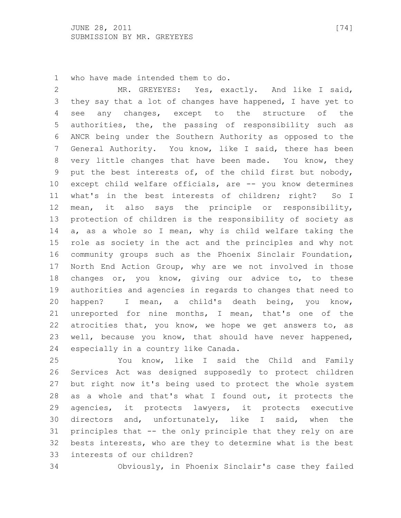who have made intended them to do.

 MR. GREYEYES: Yes, exactly. And like I said, they say that a lot of changes have happened, I have yet to 4 see any changes, except to the structure of the authorities, the, the passing of responsibility such as ANCR being under the Southern Authority as opposed to the General Authority. You know, like I said, there has been very little changes that have been made. You know, they put the best interests of, of the child first but nobody, except child welfare officials, are -- you know determines what's in the best interests of children; right? So I mean, it also says the principle or responsibility, protection of children is the responsibility of society as a, as a whole so I mean, why is child welfare taking the role as society in the act and the principles and why not community groups such as the Phoenix Sinclair Foundation, North End Action Group, why are we not involved in those changes or, you know, giving our advice to, to these authorities and agencies in regards to changes that need to happen? I mean, a child's death being, you know, unreported for nine months, I mean, that's one of the atrocities that, you know, we hope we get answers to, as well, because you know, that should have never happened, especially in a country like Canada.

 You know, like I said the Child and Family Services Act was designed supposedly to protect children but right now it's being used to protect the whole system as a whole and that's what I found out, it protects the agencies, it protects lawyers, it protects executive directors and, unfortunately, like I said, when the principles that -- the only principle that they rely on are bests interests, who are they to determine what is the best interests of our children?

Obviously, in Phoenix Sinclair's case they failed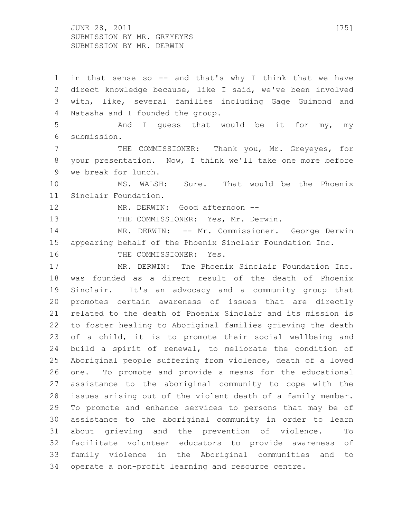JUNE 28, 2011 [75] SUBMISSION BY MR. GREYEYES SUBMISSION BY MR. DERWIN

 in that sense so -- and that's why I think that we have direct knowledge because, like I said, we've been involved with, like, several families including Gage Guimond and Natasha and I founded the group. And I guess that would be it for my, my submission. THE COMMISSIONER: Thank you, Mr. Greyeyes, for your presentation. Now, I think we'll take one more before we break for lunch. MS. WALSH: Sure. That would be the Phoenix Sinclair Foundation. 12 MR. DERWIN: Good afternoon --13 THE COMMISSIONER: Yes, Mr. Derwin. MR. DERWIN: -- Mr. Commissioner. George Derwin appearing behalf of the Phoenix Sinclair Foundation Inc. 16 THE COMMISSIONER: Yes. MR. DERWIN: The Phoenix Sinclair Foundation Inc. was founded as a direct result of the death of Phoenix Sinclair. It's an advocacy and a community group that promotes certain awareness of issues that are directly related to the death of Phoenix Sinclair and its mission is to foster healing to Aboriginal families grieving the death of a child, it is to promote their social wellbeing and build a spirit of renewal, to meliorate the condition of Aboriginal people suffering from violence, death of a loved one. To promote and provide a means for the educational assistance to the aboriginal community to cope with the issues arising out of the violent death of a family member. To promote and enhance services to persons that may be of assistance to the aboriginal community in order to learn about grieving and the prevention of violence. To facilitate volunteer educators to provide awareness of family violence in the Aboriginal communities and to operate a non-profit learning and resource centre.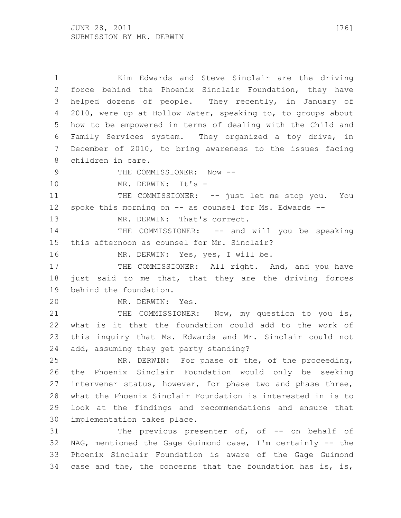Kim Edwards and Steve Sinclair are the driving force behind the Phoenix Sinclair Foundation, they have helped dozens of people. They recently, in January of 2010, were up at Hollow Water, speaking to, to groups about how to be empowered in terms of dealing with the Child and Family Services system. They organized a toy drive, in December of 2010, to bring awareness to the issues facing children in care. 9 THE COMMISSIONER: Now --10 MR. DERWIN: It's -11 THE COMMISSIONER: -- just let me stop you. You spoke this morning on -- as counsel for Ms. Edwards -- 13 MR. DERWIN: That's correct. 14 THE COMMISSIONER: -- and will you be speaking this afternoon as counsel for Mr. Sinclair? 16 MR. DERWIN: Yes, yes, I will be. 17 THE COMMISSIONER: All right. And, and you have just said to me that, that they are the driving forces behind the foundation. MR. DERWIN: Yes. 21 THE COMMISSIONER: Now, my question to you is, what is it that the foundation could add to the work of this inquiry that Ms. Edwards and Mr. Sinclair could not add, assuming they get party standing? MR. DERWIN: For phase of the, of the proceeding, the Phoenix Sinclair Foundation would only be seeking intervener status, however, for phase two and phase three, what the Phoenix Sinclair Foundation is interested in is to look at the findings and recommendations and ensure that implementation takes place. The previous presenter of, of -- on behalf of NAG, mentioned the Gage Guimond case, I'm certainly -- the Phoenix Sinclair Foundation is aware of the Gage Guimond case and the, the concerns that the foundation has is, is,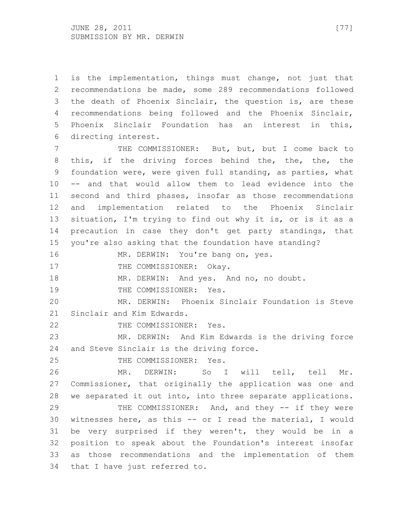is the implementation, things must change, not just that recommendations be made, some 289 recommendations followed the death of Phoenix Sinclair, the question is, are these recommendations being followed and the Phoenix Sinclair, Phoenix Sinclair Foundation has an interest in this, directing interest.

 THE COMMISSIONER: But, but, but I come back to this, if the driving forces behind the, the, the, the foundation were, were given full standing, as parties, what -- and that would allow them to lead evidence into the second and third phases, insofar as those recommendations and implementation related to the Phoenix Sinclair situation, I'm trying to find out why it is, or is it as a precaution in case they don't get party standings, that you're also asking that the foundation have standing?

16 MR. DERWIN: You're bang on, yes.

17 THE COMMISSIONER: Okay.

18 MR. DERWIN: And yes. And no, no doubt.

19 THE COMMISSIONER: Yes.

 MR. DERWIN: Phoenix Sinclair Foundation is Steve Sinclair and Kim Edwards.

THE COMMISSIONER: Yes.

 MR. DERWIN: And Kim Edwards is the driving force and Steve Sinclair is the driving force.

THE COMMISSIONER: Yes.

 MR. DERWIN: So I will tell, tell Mr. Commissioner, that originally the application was one and we separated it out into, into three separate applications.

29 THE COMMISSIONER: And, and they -- if they were witnesses here, as this -- or I read the material, I would be very surprised if they weren't, they would be in a position to speak about the Foundation's interest insofar as those recommendations and the implementation of them that I have just referred to.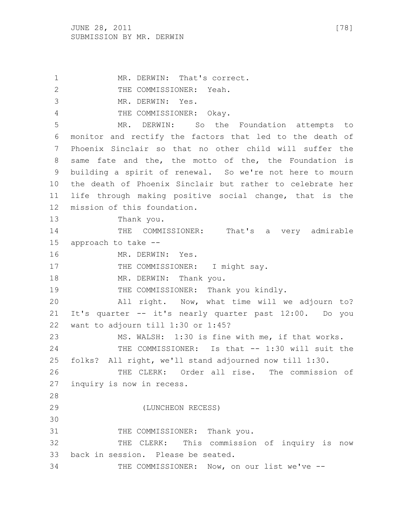1 MR. DERWIN: That's correct. 2 THE COMMISSIONER: Yeah. MR. DERWIN: Yes. THE COMMISSIONER: Okay. MR. DERWIN: So the Foundation attempts to monitor and rectify the factors that led to the death of Phoenix Sinclair so that no other child will suffer the same fate and the, the motto of the, the Foundation is building a spirit of renewal. So we're not here to mourn the death of Phoenix Sinclair but rather to celebrate her life through making positive social change, that is the mission of this foundation. Thank you. 14 THE COMMISSIONER: That's a very admirable approach to take -- 16 MR. DERWIN: Yes. 17 THE COMMISSIONER: I might say. 18 MR. DERWIN: Thank you. 19 THE COMMISSIONER: Thank you kindly. All right. Now, what time will we adjourn to? It's quarter -- it's nearly quarter past 12:00. Do you want to adjourn till 1:30 or 1:45? MS. WALSH: 1:30 is fine with me, if that works. THE COMMISSIONER: Is that -- 1:30 will suit the folks? All right, we'll stand adjourned now till 1:30. THE CLERK: Order all rise. The commission of inquiry is now in recess. (LUNCHEON RECESS) 31 THE COMMISSIONER: Thank you. THE CLERK: This commission of inquiry is now back in session. Please be seated. THE COMMISSIONER: Now, on our list we've --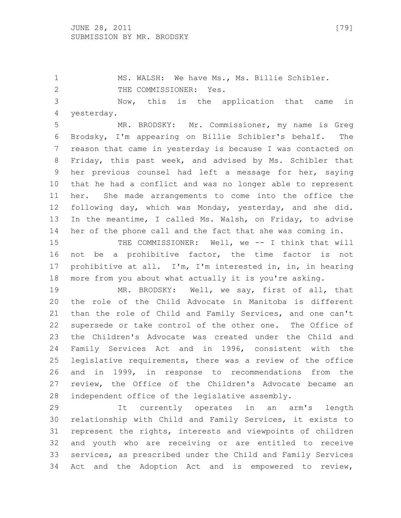MS. WALSH: We have Ms., Ms. Billie Schibler. 2 THE COMMISSIONER: Yes.

 Now, this is the application that came in yesterday.

 MR. BRODSKY: Mr. Commissioner, my name is Greg Brodsky, I'm appearing on Billie Schibler's behalf. The reason that came in yesterday is because I was contacted on Friday, this past week, and advised by Ms. Schibler that her previous counsel had left a message for her, saying that he had a conflict and was no longer able to represent her. She made arrangements to come into the office the following day, which was Monday, yesterday, and she did. In the meantime, I called Ms. Walsh, on Friday, to advise her of the phone call and the fact that she was coming in.

 THE COMMISSIONER: Well, we -- I think that will not be a prohibitive factor, the time factor is not prohibitive at all. I'm, I'm interested in, in, in hearing more from you about what actually it is you're asking.

 MR. BRODSKY: Well, we say, first of all, that the role of the Child Advocate in Manitoba is different than the role of Child and Family Services, and one can't supersede or take control of the other one. The Office of the Children's Advocate was created under the Child and Family Services Act and in 1996, consistent with the legislative requirements, there was a review of the office and in 1999, in response to recommendations from the review, the Office of the Children's Advocate became an independent office of the legislative assembly.

 It currently operates in an arm's length relationship with Child and Family Services, it exists to represent the rights, interests and viewpoints of children and youth who are receiving or are entitled to receive services, as prescribed under the Child and Family Services Act and the Adoption Act and is empowered to review,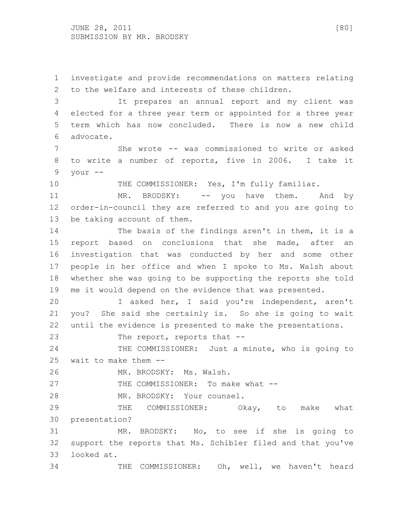JUNE 28, 2011 [80] SUBMISSION BY MR. BRODSKY

 to the welfare and interests of these children. It prepares an annual report and my client was elected for a three year term or appointed for a three year term which has now concluded. There is now a new child advocate. She wrote -- was commissioned to write or asked to write a number of reports, five in 2006. I take it your -- THE COMMISSIONER: Yes, I'm fully familiar. 11 MR. BRODSKY: -- you have them. And by order-in-council they are referred to and you are going to be taking account of them. The basis of the findings aren't in them, it is a report based on conclusions that she made, after an investigation that was conducted by her and some other people in her office and when I spoke to Ms. Walsh about whether she was going to be supporting the reports she told me it would depend on the evidence that was presented. I asked her, I said you're independent, aren't you? She said she certainly is. So she is going to wait until the evidence is presented to make the presentations. 23 The report, reports that --24 THE COMMISSIONER: Just a minute, who is going to

investigate and provide recommendations on matters relating

wait to make them --

MR. BRODSKY: Ms. Walsh.

27 THE COMMISSIONER: To make what --

MR. BRODSKY: Your counsel.

29 THE COMMISSIONER: Okay, to make what presentation?

 MR. BRODSKY: No, to see if she is going to support the reports that Ms. Schibler filed and that you've looked at.

THE COMMISSIONER: Oh, well, we haven't heard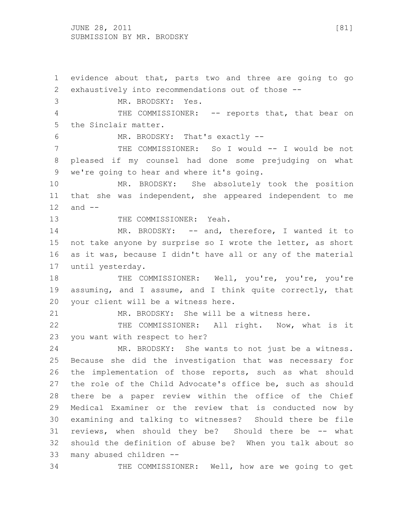JUNE 28, 2011 [81] SUBMISSION BY MR. BRODSKY

 evidence about that, parts two and three are going to go exhaustively into recommendations out of those -- MR. BRODSKY: Yes. 4 THE COMMISSIONER: -- reports that, that bear on the Sinclair matter. MR. BRODSKY: That's exactly -- THE COMMISSIONER: So I would -- I would be not pleased if my counsel had done some prejudging on what we're going to hear and where it's going. MR. BRODSKY: She absolutely took the position that she was independent, she appeared independent to me and -- 13 THE COMMISSIONER: Yeah. 14 MR. BRODSKY: -- and, therefore, I wanted it to 15 not take anyone by surprise so I wrote the letter, as short as it was, because I didn't have all or any of the material until yesterday. 18 THE COMMISSIONER: Well, you're, you're, you're assuming, and I assume, and I think quite correctly, that your client will be a witness here. MR. BRODSKY: She will be a witness here. THE COMMISSIONER: All right. Now, what is it you want with respect to her? MR. BRODSKY: She wants to not just be a witness. Because she did the investigation that was necessary for the implementation of those reports, such as what should the role of the Child Advocate's office be, such as should there be a paper review within the office of the Chief Medical Examiner or the review that is conducted now by examining and talking to witnesses? Should there be file reviews, when should they be? Should there be -- what should the definition of abuse be? When you talk about so many abused children -- THE COMMISSIONER: Well, how are we going to get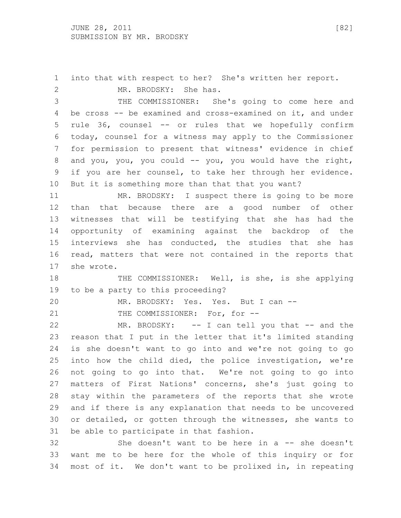into that with respect to her? She's written her report.

2 MR. BRODSKY: She has.

 THE COMMISSIONER: She's going to come here and be cross -- be examined and cross-examined on it, and under rule 36, counsel -- or rules that we hopefully confirm today, counsel for a witness may apply to the Commissioner for permission to present that witness' evidence in chief 8 and you, you, you could -- you, you would have the right, if you are her counsel, to take her through her evidence. But it is something more than that that you want?

 MR. BRODSKY: I suspect there is going to be more than that because there are a good number of other witnesses that will be testifying that she has had the opportunity of examining against the backdrop of the interviews she has conducted, the studies that she has read, matters that were not contained in the reports that she wrote.

18 THE COMMISSIONER: Well, is she, is she applying to be a party to this proceeding?

MR. BRODSKY: Yes. Yes. But I can --

21 THE COMMISSIONER: For, for --

22 MR. BRODSKY: -- I can tell you that -- and the reason that I put in the letter that it's limited standing is she doesn't want to go into and we're not going to go into how the child died, the police investigation, we're not going to go into that. We're not going to go into matters of First Nations' concerns, she's just going to stay within the parameters of the reports that she wrote and if there is any explanation that needs to be uncovered or detailed, or gotten through the witnesses, she wants to be able to participate in that fashion.

 She doesn't want to be here in a -- she doesn't want me to be here for the whole of this inquiry or for most of it. We don't want to be prolixed in, in repeating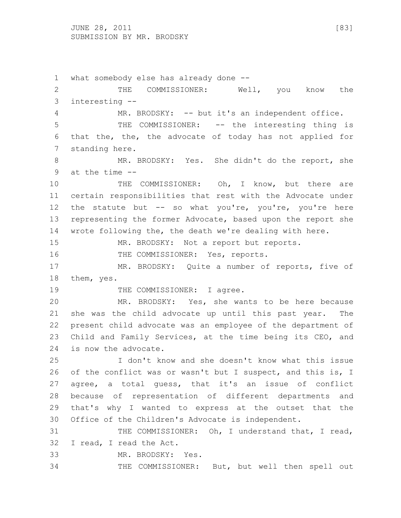JUNE 28, 2011 [83] SUBMISSION BY MR. BRODSKY

 what somebody else has already done -- THE COMMISSIONER: Well, you know the interesting -- MR. BRODSKY: -- but it's an independent office. THE COMMISSIONER: -- the interesting thing is that the, the, the advocate of today has not applied for standing here. MR. BRODSKY: Yes. She didn't do the report, she at the time -- THE COMMISSIONER: Oh, I know, but there are certain responsibilities that rest with the Advocate under 12 the statute but -- so what you're, you're, you're here representing the former Advocate, based upon the report she wrote following the, the death we're dealing with here. MR. BRODSKY: Not a report but reports. 16 THE COMMISSIONER: Yes, reports. MR. BRODSKY: Quite a number of reports, five of them, yes. 19 THE COMMISSIONER: I agree. MR. BRODSKY: Yes, she wants to be here because she was the child advocate up until this past year. The present child advocate was an employee of the department of Child and Family Services, at the time being its CEO, and is now the advocate. I don't know and she doesn't know what this issue 26 of the conflict was or wasn't but I suspect, and this is, I agree, a total guess, that it's an issue of conflict because of representation of different departments and that's why I wanted to express at the outset that the Office of the Children's Advocate is independent. 31 THE COMMISSIONER: Oh, I understand that, I read, I read, I read the Act. MR. BRODSKY: Yes. THE COMMISSIONER: But, but well then spell out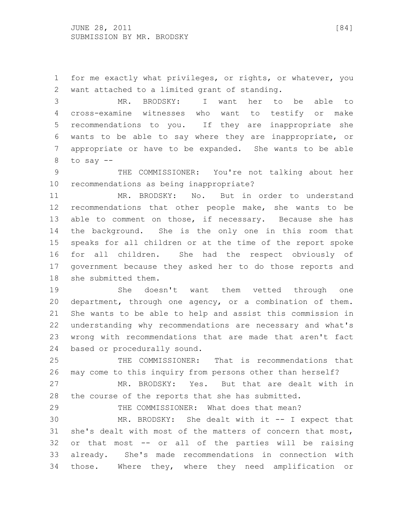for me exactly what privileges, or rights, or whatever, you want attached to a limited grant of standing.

 MR. BRODSKY: I want her to be able to cross-examine witnesses who want to testify or make recommendations to you. If they are inappropriate she wants to be able to say where they are inappropriate, or appropriate or have to be expanded. She wants to be able to say --

 THE COMMISSIONER: You're not talking about her recommendations as being inappropriate?

 MR. BRODSKY: No. But in order to understand recommendations that other people make, she wants to be able to comment on those, if necessary. Because she has the background. She is the only one in this room that speaks for all children or at the time of the report spoke for all children. She had the respect obviously of government because they asked her to do those reports and she submitted them.

 She doesn't want them vetted through one department, through one agency, or a combination of them. She wants to be able to help and assist this commission in understanding why recommendations are necessary and what's wrong with recommendations that are made that aren't fact based or procedurally sound.

 THE COMMISSIONER: That is recommendations that may come to this inquiry from persons other than herself?

 MR. BRODSKY: Yes. But that are dealt with in the course of the reports that she has submitted.

THE COMMISSIONER: What does that mean?

 MR. BRODSKY: She dealt with it -- I expect that she's dealt with most of the matters of concern that most, or that most -- or all of the parties will be raising already. She's made recommendations in connection with those. Where they, where they need amplification or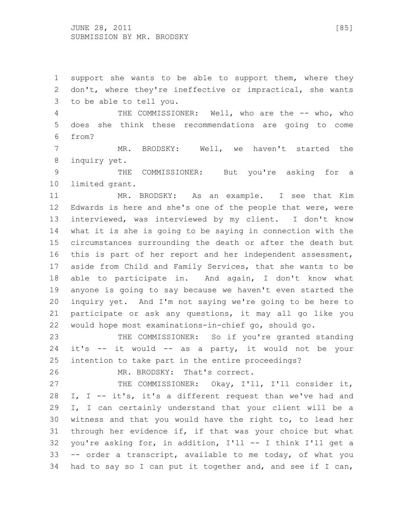support she wants to be able to support them, where they don't, where they're ineffective or impractical, she wants to be able to tell you.

 THE COMMISSIONER: Well, who are the -- who, who does she think these recommendations are going to come from?

 MR. BRODSKY: Well, we haven't started the inquiry yet.

 THE COMMISSIONER: But you're asking for a limited grant.

 MR. BRODSKY: As an example. I see that Kim Edwards is here and she's one of the people that were, were interviewed, was interviewed by my client. I don't know what it is she is going to be saying in connection with the circumstances surrounding the death or after the death but this is part of her report and her independent assessment, aside from Child and Family Services, that she wants to be able to participate in. And again, I don't know what anyone is going to say because we haven't even started the inquiry yet. And I'm not saying we're going to be here to participate or ask any questions, it may all go like you would hope most examinations-in-chief go, should go.

 THE COMMISSIONER: So if you're granted standing it's -- it would -- as a party, it would not be your intention to take part in the entire proceedings?

MR. BRODSKY: That's correct.

27 THE COMMISSIONER: Okay, I'll, I'll consider it, I, I -- it's, it's a different request than we've had and I, I can certainly understand that your client will be a witness and that you would have the right to, to lead her through her evidence if, if that was your choice but what you're asking for, in addition, I'll -- I think I'll get a -- order a transcript, available to me today, of what you had to say so I can put it together and, and see if I can,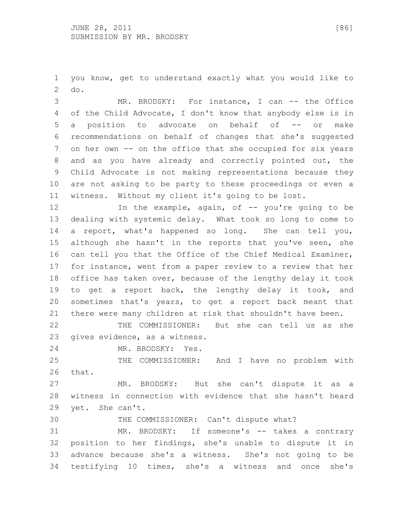you know, get to understand exactly what you would like to do.

 MR. BRODSKY: For instance, I can -- the Office of the Child Advocate, I don't know that anybody else is in 5 a position to advocate on behalf of -- or make recommendations on behalf of changes that she's suggested on her own -- on the office that she occupied for six years and as you have already and correctly pointed out, the Child Advocate is not making representations because they are not asking to be party to these proceedings or even a witness. Without my client it's going to be lost.

12 12 In the example, again, of -- you're going to be dealing with systemic delay. What took so long to come to a report, what's happened so long. She can tell you, although she hasn't in the reports that you've seen, she can tell you that the Office of the Chief Medical Examiner, for instance, went from a paper review to a review that her office has taken over, because of the lengthy delay it took to get a report back, the lengthy delay it took, and sometimes that's years, to get a report back meant that there were many children at risk that shouldn't have been.

 THE COMMISSIONER: But she can tell us as she gives evidence, as a witness.

MR. BRODSKY: Yes.

 THE COMMISSIONER: And I have no problem with that.

 MR. BRODSKY: But she can't dispute it as a witness in connection with evidence that she hasn't heard yet. She can't.

THE COMMISSIONER: Can't dispute what?

 MR. BRODSKY: If someone's -- takes a contrary position to her findings, she's unable to dispute it in advance because she's a witness. She's not going to be testifying 10 times, she's a witness and once she's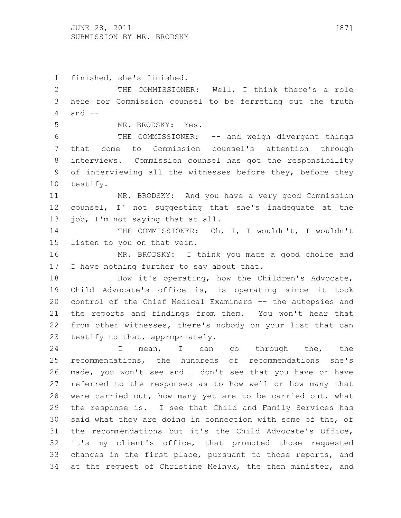JUNE 28, 2011 [87] SUBMISSION BY MR. BRODSKY

 finished, she's finished. THE COMMISSIONER: Well, I think there's a role here for Commission counsel to be ferreting out the truth and -- MR. BRODSKY: Yes. THE COMMISSIONER: -- and weigh divergent things that come to Commission counsel's attention through interviews. Commission counsel has got the responsibility of interviewing all the witnesses before they, before they testify. MR. BRODSKY: And you have a very good Commission counsel, I' not suggesting that she's inadequate at the job, I'm not saying that at all. 14 THE COMMISSIONER: Oh, I, I wouldn't, I wouldn't listen to you on that vein. MR. BRODSKY: I think you made a good choice and 17 I have nothing further to say about that. 18 How it's operating, how the Children's Advocate, Child Advocate's office is, is operating since it took control of the Chief Medical Examiners -- the autopsies and the reports and findings from them. You won't hear that from other witnesses, there's nobody on your list that can testify to that, appropriately. 24 I mean, I can go through the, the recommendations, the hundreds of recommendations she's made, you won't see and I don't see that you have or have referred to the responses as to how well or how many that were carried out, how many yet are to be carried out, what the response is. I see that Child and Family Services has said what they are doing in connection with some of the, of the recommendations but it's the Child Advocate's Office, it's my client's office, that promoted those requested changes in the first place, pursuant to those reports, and at the request of Christine Melnyk, the then minister, and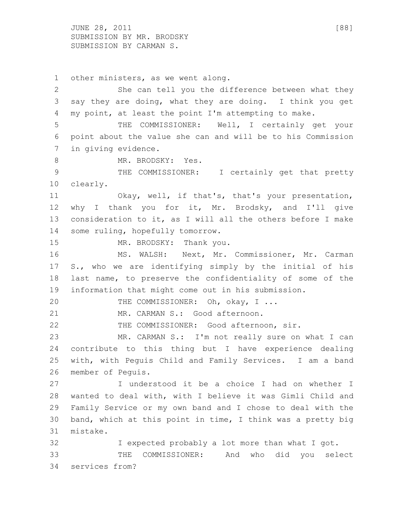JUNE 28, 2011 [88] SUBMISSION BY MR. BRODSKY SUBMISSION BY CARMAN S.

 other ministers, as we went along. She can tell you the difference between what they say they are doing, what they are doing. I think you get my point, at least the point I'm attempting to make. THE COMMISSIONER: Well, I certainly get your point about the value she can and will be to his Commission in giving evidence. 8 MR. BRODSKY: Yes. 9 THE COMMISSIONER: I certainly get that pretty clearly. Okay, well, if that's, that's your presentation, why I thank you for it, Mr. Brodsky, and I'll give consideration to it, as I will all the others before I make some ruling, hopefully tomorrow. 15 MR. BRODSKY: Thank you. MS. WALSH: Next, Mr. Commissioner, Mr. Carman S., who we are identifying simply by the initial of his last name, to preserve the confidentiality of some of the information that might come out in his submission. 20 THE COMMISSIONER: Oh, okay, I ... 21 MR. CARMAN S.: Good afternoon. THE COMMISSIONER: Good afternoon, sir. MR. CARMAN S.: I'm not really sure on what I can contribute to this thing but I have experience dealing with, with Peguis Child and Family Services. I am a band member of Peguis. I understood it be a choice I had on whether I wanted to deal with, with I believe it was Gimli Child and Family Service or my own band and I chose to deal with the band, which at this point in time, I think was a pretty big mistake. I expected probably a lot more than what I got. THE COMMISSIONER: And who did you select services from?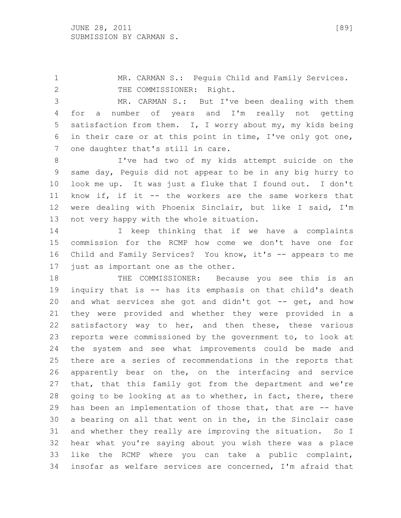MR. CARMAN S.: Peguis Child and Family Services. 2 THE COMMISSIONER: Right.

 MR. CARMAN S.: But I've been dealing with them for a number of years and I'm really not getting satisfaction from them. I, I worry about my, my kids being in their care or at this point in time, I've only got one, one daughter that's still in care.

 I've had two of my kids attempt suicide on the same day, Peguis did not appear to be in any big hurry to look me up. It was just a fluke that I found out. I don't know if, if it -- the workers are the same workers that were dealing with Phoenix Sinclair, but like I said, I'm not very happy with the whole situation.

 I keep thinking that if we have a complaints commission for the RCMP how come we don't have one for Child and Family Services? You know, it's -- appears to me just as important one as the other.

18 THE COMMISSIONER: Because you see this is an inquiry that is -- has its emphasis on that child's death and what services she got and didn't got -- get, and how they were provided and whether they were provided in a 22 satisfactory way to her, and then these, these various reports were commissioned by the government to, to look at the system and see what improvements could be made and there are a series of recommendations in the reports that apparently bear on the, on the interfacing and service that, that this family got from the department and we're 28 going to be looking at as to whether, in fact, there, there has been an implementation of those that, that are -- have a bearing on all that went on in the, in the Sinclair case and whether they really are improving the situation. So I hear what you're saying about you wish there was a place like the RCMP where you can take a public complaint, insofar as welfare services are concerned, I'm afraid that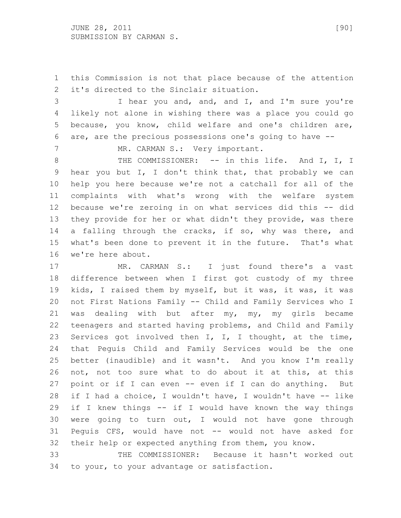this Commission is not that place because of the attention it's directed to the Sinclair situation.

 I hear you and, and, and I, and I'm sure you're likely not alone in wishing there was a place you could go because, you know, child welfare and one's children are, are, are the precious possessions one's going to have --

7 MR. CARMAN S.: Very important.

8 THE COMMISSIONER: -- in this life. And I, I, I hear you but I, I don't think that, that probably we can help you here because we're not a catchall for all of the complaints with what's wrong with the welfare system because we're zeroing in on what services did this -- did they provide for her or what didn't they provide, was there 14 a falling through the cracks, if so, why was there, and what's been done to prevent it in the future. That's what we're here about.

 MR. CARMAN S.: I just found there's a vast difference between when I first got custody of my three kids, I raised them by myself, but it was, it was, it was not First Nations Family -- Child and Family Services who I was dealing with but after my, my, my girls became teenagers and started having problems, and Child and Family Services got involved then I, I, I thought, at the time, that Peguis Child and Family Services would be the one better (inaudible) and it wasn't. And you know I'm really not, not too sure what to do about it at this, at this point or if I can even -- even if I can do anything. But if I had a choice, I wouldn't have, I wouldn't have -- like if I knew things -- if I would have known the way things were going to turn out, I would not have gone through Peguis CFS, would have not -- would not have asked for their help or expected anything from them, you know.

 THE COMMISSIONER: Because it hasn't worked out to your, to your advantage or satisfaction.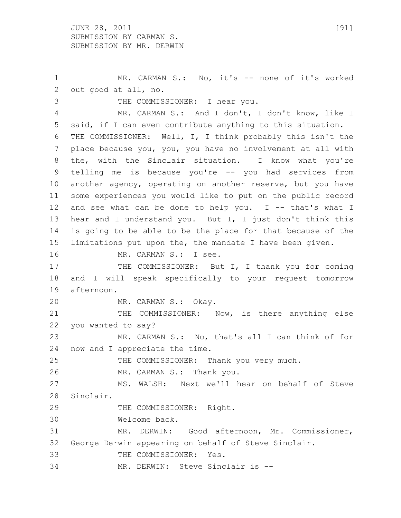1 MR. CARMAN S.: No, it's -- none of it's worked out good at all, no.

 THE COMMISSIONER: I hear you. MR. CARMAN S.: And I don't, I don't know, like I said, if I can even contribute anything to this situation. THE COMMISSIONER: Well, I, I think probably this isn't the place because you, you, you have no involvement at all with the, with the Sinclair situation. I know what you're telling me is because you're -- you had services from another agency, operating on another reserve, but you have some experiences you would like to put on the public record and see what can be done to help you. I -- that's what I hear and I understand you. But I, I just don't think this is going to be able to be the place for that because of the limitations put upon the, the mandate I have been given. 16 MR. CARMAN S.: I see. 17 THE COMMISSIONER: But I, I thank you for coming and I will speak specifically to your request tomorrow afternoon.

MR. CARMAN S.: Okay.

21 THE COMMISSIONER: Now, is there anything else you wanted to say? MR. CARMAN S.: No, that's all I can think of for

now and I appreciate the time.

THE COMMISSIONER: Thank you very much.

MR. CARMAN S.: Thank you.

 MS. WALSH: Next we'll hear on behalf of Steve Sinclair.

THE COMMISSIONER: Right.

Welcome back.

 MR. DERWIN: Good afternoon, Mr. Commissioner, George Derwin appearing on behalf of Steve Sinclair. THE COMMISSIONER: Yes.

MR. DERWIN: Steve Sinclair is --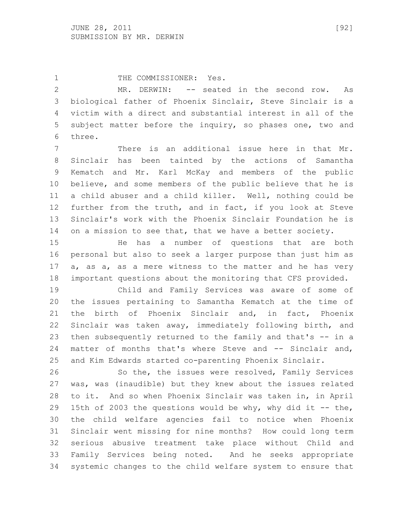1 THE COMMISSIONER: Yes. MR. DERWIN: -- seated in the second row. As biological father of Phoenix Sinclair, Steve Sinclair is a victim with a direct and substantial interest in all of the subject matter before the inquiry, so phases one, two and three.

 There is an additional issue here in that Mr. Sinclair has been tainted by the actions of Samantha Kematch and Mr. Karl McKay and members of the public believe, and some members of the public believe that he is a child abuser and a child killer. Well, nothing could be further from the truth, and in fact, if you look at Steve Sinclair's work with the Phoenix Sinclair Foundation he is on a mission to see that, that we have a better society.

 He has a number of questions that are both personal but also to seek a larger purpose than just him as a, as a, as a mere witness to the matter and he has very important questions about the monitoring that CFS provided.

 Child and Family Services was aware of some of the issues pertaining to Samantha Kematch at the time of the birth of Phoenix Sinclair and, in fact, Phoenix Sinclair was taken away, immediately following birth, and then subsequently returned to the family and that's -- in a matter of months that's where Steve and -- Sinclair and, and Kim Edwards started co-parenting Phoenix Sinclair.

 So the, the issues were resolved, Family Services was, was (inaudible) but they knew about the issues related to it. And so when Phoenix Sinclair was taken in, in April 15th of 2003 the questions would be why, why did it -- the, the child welfare agencies fail to notice when Phoenix Sinclair went missing for nine months? How could long term serious abusive treatment take place without Child and Family Services being noted. And he seeks appropriate systemic changes to the child welfare system to ensure that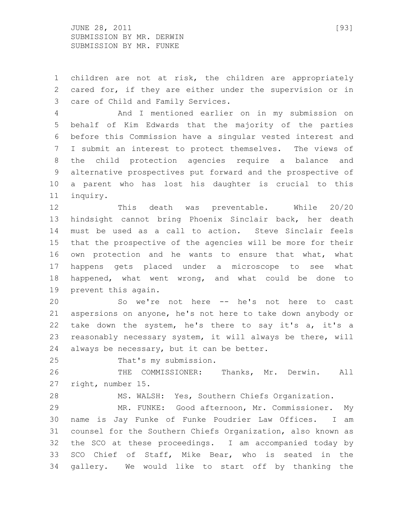JUNE 28, 2011 [93] SUBMISSION BY MR. DERWIN SUBMISSION BY MR. FUNKE

 children are not at risk, the children are appropriately cared for, if they are either under the supervision or in care of Child and Family Services.

 And I mentioned earlier on in my submission on behalf of Kim Edwards that the majority of the parties before this Commission have a singular vested interest and I submit an interest to protect themselves. The views of the child protection agencies require a balance and alternative prospectives put forward and the prospective of a parent who has lost his daughter is crucial to this inquiry.

 This death was preventable. While 20/20 hindsight cannot bring Phoenix Sinclair back, her death must be used as a call to action. Steve Sinclair feels that the prospective of the agencies will be more for their own protection and he wants to ensure that what, what happens gets placed under a microscope to see what happened, what went wrong, and what could be done to prevent this again.

 So we're not here -- he's not here to cast aspersions on anyone, he's not here to take down anybody or 22 take down the system, he's there to say it's a, it's a reasonably necessary system, it will always be there, will always be necessary, but it can be better.

That's my submission.

 THE COMMISSIONER: Thanks, Mr. Derwin. All right, number 15.

MS. WALSH: Yes, Southern Chiefs Organization.

 MR. FUNKE: Good afternoon, Mr. Commissioner. My name is Jay Funke of Funke Poudrier Law Offices. I am counsel for the Southern Chiefs Organization, also known as the SCO at these proceedings. I am accompanied today by SCO Chief of Staff, Mike Bear, who is seated in the gallery. We would like to start off by thanking the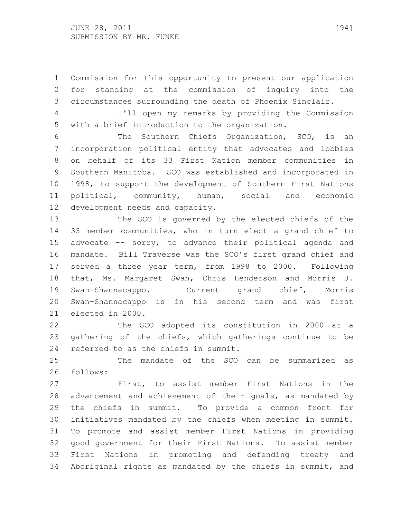Commission for this opportunity to present our application for standing at the commission of inquiry into the circumstances surrounding the death of Phoenix Sinclair.

 I'll open my remarks by providing the Commission with a brief introduction to the organization.

 The Southern Chiefs Organization, SCO, is an incorporation political entity that advocates and lobbies on behalf of its 33 First Nation member communities in Southern Manitoba. SCO was established and incorporated in 1998, to support the development of Southern First Nations political, community, human, social and economic development needs and capacity.

 The SCO is governed by the elected chiefs of the 33 member communities, who in turn elect a grand chief to advocate -- sorry, to advance their political agenda and mandate. Bill Traverse was the SCO's first grand chief and served a three year term, from 1998 to 2000. Following that, Ms. Margaret Swan, Chris Henderson and Morris J. Swan-Shannacappo. Current grand chief, Morris Swan-Shannacappo is in his second term and was first elected in 2000.

 The SCO adopted its constitution in 2000 at a gathering of the chiefs, which gatherings continue to be referred to as the chiefs in summit.

 The mandate of the SCO can be summarized as follows:

 First, to assist member First Nations in the advancement and achievement of their goals, as mandated by the chiefs in summit. To provide a common front for initiatives mandated by the chiefs when meeting in summit. To promote and assist member First Nations in providing good government for their First Nations. To assist member First Nations in promoting and defending treaty and Aboriginal rights as mandated by the chiefs in summit, and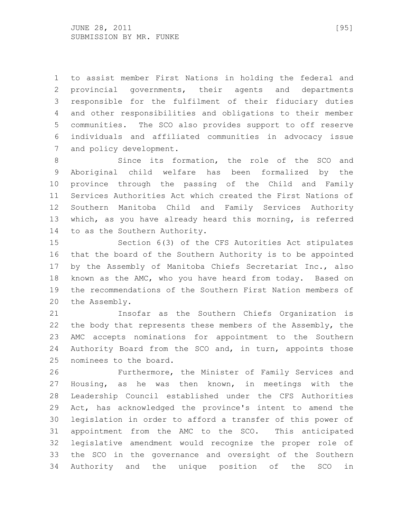to assist member First Nations in holding the federal and provincial governments, their agents and departments responsible for the fulfilment of their fiduciary duties and other responsibilities and obligations to their member communities. The SCO also provides support to off reserve individuals and affiliated communities in advocacy issue and policy development.

8 Since its formation, the role of the SCO and Aboriginal child welfare has been formalized by the province through the passing of the Child and Family Services Authorities Act which created the First Nations of Southern Manitoba Child and Family Services Authority which, as you have already heard this morning, is referred to as the Southern Authority.

 Section 6(3) of the CFS Autorities Act stipulates that the board of the Southern Authority is to be appointed by the Assembly of Manitoba Chiefs Secretariat Inc., also known as the AMC, who you have heard from today. Based on the recommendations of the Southern First Nation members of the Assembly.

 Insofar as the Southern Chiefs Organization is 22 the body that represents these members of the Assembly, the AMC accepts nominations for appointment to the Southern Authority Board from the SCO and, in turn, appoints those nominees to the board.

 Furthermore, the Minister of Family Services and Housing, as he was then known, in meetings with the Leadership Council established under the CFS Authorities Act, has acknowledged the province's intent to amend the legislation in order to afford a transfer of this power of appointment from the AMC to the SCO. This anticipated legislative amendment would recognize the proper role of the SCO in the governance and oversight of the Southern Authority and the unique position of the SCO in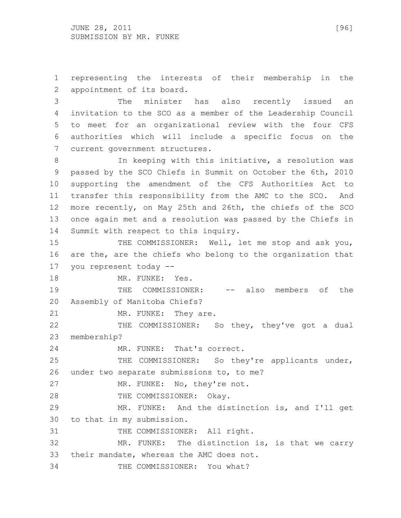JUNE 28, 2011 [96] SUBMISSION BY MR. FUNKE

 representing the interests of their membership in the appointment of its board.

 The minister has also recently issued an invitation to the SCO as a member of the Leadership Council to meet for an organizational review with the four CFS authorities which will include a specific focus on the current government structures.

 In keeping with this initiative, a resolution was passed by the SCO Chiefs in Summit on October the 6th, 2010 supporting the amendment of the CFS Authorities Act to transfer this responsibility from the AMC to the SCO. And more recently, on May 25th and 26th, the chiefs of the SCO once again met and a resolution was passed by the Chiefs in Summit with respect to this inquiry.

15 THE COMMISSIONER: Well, let me stop and ask you, are the, are the chiefs who belong to the organization that you represent today --

18 MR. FUNKE: Yes.

19 THE COMMISSIONER: -- also members of the Assembly of Manitoba Chiefs?

21 MR. FUNKE: They are.

 THE COMMISSIONER: So they, they've got a dual membership?

MR. FUNKE: That's correct.

 THE COMMISSIONER: So they're applicants under, under two separate submissions to, to me?

27 MR. FUNKE: No, they're not.

28 THE COMMISSIONER: Okay.

 MR. FUNKE: And the distinction is, and I'll get to that in my submission.

31 THE COMMISSIONER: All right.

 MR. FUNKE: The distinction is, is that we carry their mandate, whereas the AMC does not.

THE COMMISSIONER: You what?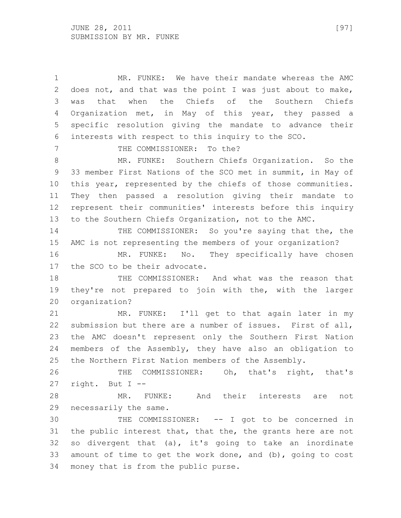MR. FUNKE: We have their mandate whereas the AMC does not, and that was the point I was just about to make, was that when the Chiefs of the Southern Chiefs Organization met, in May of this year, they passed a specific resolution giving the mandate to advance their interests with respect to this inquiry to the SCO. 7 THE COMMISSIONER: To the? MR. FUNKE: Southern Chiefs Organization. So the 33 member First Nations of the SCO met in summit, in May of this year, represented by the chiefs of those communities. They then passed a resolution giving their mandate to represent their communities' interests before this inquiry to the Southern Chiefs Organization, not to the AMC. THE COMMISSIONER: So you're saying that the, the AMC is not representing the members of your organization? 16 MR. FUNKE: No. They specifically have chosen the SCO to be their advocate. THE COMMISSIONER: And what was the reason that they're not prepared to join with the, with the larger organization? MR. FUNKE: I'll get to that again later in my submission but there are a number of issues. First of all, the AMC doesn't represent only the Southern First Nation members of the Assembly, they have also an obligation to the Northern First Nation members of the Assembly. THE COMMISSIONER: Oh, that's right, that's right. But I -- MR. FUNKE: And their interests are not necessarily the same. THE COMMISSIONER: -- I got to be concerned in the public interest that, that the, the grants here are not so divergent that (a), it's going to take an inordinate amount of time to get the work done, and (b), going to cost money that is from the public purse.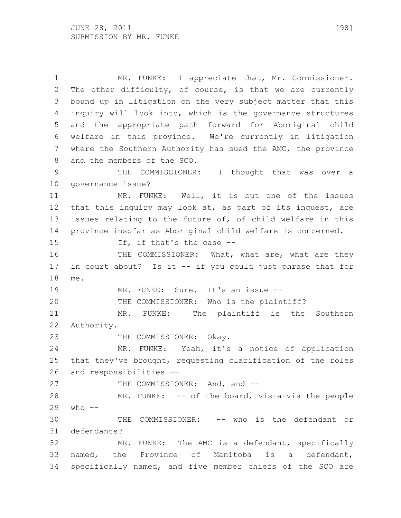MR. FUNKE: I appreciate that, Mr. Commissioner. The other difficulty, of course, is that we are currently bound up in litigation on the very subject matter that this inquiry will look into, which is the governance structures and the appropriate path forward for Aboriginal child welfare in this province. We're currently in litigation where the Southern Authority has sued the AMC, the province and the members of the SCO. THE COMMISSIONER: I thought that was over a governance issue? MR. FUNKE: Well, it is but one of the issues that this inquiry may look at, as part of its inquest, are issues relating to the future of, of child welfare in this province insofar as Aboriginal child welfare is concerned. If, if that's the case -- 16 THE COMMISSIONER: What, what are, what are they in court about? Is it -- if you could just phrase that for me. MR. FUNKE: Sure. It's an issue -- THE COMMISSIONER: Who is the plaintiff? MR. FUNKE: The plaintiff is the Southern Authority. 23 THE COMMISSIONER: Okay. MR. FUNKE: Yeah, it's a notice of application that they've brought, requesting clarification of the roles and responsibilities -- 27 THE COMMISSIONER: And, and -- MR. FUNKE: -- of the board, vis-a-vis the people who  $-$  THE COMMISSIONER: -- who is the defendant or defendants? MR. FUNKE: The AMC is a defendant, specifically named, the Province of Manitoba is a defendant, specifically named, and five member chiefs of the SCO are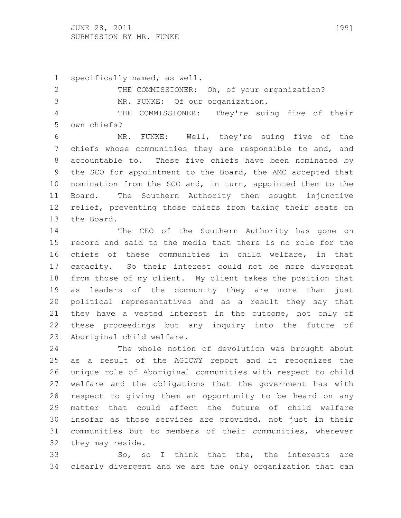JUNE 28, 2011 [99] SUBMISSION BY MR. FUNKE

specifically named, as well.

2 THE COMMISSIONER: Oh, of your organization? MR. FUNKE: Of our organization. THE COMMISSIONER: They're suing five of their own chiefs?

 MR. FUNKE: Well, they're suing five of the chiefs whose communities they are responsible to and, and accountable to. These five chiefs have been nominated by the SCO for appointment to the Board, the AMC accepted that nomination from the SCO and, in turn, appointed them to the Board. The Southern Authority then sought injunctive relief, preventing those chiefs from taking their seats on the Board.

 The CEO of the Southern Authority has gone on record and said to the media that there is no role for the chiefs of these communities in child welfare, in that capacity. So their interest could not be more divergent from those of my client. My client takes the position that as leaders of the community they are more than just political representatives and as a result they say that they have a vested interest in the outcome, not only of these proceedings but any inquiry into the future of Aboriginal child welfare.

 The whole notion of devolution was brought about as a result of the AGICWY report and it recognizes the unique role of Aboriginal communities with respect to child welfare and the obligations that the government has with respect to giving them an opportunity to be heard on any matter that could affect the future of child welfare insofar as those services are provided, not just in their communities but to members of their communities, wherever they may reside.

 So, so I think that the, the interests are clearly divergent and we are the only organization that can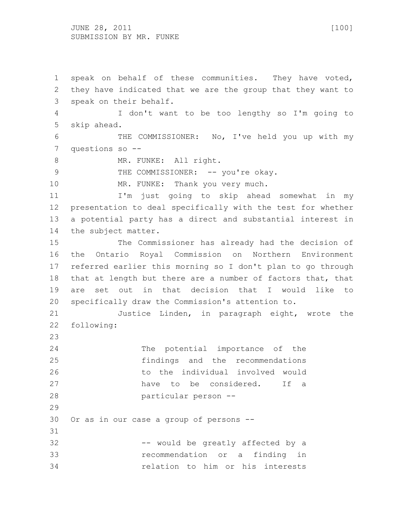JUNE 28, 2011 [100] SUBMISSION BY MR. FUNKE

 speak on behalf of these communities. They have voted, they have indicated that we are the group that they want to speak on their behalf. I don't want to be too lengthy so I'm going to skip ahead. THE COMMISSIONER: No, I've held you up with my questions so -- 8 MR. FUNKE: All right. 9 THE COMMISSIONER: -- you're okay. 10 MR. FUNKE: Thank you very much. I'm just going to skip ahead somewhat in my presentation to deal specifically with the test for whether a potential party has a direct and substantial interest in the subject matter. The Commissioner has already had the decision of the Ontario Royal Commission on Northern Environment referred earlier this morning so I don't plan to go through that at length but there are a number of factors that, that are set out in that decision that I would like to specifically draw the Commission's attention to. Justice Linden, in paragraph eight, wrote the following: 24 The potential importance of the findings and the recommendations to the individual involved would have to be considered. If a particular person -- Or as in our case a group of persons -- 32 -- would be greatly affected by a recommendation or a finding in relation to him or his interests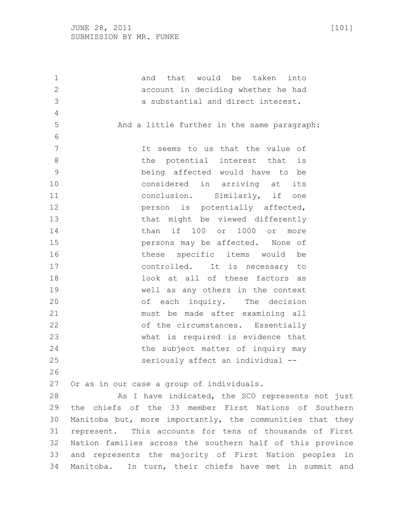| 1              | and that would be taken<br>into                           |
|----------------|-----------------------------------------------------------|
| $\mathbf{2}$   | account in deciding whether he had                        |
| 3              | a substantial and direct interest.                        |
| $\overline{4}$ |                                                           |
| 5              | And a little further in the same paragraph:               |
| 6              |                                                           |
| $\overline{7}$ | It seems to us that the value of                          |
| 8              | the potential interest that<br>is                         |
| 9              | being affected would have to be                           |
| 10             | considered in arriving at<br>its                          |
| 11             | conclusion. Similarly, if one                             |
| 12             | person is potentially affected,                           |
| 13             | that might be viewed differently                          |
| 14             | than if 100 or<br>1000 or<br>more                         |
| 15             | persons may be affected. None of                          |
| 16             | these specific items would<br>be                          |
| 17             | controlled. It is necessary to                            |
| 18             | look at all of these factors as                           |
| 19             | well as any others in the context                         |
| 20             | of each inquiry. The decision                             |
| 21             | must be made after examining all                          |
| 22             | of the circumstances. Essentially                         |
| 23             | what is required is evidence that                         |
| 24             | the subject matter of inquiry may                         |
| 25             | seriously affect an individual --                         |
| 26             |                                                           |
| 27             | Or as in our case a group of individuals.                 |
| 28             | As I have indicated, the SCO represents not just          |
| 29             | the chiefs of the 33 member First Nations of Southern     |
| 30             | Manitoba but, more importantly, the communities that they |
| 31             | represent. This accounts for tens of thousands of First   |
| 32             | Nation families across the southern half of this province |
| 33             | and represents the majority of First Nation peoples in    |
| 34             | Manitoba. In turn, their chiefs have met in summit and    |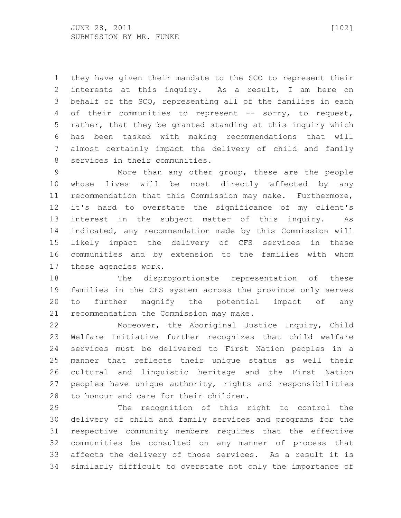they have given their mandate to the SCO to represent their interests at this inquiry. As a result, I am here on behalf of the SCO, representing all of the families in each 4 of their communities to represent -- sorry, to request, rather, that they be granted standing at this inquiry which has been tasked with making recommendations that will almost certainly impact the delivery of child and family services in their communities.

 More than any other group, these are the people whose lives will be most directly affected by any recommendation that this Commission may make. Furthermore, it's hard to overstate the significance of my client's interest in the subject matter of this inquiry. As indicated, any recommendation made by this Commission will likely impact the delivery of CFS services in these communities and by extension to the families with whom these agencies work.

 The disproportionate representation of these families in the CFS system across the province only serves to further magnify the potential impact of any recommendation the Commission may make.

 Moreover, the Aboriginal Justice Inquiry, Child Welfare Initiative further recognizes that child welfare services must be delivered to First Nation peoples in a manner that reflects their unique status as well their cultural and linguistic heritage and the First Nation peoples have unique authority, rights and responsibilities to honour and care for their children.

 The recognition of this right to control the delivery of child and family services and programs for the respective community members requires that the effective communities be consulted on any manner of process that affects the delivery of those services. As a result it is similarly difficult to overstate not only the importance of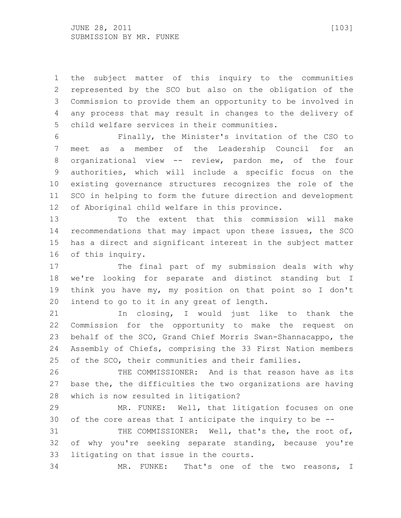the subject matter of this inquiry to the communities represented by the SCO but also on the obligation of the Commission to provide them an opportunity to be involved in any process that may result in changes to the delivery of child welfare services in their communities.

 Finally, the Minister's invitation of the CSO to meet as a member of the Leadership Council for an organizational view -- review, pardon me, of the four authorities, which will include a specific focus on the existing governance structures recognizes the role of the SCO in helping to form the future direction and development of Aboriginal child welfare in this province.

 To the extent that this commission will make recommendations that may impact upon these issues, the SCO has a direct and significant interest in the subject matter of this inquiry.

 The final part of my submission deals with why we're looking for separate and distinct standing but I think you have my, my position on that point so I don't intend to go to it in any great of length.

 In closing, I would just like to thank the Commission for the opportunity to make the request on behalf of the SCO, Grand Chief Morris Swan-Shannacappo, the Assembly of Chiefs, comprising the 33 First Nation members of the SCO, their communities and their families.

 THE COMMISSIONER: And is that reason have as its base the, the difficulties the two organizations are having which is now resulted in litigation?

 MR. FUNKE: Well, that litigation focuses on one of the core areas that I anticipate the inquiry to be --

31 THE COMMISSIONER: Well, that's the, the root of, of why you're seeking separate standing, because you're litigating on that issue in the courts.

MR. FUNKE: That's one of the two reasons, I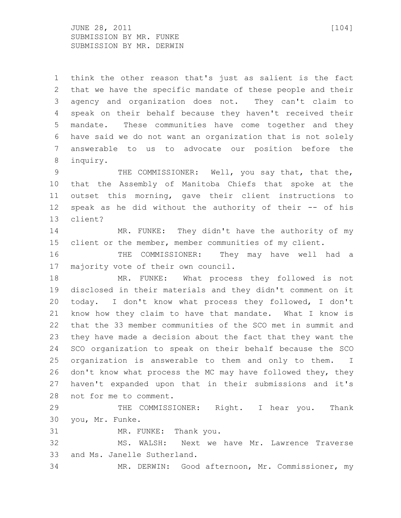$JUNE$  28, 2011 [104] SUBMISSION BY MR. FUNKE SUBMISSION BY MR. DERWIN

 think the other reason that's just as salient is the fact that we have the specific mandate of these people and their agency and organization does not. They can't claim to speak on their behalf because they haven't received their mandate. These communities have come together and they have said we do not want an organization that is not solely answerable to us to advocate our position before the inquiry.

9 THE COMMISSIONER: Well, you say that, that the, that the Assembly of Manitoba Chiefs that spoke at the outset this morning, gave their client instructions to speak as he did without the authority of their -- of his client?

 MR. FUNKE: They didn't have the authority of my client or the member, member communities of my client.

 THE COMMISSIONER: They may have well had a majority vote of their own council.

 MR. FUNKE: What process they followed is not disclosed in their materials and they didn't comment on it today. I don't know what process they followed, I don't know how they claim to have that mandate. What I know is that the 33 member communities of the SCO met in summit and they have made a decision about the fact that they want the SCO organization to speak on their behalf because the SCO organization is answerable to them and only to them. I don't know what process the MC may have followed they, they haven't expanded upon that in their submissions and it's not for me to comment.

29 THE COMMISSIONER: Right. I hear you. Thank you, Mr. Funke.

MR. FUNKE: Thank you.

 MS. WALSH: Next we have Mr. Lawrence Traverse and Ms. Janelle Sutherland.

MR. DERWIN: Good afternoon, Mr. Commissioner, my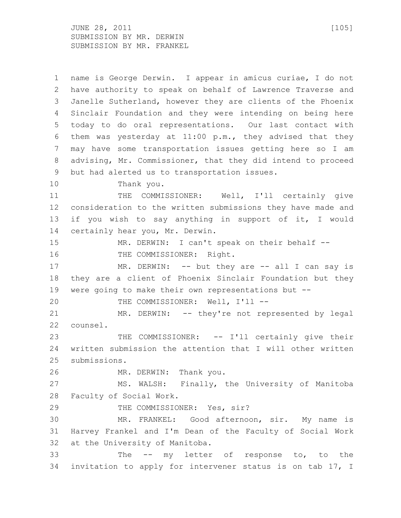JUNE 28, 2011 [105] SUBMISSION BY MR. DERWIN SUBMISSION BY MR. FRANKEL

 name is George Derwin. I appear in amicus curiae, I do not have authority to speak on behalf of Lawrence Traverse and Janelle Sutherland, however they are clients of the Phoenix Sinclair Foundation and they were intending on being here today to do oral representations. Our last contact with them was yesterday at 11:00 p.m., they advised that they may have some transportation issues getting here so I am advising, Mr. Commissioner, that they did intend to proceed but had alerted us to transportation issues. Thank you. THE COMMISSIONER: Well, I'll certainly give consideration to the written submissions they have made and if you wish to say anything in support of it, I would certainly hear you, Mr. Derwin. MR. DERWIN: I can't speak on their behalf -- 16 THE COMMISSIONER: Right. 17 MR. DERWIN: -- but they are -- all I can say is they are a client of Phoenix Sinclair Foundation but they were going to make their own representations but -- THE COMMISSIONER: Well, I'll -- MR. DERWIN: -- they're not represented by legal counsel. THE COMMISSIONER: -- I'll certainly give their written submission the attention that I will other written submissions. MR. DERWIN: Thank you. MS. WALSH: Finally, the University of Manitoba Faculty of Social Work. 29 THE COMMISSIONER: Yes, sir? MR. FRANKEL: Good afternoon, sir. My name is Harvey Frankel and I'm Dean of the Faculty of Social Work at the University of Manitoba. The -- my letter of response to, to the invitation to apply for intervener status is on tab 17, I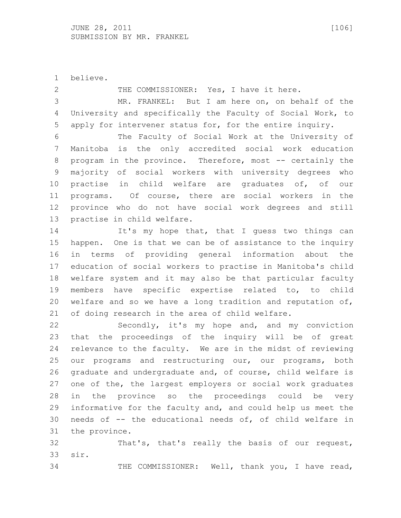believe.

2 THE COMMISSIONER: Yes, I have it here.

 MR. FRANKEL: But I am here on, on behalf of the University and specifically the Faculty of Social Work, to apply for intervener status for, for the entire inquiry.

 The Faculty of Social Work at the University of Manitoba is the only accredited social work education program in the province. Therefore, most -- certainly the majority of social workers with university degrees who practise in child welfare are graduates of, of our programs. Of course, there are social workers in the province who do not have social work degrees and still practise in child welfare.

14 It's my hope that, that I guess two things can happen. One is that we can be of assistance to the inquiry in terms of providing general information about the education of social workers to practise in Manitoba's child welfare system and it may also be that particular faculty members have specific expertise related to, to child welfare and so we have a long tradition and reputation of, of doing research in the area of child welfare.

 Secondly, it's my hope and, and my conviction that the proceedings of the inquiry will be of great relevance to the faculty. We are in the midst of reviewing 25 our programs and restructuring our, our programs, both graduate and undergraduate and, of course, child welfare is one of the, the largest employers or social work graduates in the province so the proceedings could be very informative for the faculty and, and could help us meet the needs of -- the educational needs of, of child welfare in the province.

 That's, that's really the basis of our request, sir.

THE COMMISSIONER: Well, thank you, I have read,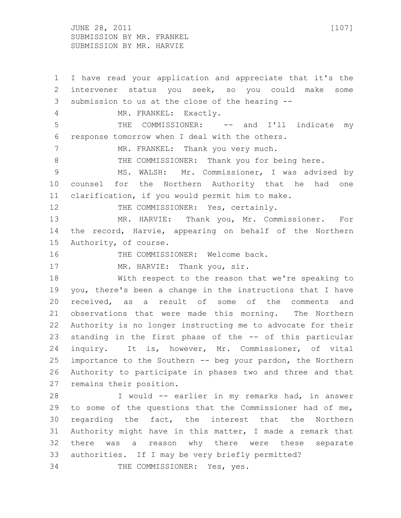JUNE 28, 2011 [107] SUBMISSION BY MR. FRANKEL SUBMISSION BY MR. HARVIE

 I have read your application and appreciate that it's the intervener status you seek, so you could make some submission to us at the close of the hearing -- MR. FRANKEL: Exactly. THE COMMISSIONER: -- and I'll indicate my response tomorrow when I deal with the others. 7 MR. FRANKEL: Thank you very much. 8 THE COMMISSIONER: Thank you for being here. MS. WALSH: Mr. Commissioner, I was advised by counsel for the Northern Authority that he had one clarification, if you would permit him to make. 12 THE COMMISSIONER: Yes, certainly. MR. HARVIE: Thank you, Mr. Commissioner. For the record, Harvie, appearing on behalf of the Northern Authority, of course. 16 THE COMMISSIONER: Welcome back. 17 MR. HARVIE: Thank you, sir. With respect to the reason that we're speaking to you, there's been a change in the instructions that I have received, as a result of some of the comments and observations that were made this morning. The Northern Authority is no longer instructing me to advocate for their standing in the first phase of the -- of this particular inquiry. It is, however, Mr. Commissioner, of vital importance to the Southern -- beg your pardon, the Northern Authority to participate in phases two and three and that remains their position. I would -- earlier in my remarks had, in answer to some of the questions that the Commissioner had of me, regarding the fact, the interest that the Northern Authority might have in this matter, I made a remark that there was a reason why there were these separate authorities. If I may be very briefly permitted? THE COMMISSIONER: Yes, yes.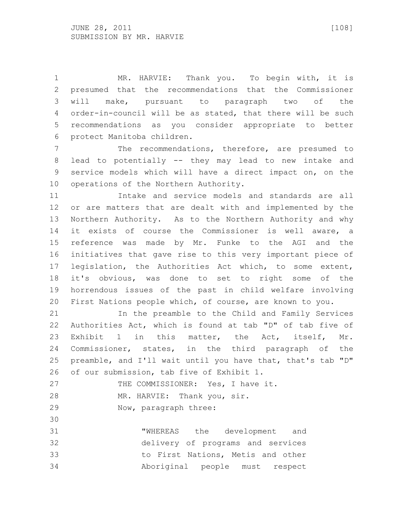MR. HARVIE: Thank you. To begin with, it is presumed that the recommendations that the Commissioner will make, pursuant to paragraph two of the order-in-council will be as stated, that there will be such recommendations as you consider appropriate to better protect Manitoba children.

 The recommendations, therefore, are presumed to lead to potentially -- they may lead to new intake and service models which will have a direct impact on, on the operations of the Northern Authority.

 Intake and service models and standards are all or are matters that are dealt with and implemented by the Northern Authority. As to the Northern Authority and why it exists of course the Commissioner is well aware, a reference was made by Mr. Funke to the AGI and the initiatives that gave rise to this very important piece of legislation, the Authorities Act which, to some extent, it's obvious, was done to set to right some of the horrendous issues of the past in child welfare involving First Nations people which, of course, are known to you.

 In the preamble to the Child and Family Services Authorities Act, which is found at tab "D" of tab five of Exhibit 1 in this matter, the Act, itself, Mr. Commissioner, states, in the third paragraph of the preamble, and I'll wait until you have that, that's tab "D" of our submission, tab five of Exhibit 1.

27 THE COMMISSIONER: Yes, I have it. MR. HARVIE: Thank you, sir. Now, paragraph three:

 "WHEREAS the development and delivery of programs and services to First Nations, Metis and other Aboriginal people must respect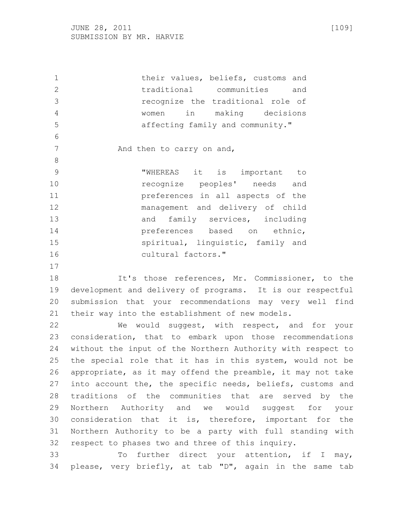their values, beliefs, customs and traditional communities and recognize the traditional role of women in making decisions affecting family and community." 7 And then to carry on and, "WHEREAS it is important to recognize peoples' needs and preferences in all aspects of the management and delivery of child 13 and family services, including **preferences** based on ethnic, spiritual, linguistic, family and cultural factors." It's those references, Mr. Commissioner, to the development and delivery of programs. It is our respectful submission that your recommendations may very well find their way into the establishment of new models. We would suggest, with respect, and for your

 consideration, that to embark upon those recommendations without the input of the Northern Authority with respect to the special role that it has in this system, would not be appropriate, as it may offend the preamble, it may not take into account the, the specific needs, beliefs, customs and traditions of the communities that are served by the Northern Authority and we would suggest for your consideration that it is, therefore, important for the Northern Authority to be a party with full standing with respect to phases two and three of this inquiry.

 To further direct your attention, if I may, please, very briefly, at tab "D", again in the same tab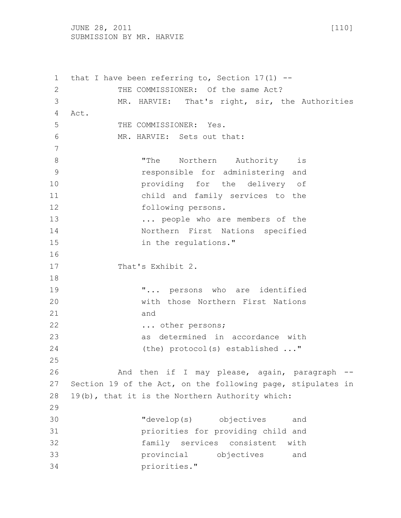JUNE 28, 2011 [110] SUBMISSION BY MR. HARVIE

 that I have been referring to, Section 17(1) -- 2 THE COMMISSIONER: Of the same Act? MR. HARVIE: That's right, sir, the Authorities Act. 5 THE COMMISSIONER: Yes. MR. HARVIE: Sets out that: 8 The Northern Authority is responsible for administering and providing for the delivery of child and family services to the following persons. ... people who are members of the Northern First Nations specified 15 in the regulations." 17 That's Exhibit 2. "... persons who are identified with those Northern First Nations and 22 ... other persons; as determined in accordance with (the) protocol(s) established ..." 26 And then if I may please, again, paragraph -- Section 19 of the Act, on the following page, stipulates in 19(b), that it is the Northern Authority which: "develop(s) objectives and priorities for providing child and family services consistent with provincial objectives and priorities."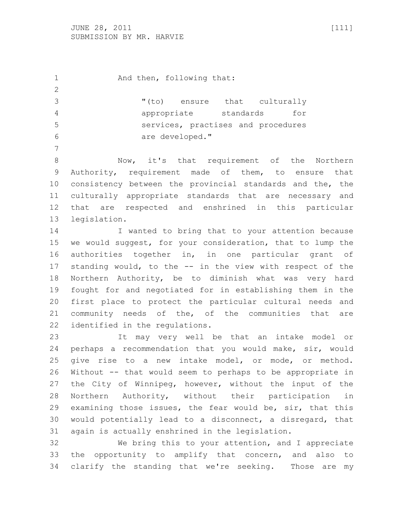1 And then, following that: "(to) ensure that culturally appropriate standards for services, practises and procedures are developed." Now, it's that requirement of the Northern Authority, requirement made of them, to ensure that

 consistency between the provincial standards and the, the culturally appropriate standards that are necessary and that are respected and enshrined in this particular legislation.

 I wanted to bring that to your attention because we would suggest, for your consideration, that to lump the authorities together in, in one particular grant of standing would, to the -- in the view with respect of the Northern Authority, be to diminish what was very hard fought for and negotiated for in establishing them in the first place to protect the particular cultural needs and community needs of the, of the communities that are identified in the regulations.

 It may very well be that an intake model or perhaps a recommendation that you would make, sir, would give rise to a new intake model, or mode, or method. Without -- that would seem to perhaps to be appropriate in the City of Winnipeg, however, without the input of the Northern Authority, without their participation in examining those issues, the fear would be, sir, that this would potentially lead to a disconnect, a disregard, that again is actually enshrined in the legislation.

 We bring this to your attention, and I appreciate the opportunity to amplify that concern, and also to clarify the standing that we're seeking. Those are my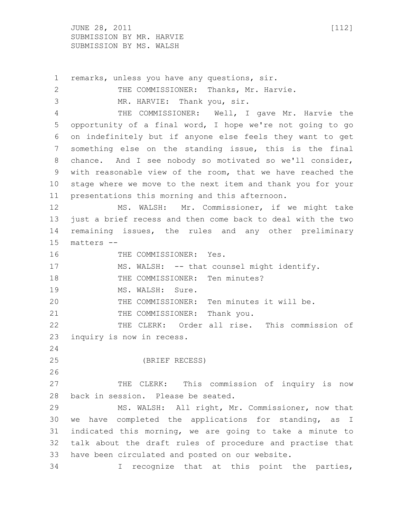$JUNE$  28, 2011 [112] SUBMISSION BY MR. HARVIE SUBMISSION BY MS. WALSH

 remarks, unless you have any questions, sir. 2 THE COMMISSIONER: Thanks, Mr. Harvie. MR. HARVIE: Thank you, sir. THE COMMISSIONER: Well, I gave Mr. Harvie the opportunity of a final word, I hope we're not going to go on indefinitely but if anyone else feels they want to get something else on the standing issue, this is the final chance. And I see nobody so motivated so we'll consider, with reasonable view of the room, that we have reached the stage where we move to the next item and thank you for your presentations this morning and this afternoon. MS. WALSH: Mr. Commissioner, if we might take just a brief recess and then come back to deal with the two remaining issues, the rules and any other preliminary matters -- 16 THE COMMISSIONER: Yes. 17 MS. WALSH: -- that counsel might identify. 18 THE COMMISSIONER: Ten minutes? 19 MS. WALSH: Sure. THE COMMISSIONER: Ten minutes it will be. 21 THE COMMISSIONER: Thank you. THE CLERK: Order all rise. This commission of inquiry is now in recess. (BRIEF RECESS) THE CLERK: This commission of inquiry is now back in session. Please be seated. MS. WALSH: All right, Mr. Commissioner, now that we have completed the applications for standing, as I indicated this morning, we are going to take a minute to talk about the draft rules of procedure and practise that have been circulated and posted on our website.

I recognize that at this point the parties,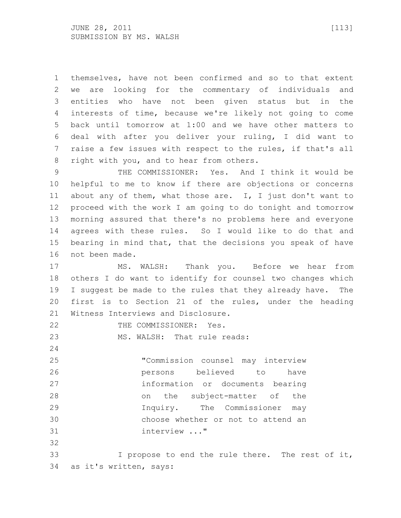themselves, have not been confirmed and so to that extent we are looking for the commentary of individuals and entities who have not been given status but in the interests of time, because we're likely not going to come back until tomorrow at 1:00 and we have other matters to deal with after you deliver your ruling, I did want to raise a few issues with respect to the rules, if that's all right with you, and to hear from others.

 THE COMMISSIONER: Yes. And I think it would be helpful to me to know if there are objections or concerns about any of them, what those are. I, I just don't want to proceed with the work I am going to do tonight and tomorrow morning assured that there's no problems here and everyone agrees with these rules. So I would like to do that and bearing in mind that, that the decisions you speak of have not been made.

 MS. WALSH: Thank you. Before we hear from others I do want to identify for counsel two changes which I suggest be made to the rules that they already have. The first is to Section 21 of the rules, under the heading Witness Interviews and Disclosure.

22 THE COMMISSIONER: Yes.

23 MS. WALSH: That rule reads:

 "Commission counsel may interview persons believed to have information or documents bearing on the subject-matter of the Inquiry. The Commissioner may choose whether or not to attend an interview ..." 

 I propose to end the rule there. The rest of it, as it's written, says: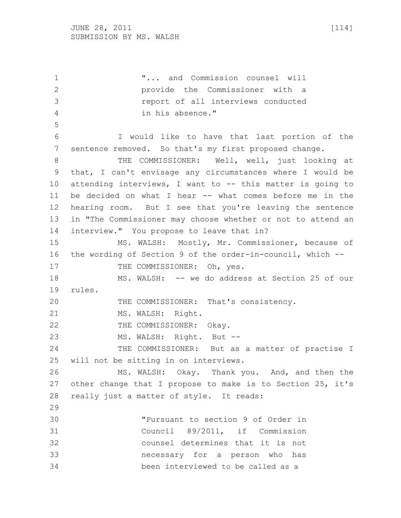"... and Commission counsel will provide the Commissioner with a report of all interviews conducted in his absence." I would like to have that last portion of the sentence removed. So that's my first proposed change. 8 THE COMMISSIONER: Well, well, just looking at that, I can't envisage any circumstances where I would be attending interviews, I want to -- this matter is going to be decided on what I hear -- what comes before me in the hearing room. But I see that you're leaving the sentence in "The Commissioner may choose whether or not to attend an interview." You propose to leave that in? MS. WALSH: Mostly, Mr. Commissioner, because of the wording of Section 9 of the order-in-council, which -- 17 THE COMMISSIONER: Oh, yes. MS. WALSH: -- we do address at Section 25 of our rules. THE COMMISSIONER: That's consistency. 21 MS. WALSH: Right. 22 THE COMMISSIONER: Okay. MS. WALSH: Right. But -- 24 THE COMMISSIONER: But as a matter of practise I will not be sitting in on interviews. MS. WALSH: Okay. Thank you. And, and then the other change that I propose to make is to Section 25, it's really just a matter of style. It reads: "Pursuant to section 9 of Order in Council 89/2011, if Commission counsel determines that it is not necessary for a person who has been interviewed to be called as a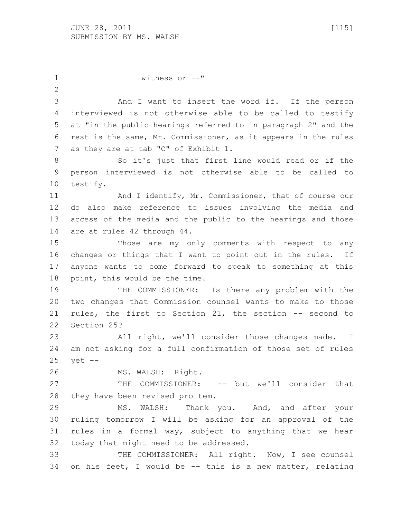witness or --" And I want to insert the word if. If the person interviewed is not otherwise able to be called to testify at "in the public hearings referred to in paragraph 2" and the rest is the same, Mr. Commissioner, as it appears in the rules 7 as they are at tab "C" of Exhibit 1. So it's just that first line would read or if the person interviewed is not otherwise able to be called to testify. 11 And I identify, Mr. Commissioner, that of course our do also make reference to issues involving the media and access of the media and the public to the hearings and those are at rules 42 through 44. Those are my only comments with respect to any changes or things that I want to point out in the rules. If anyone wants to come forward to speak to something at this point, this would be the time. 19 THE COMMISSIONER: Is there any problem with the two changes that Commission counsel wants to make to those rules, the first to Section 21, the section -- second to Section 25? All right, we'll consider those changes made. I am not asking for a full confirmation of those set of rules yet -- MS. WALSH: Right. 27 THE COMMISSIONER: -- but we'll consider that they have been revised pro tem. MS. WALSH: Thank you. And, and after your ruling tomorrow I will be asking for an approval of the rules in a formal way, subject to anything that we hear today that might need to be addressed. THE COMMISSIONER: All right. Now, I see counsel on his feet, I would be -- this is a new matter, relating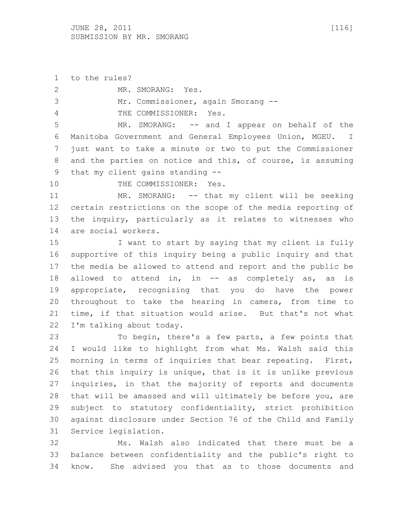to the rules? MR. SMORANG: Yes. Mr. Commissioner, again Smorang -- THE COMMISSIONER: Yes. MR. SMORANG: -- and I appear on behalf of the Manitoba Government and General Employees Union, MGEU. I just want to take a minute or two to put the Commissioner and the parties on notice and this, of course, is assuming that my client gains standing -- 10 THE COMMISSIONER: Yes. MR. SMORANG: -- that my client will be seeking certain restrictions on the scope of the media reporting of the inquiry, particularly as it relates to witnesses who are social workers. I want to start by saying that my client is fully supportive of this inquiry being a public inquiry and that the media be allowed to attend and report and the public be 18 allowed to attend in, in -- as completely as, as is appropriate, recognizing that you do have the power throughout to take the hearing in camera, from time to time, if that situation would arise. But that's not what I'm talking about today. To begin, there's a few parts, a few points that I would like to highlight from what Ms. Walsh said this morning in terms of inquiries that bear repeating. First, that this inquiry is unique, that is it is unlike previous inquiries, in that the majority of reports and documents that will be amassed and will ultimately be before you, are subject to statutory confidentiality, strict prohibition against disclosure under Section 76 of the Child and Family Service legislation. Ms. Walsh also indicated that there must be a balance between confidentiality and the public's right to

know. She advised you that as to those documents and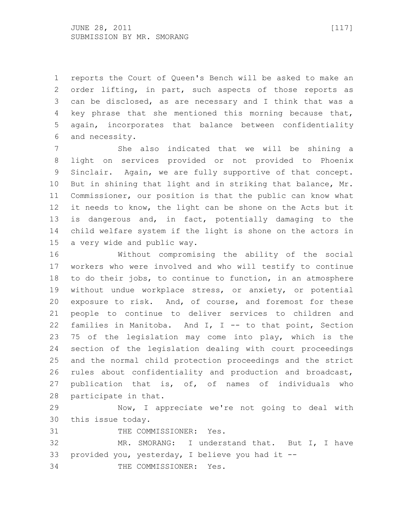reports the Court of Queen's Bench will be asked to make an order lifting, in part, such aspects of those reports as can be disclosed, as are necessary and I think that was a key phrase that she mentioned this morning because that, again, incorporates that balance between confidentiality and necessity.

 She also indicated that we will be shining a light on services provided or not provided to Phoenix Sinclair. Again, we are fully supportive of that concept. But in shining that light and in striking that balance, Mr. Commissioner, our position is that the public can know what it needs to know, the light can be shone on the Acts but it is dangerous and, in fact, potentially damaging to the child welfare system if the light is shone on the actors in a very wide and public way.

 Without compromising the ability of the social workers who were involved and who will testify to continue to do their jobs, to continue to function, in an atmosphere without undue workplace stress, or anxiety, or potential exposure to risk. And, of course, and foremost for these people to continue to deliver services to children and families in Manitoba. And I, I -- to that point, Section 75 of the legislation may come into play, which is the section of the legislation dealing with court proceedings and the normal child protection proceedings and the strict rules about confidentiality and production and broadcast, publication that is, of, of names of individuals who participate in that.

 Now, I appreciate we're not going to deal with this issue today.

31 THE COMMISSIONER: Yes.

 MR. SMORANG: I understand that. But I, I have provided you, yesterday, I believe you had it -- THE COMMISSIONER: Yes.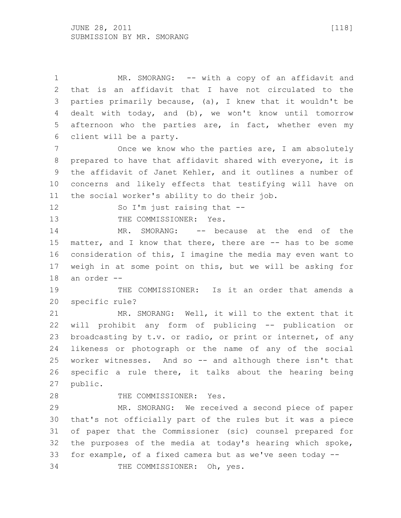1 MR. SMORANG: -- with a copy of an affidavit and that is an affidavit that I have not circulated to the parties primarily because, (a), I knew that it wouldn't be dealt with today, and (b), we won't know until tomorrow afternoon who the parties are, in fact, whether even my client will be a party.

7 Once we know who the parties are, I am absolutely prepared to have that affidavit shared with everyone, it is the affidavit of Janet Kehler, and it outlines a number of concerns and likely effects that testifying will have on the social worker's ability to do their job.

12 So I'm just raising that --

13 THE COMMISSIONER: Yes.

14 MR. SMORANG: -- because at the end of the matter, and I know that there, there are -- has to be some consideration of this, I imagine the media may even want to weigh in at some point on this, but we will be asking for an order --

 THE COMMISSIONER: Is it an order that amends a specific rule?

 MR. SMORANG: Well, it will to the extent that it will prohibit any form of publicing -- publication or broadcasting by t.v. or radio, or print or internet, of any likeness or photograph or the name of any of the social worker witnesses. And so -- and although there isn't that specific a rule there, it talks about the hearing being public.

28 THE COMMISSIONER: Yes.

 MR. SMORANG: We received a second piece of paper that's not officially part of the rules but it was a piece of paper that the Commissioner (sic) counsel prepared for the purposes of the media at today's hearing which spoke, for example, of a fixed camera but as we've seen today -- THE COMMISSIONER: Oh, yes.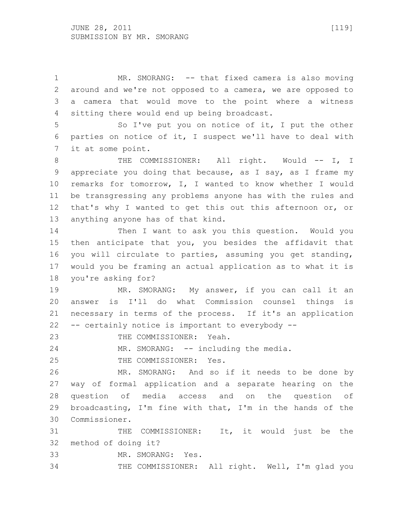MR. SMORANG: -- that fixed camera is also moving around and we're not opposed to a camera, we are opposed to a camera that would move to the point where a witness sitting there would end up being broadcast.

 So I've put you on notice of it, I put the other parties on notice of it, I suspect we'll have to deal with it at some point.

8 THE COMMISSIONER: All right. Would -- I, I appreciate you doing that because, as I say, as I frame my remarks for tomorrow, I, I wanted to know whether I would be transgressing any problems anyone has with the rules and that's why I wanted to get this out this afternoon or, or anything anyone has of that kind.

 Then I want to ask you this question. Would you then anticipate that you, you besides the affidavit that you will circulate to parties, assuming you get standing, would you be framing an actual application as to what it is you're asking for?

 MR. SMORANG: My answer, if you can call it an answer is I'll do what Commission counsel things is necessary in terms of the process. If it's an application -- certainly notice is important to everybody --

23 THE COMMISSIONER: Yeah.

24 MR. SMORANG: -- including the media.

THE COMMISSIONER: Yes.

 MR. SMORANG: And so if it needs to be done by way of formal application and a separate hearing on the question of media access and on the question of broadcasting, I'm fine with that, I'm in the hands of the Commissioner.

 THE COMMISSIONER: It, it would just be the method of doing it?

MR. SMORANG: Yes.

THE COMMISSIONER: All right. Well, I'm glad you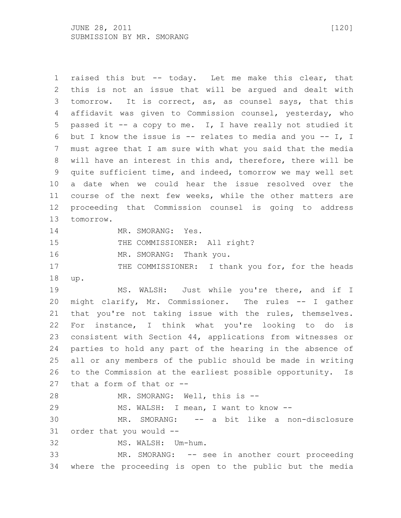raised this but -- today. Let me make this clear, that this is not an issue that will be argued and dealt with tomorrow. It is correct, as, as counsel says, that this affidavit was given to Commission counsel, yesterday, who passed it -- a copy to me. I, I have really not studied it but I know the issue is -- relates to media and you -- I, I must agree that I am sure with what you said that the media will have an interest in this and, therefore, there will be quite sufficient time, and indeed, tomorrow we may well set a date when we could hear the issue resolved over the course of the next few weeks, while the other matters are proceeding that Commission counsel is going to address tomorrow. 14 MR. SMORANG: Yes. 15 THE COMMISSIONER: All right? 16 MR. SMORANG: Thank you. 17 THE COMMISSIONER: I thank you for, for the heads up. 19 MS. WALSH: Just while you're there, and if I might clarify, Mr. Commissioner. The rules -- I gather that you're not taking issue with the rules, themselves. For instance, I think what you're looking to do is consistent with Section 44, applications from witnesses or parties to hold any part of the hearing in the absence of all or any members of the public should be made in writing to the Commission at the earliest possible opportunity. Is that a form of that or -- MR. SMORANG: Well, this is -- MS. WALSH: I mean, I want to know -- MR. SMORANG: -- a bit like a non-disclosure order that you would -- MS. WALSH: Um-hum. MR. SMORANG: -- see in another court proceeding where the proceeding is open to the public but the media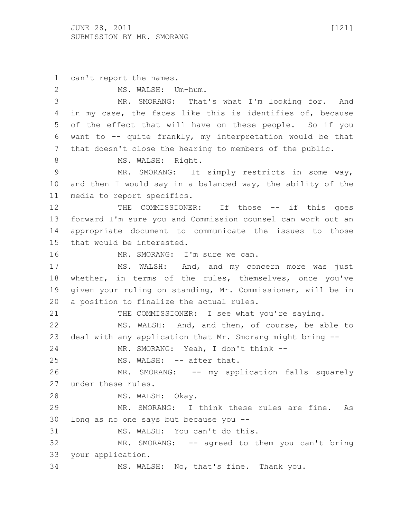can't report the names. MS. WALSH: Um-hum. MR. SMORANG: That's what I'm looking for. And in my case, the faces like this is identifies of, because of the effect that will have on these people. So if you want to -- quite frankly, my interpretation would be that that doesn't close the hearing to members of the public. 8 MS. WALSH: Right. MR. SMORANG: It simply restricts in some way, and then I would say in a balanced way, the ability of the media to report specifics. 12 THE COMMISSIONER: If those -- if this goes forward I'm sure you and Commission counsel can work out an appropriate document to communicate the issues to those that would be interested. 16 MR. SMORANG: I'm sure we can. MS. WALSH: And, and my concern more was just whether, in terms of the rules, themselves, once you've given your ruling on standing, Mr. Commissioner, will be in a position to finalize the actual rules. THE COMMISSIONER: I see what you're saying. MS. WALSH: And, and then, of course, be able to deal with any application that Mr. Smorang might bring -- MR. SMORANG: Yeah, I don't think -- 25 MS. WALSH: -- after that. MR. SMORANG: -- my application falls squarely under these rules. MS. WALSH: Okay. MR. SMORANG: I think these rules are fine. As long as no one says but because you -- MS. WALSH: You can't do this. MR. SMORANG: -- agreed to them you can't bring your application. MS. WALSH: No, that's fine. Thank you.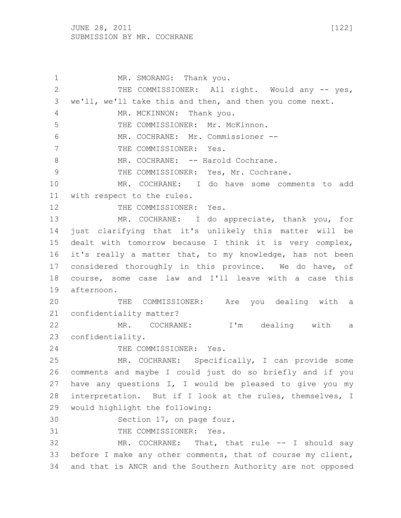1 MR. SMORANG: Thank you. 2 THE COMMISSIONER: All right. Would any -- yes, we'll, we'll take this and then, and then you come next. 4 MR. MCKINNON: Thank you. THE COMMISSIONER: Mr. McKinnon. MR. COCHRANE: Mr. Commissioner -- 7 THE COMMISSIONER: Yes. 8 MR. COCHRANE: -- Harold Cochrane. 9 THE COMMISSIONER: Yes, Mr. Cochrane. MR. COCHRANE: I do have some comments to add with respect to the rules. 12 THE COMMISSIONER: Yes. MR. COCHRANE: I do appreciate, thank you, for just clarifying that it's unlikely this matter will be dealt with tomorrow because I think it is very complex, it's really a matter that, to my knowledge, has not been considered thoroughly in this province. We do have, of course, some case law and I'll leave with a case this afternoon. THE COMMISSIONER: Are you dealing with a confidentiality matter? MR. COCHRANE: I'm dealing with a confidentiality. 24 THE COMMISSIONER: Yes. MR. COCHRANE: Specifically, I can provide some comments and maybe I could just do so briefly and if you have any questions I, I would be pleased to give you my interpretation. But if I look at the rules, themselves, I would highlight the following: Section 17, on page four. 31 THE COMMISSIONER: Yes. MR. COCHRANE: That, that rule -- I should say before I make any other comments, that of course my client, and that is ANCR and the Southern Authority are not opposed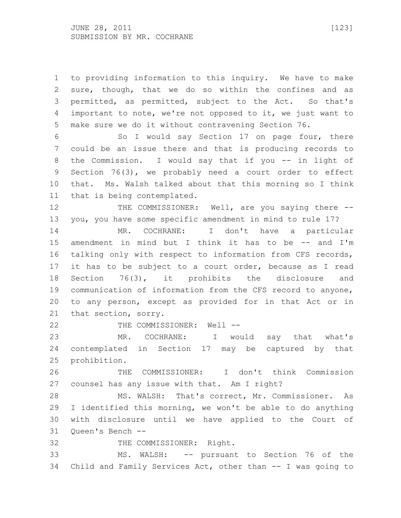to providing information to this inquiry. We have to make sure, though, that we do so within the confines and as permitted, as permitted, subject to the Act. So that's important to note, we're not opposed to it, we just want to make sure we do it without contravening Section 76.

 So I would say Section 17 on page four, there could be an issue there and that is producing records to 8 the Commission. I would say that if you -- in light of Section 76(3), we probably need a court order to effect that. Ms. Walsh talked about that this morning so I think that is being contemplated.

12 THE COMMISSIONER: Well, are you saying there --you, you have some specific amendment in mind to rule 17?

 MR. COCHRANE: I don't have a particular amendment in mind but I think it has to be -- and I'm talking only with respect to information from CFS records, it has to be subject to a court order, because as I read Section 76(3), it prohibits the disclosure and communication of information from the CFS record to anyone, to any person, except as provided for in that Act or in that section, sorry.

22 THE COMMISSIONER: Well --

 MR. COCHRANE: I would say that what's contemplated in Section 17 may be captured by that prohibition.

 THE COMMISSIONER: I don't think Commission counsel has any issue with that. Am I right?

 MS. WALSH: That's correct, Mr. Commissioner. As I identified this morning, we won't be able to do anything with disclosure until we have applied to the Court of Queen's Bench --

THE COMMISSIONER: Right.

 MS. WALSH: -- pursuant to Section 76 of the Child and Family Services Act, other than -- I was going to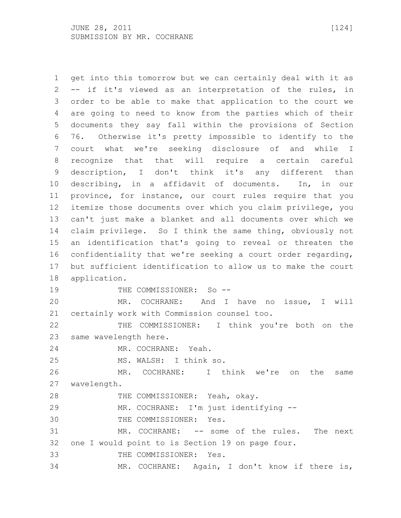get into this tomorrow but we can certainly deal with it as -- if it's viewed as an interpretation of the rules, in order to be able to make that application to the court we are going to need to know from the parties which of their documents they say fall within the provisions of Section 76. Otherwise it's pretty impossible to identify to the court what we're seeking disclosure of and while I recognize that that will require a certain careful description, I don't think it's any different than describing, in a affidavit of documents. In, in our province, for instance, our court rules require that you itemize those documents over which you claim privilege, you can't just make a blanket and all documents over which we claim privilege. So I think the same thing, obviously not an identification that's going to reveal or threaten the confidentiality that we're seeking a court order regarding, but sufficient identification to allow us to make the court application. 19 THE COMMISSIONER: So -- MR. COCHRANE: And I have no issue, I will certainly work with Commission counsel too. THE COMMISSIONER: I think you're both on the same wavelength here. MR. COCHRANE: Yeah. MS. WALSH: I think so. MR. COCHRANE: I think we're on the same wavelength. THE COMMISSIONER: Yeah, okay. MR. COCHRANE: I'm just identifying -- THE COMMISSIONER: Yes. MR. COCHRANE: -- some of the rules. The next one I would point to is Section 19 on page four. THE COMMISSIONER: Yes. MR. COCHRANE: Again, I don't know if there is,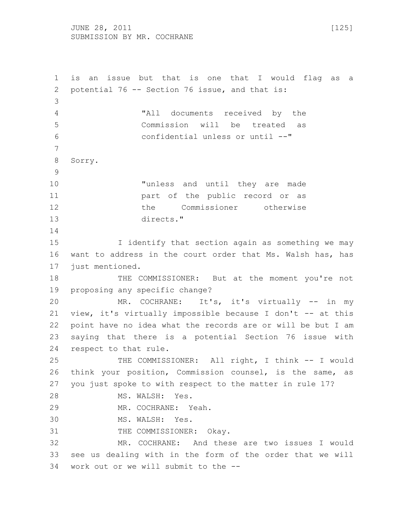JUNE 28, 2011 [125] SUBMISSION BY MR. COCHRANE

 is an issue but that is one that I would flag as a potential 76 -- Section 76 issue, and that is: "All documents received by the Commission will be treated as confidential unless or until --" Sorry. "unless and until they are made part of the public record or as the Commissioner otherwise directs." I identify that section again as something we may want to address in the court order that Ms. Walsh has, has just mentioned. THE COMMISSIONER: But at the moment you're not proposing any specific change? MR. COCHRANE: It's, it's virtually -- in my 21 view, it's virtually impossible because I don't -- at this point have no idea what the records are or will be but I am saying that there is a potential Section 76 issue with respect to that rule. THE COMMISSIONER: All right, I think -- I would think your position, Commission counsel, is the same, as you just spoke to with respect to the matter in rule 17? MS. WALSH: Yes. MR. COCHRANE: Yeah. MS. WALSH: Yes. 31 THE COMMISSIONER: Okay. MR. COCHRANE: And these are two issues I would see us dealing with in the form of the order that we will work out or we will submit to the --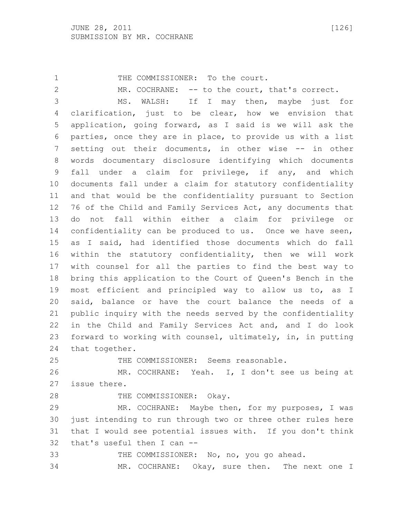1 THE COMMISSIONER: To the court. 2 MR. COCHRANE: -- to the court, that's correct. MS. WALSH: If I may then, maybe just for clarification, just to be clear, how we envision that application, going forward, as I said is we will ask the parties, once they are in place, to provide us with a list setting out their documents, in other wise -- in other words documentary disclosure identifying which documents fall under a claim for privilege, if any, and which documents fall under a claim for statutory confidentiality and that would be the confidentiality pursuant to Section 76 of the Child and Family Services Act, any documents that do not fall within either a claim for privilege or confidentiality can be produced to us. Once we have seen, as I said, had identified those documents which do fall within the statutory confidentiality, then we will work with counsel for all the parties to find the best way to bring this application to the Court of Queen's Bench in the most efficient and principled way to allow us to, as I said, balance or have the court balance the needs of a public inquiry with the needs served by the confidentiality in the Child and Family Services Act and, and I do look forward to working with counsel, ultimately, in, in putting that together. THE COMMISSIONER: Seems reasonable.

 MR. COCHRANE: Yeah. I, I don't see us being at issue there.

28 THE COMMISSIONER: Okay.

 MR. COCHRANE: Maybe then, for my purposes, I was just intending to run through two or three other rules here that I would see potential issues with. If you don't think that's useful then I can --

THE COMMISSIONER: No, no, you go ahead.

MR. COCHRANE: Okay, sure then. The next one I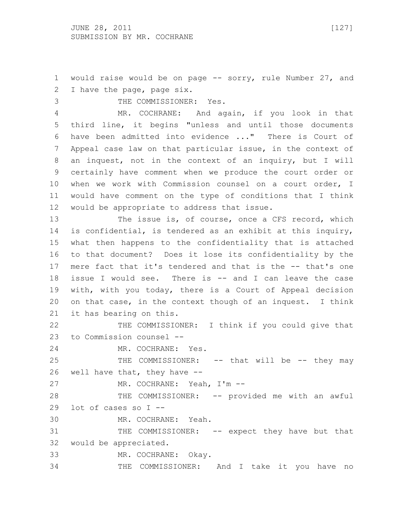would raise would be on page -- sorry, rule Number 27, and I have the page, page six.

 THE COMMISSIONER: Yes. MR. COCHRANE: And again, if you look in that third line, it begins "unless and until those documents have been admitted into evidence ..." There is Court of Appeal case law on that particular issue, in the context of an inquest, not in the context of an inquiry, but I will certainly have comment when we produce the court order or when we work with Commission counsel on a court order, I would have comment on the type of conditions that I think would be appropriate to address that issue.

13 The issue is, of course, once a CFS record, which is confidential, is tendered as an exhibit at this inquiry, what then happens to the confidentiality that is attached to that document? Does it lose its confidentiality by the mere fact that it's tendered and that is the -- that's one issue I would see. There is -- and I can leave the case with, with you today, there is a Court of Appeal decision on that case, in the context though of an inquest. I think it has bearing on this.

22 THE COMMISSIONER: I think if you could give that to Commission counsel --

MR. COCHRANE: Yes.

25 THE COMMISSIONER: -- that will be -- they may well have that, they have --

MR. COCHRANE: Yeah, I'm --

 THE COMMISSIONER: -- provided me with an awful lot of cases so I --

MR. COCHRANE: Yeah.

31 THE COMMISSIONER: -- expect they have but that would be appreciated.

MR. COCHRANE: Okay.

THE COMMISSIONER: And I take it you have no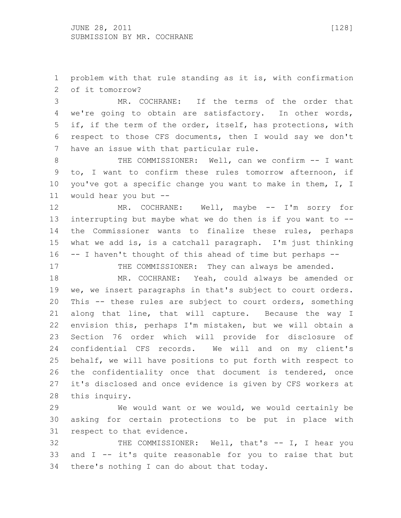problem with that rule standing as it is, with confirmation of it tomorrow?

 MR. COCHRANE: If the terms of the order that we're going to obtain are satisfactory. In other words, if, if the term of the order, itself, has protections, with respect to those CFS documents, then I would say we don't have an issue with that particular rule.

8 THE COMMISSIONER: Well, can we confirm -- I want to, I want to confirm these rules tomorrow afternoon, if you've got a specific change you want to make in them, I, I would hear you but --

12 MR. COCHRANE: Well, maybe -- I'm sorry for interrupting but maybe what we do then is if you want to -- the Commissioner wants to finalize these rules, perhaps what we add is, is a catchall paragraph. I'm just thinking -- I haven't thought of this ahead of time but perhaps --

17 THE COMMISSIONER: They can always be amended. MR. COCHRANE: Yeah, could always be amended or

 we, we insert paragraphs in that's subject to court orders. This -- these rules are subject to court orders, something along that line, that will capture. Because the way I envision this, perhaps I'm mistaken, but we will obtain a Section 76 order which will provide for disclosure of confidential CFS records. We will and on my client's behalf, we will have positions to put forth with respect to the confidentiality once that document is tendered, once it's disclosed and once evidence is given by CFS workers at this inquiry.

 We would want or we would, we would certainly be asking for certain protections to be put in place with respect to that evidence.

 THE COMMISSIONER: Well, that's -- I, I hear you and I -- it's quite reasonable for you to raise that but there's nothing I can do about that today.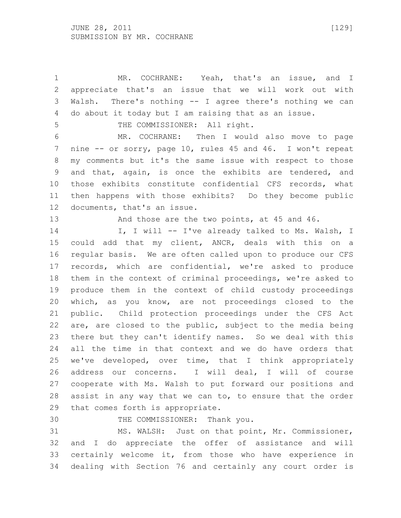MR. COCHRANE: Yeah, that's an issue, and I appreciate that's an issue that we will work out with Walsh. There's nothing -- I agree there's nothing we can do about it today but I am raising that as an issue.

5 THE COMMISSIONER: All right.

 MR. COCHRANE: Then I would also move to page nine -- or sorry, page 10, rules 45 and 46. I won't repeat my comments but it's the same issue with respect to those and that, again, is once the exhibits are tendered, and those exhibits constitute confidential CFS records, what then happens with those exhibits? Do they become public documents, that's an issue.

13 And those are the two points, at 45 and 46.

14 I, I will -- I've already talked to Ms. Walsh, I could add that my client, ANCR, deals with this on a regular basis. We are often called upon to produce our CFS records, which are confidential, we're asked to produce them in the context of criminal proceedings, we're asked to produce them in the context of child custody proceedings which, as you know, are not proceedings closed to the public. Child protection proceedings under the CFS Act are, are closed to the public, subject to the media being there but they can't identify names. So we deal with this all the time in that context and we do have orders that we've developed, over time, that I think appropriately address our concerns. I will deal, I will of course cooperate with Ms. Walsh to put forward our positions and assist in any way that we can to, to ensure that the order that comes forth is appropriate.

THE COMMISSIONER: Thank you.

 MS. WALSH: Just on that point, Mr. Commissioner, and I do appreciate the offer of assistance and will certainly welcome it, from those who have experience in dealing with Section 76 and certainly any court order is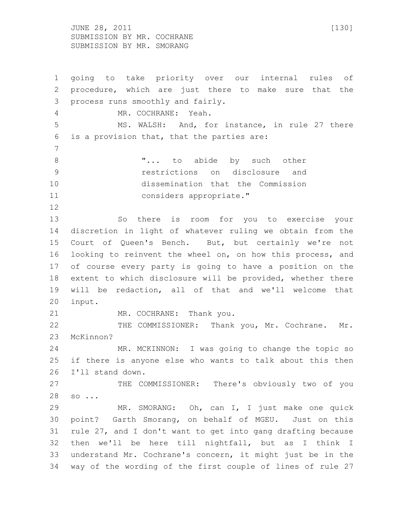JUNE 28, 2011 [130] SUBMISSION BY MR. COCHRANE SUBMISSION BY MR. SMORANG

 going to take priority over our internal rules of procedure, which are just there to make sure that the process runs smoothly and fairly. MR. COCHRANE: Yeah. MS. WALSH: And, for instance, in rule 27 there is a provision that, that the parties are: **"...** to abide by such other restrictions on disclosure and dissemination that the Commission considers appropriate." So there is room for you to exercise your discretion in light of whatever ruling we obtain from the Court of Queen's Bench. But, but certainly we're not looking to reinvent the wheel on, on how this process, and of course every party is going to have a position on the extent to which disclosure will be provided, whether there will be redaction, all of that and we'll welcome that input. 21 MR. COCHRANE: Thank you. 22 THE COMMISSIONER: Thank you, Mr. Cochrane. Mr. McKinnon? MR. MCKINNON: I was going to change the topic so if there is anyone else who wants to talk about this then I'll stand down. THE COMMISSIONER: There's obviously two of you so ... MR. SMORANG: Oh, can I, I just make one quick point? Garth Smorang, on behalf of MGEU. Just on this rule 27, and I don't want to get into gang drafting because then we'll be here till nightfall, but as I think I understand Mr. Cochrane's concern, it might just be in the way of the wording of the first couple of lines of rule 27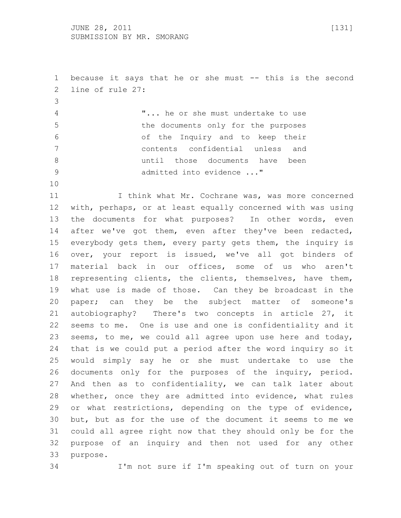1 because it says that he or she must -- this is the second line of rule 27:

 "... he or she must undertake to use the documents only for the purposes of the Inquiry and to keep their contents confidential unless and until those documents have been 9 admitted into evidence ..."

11 I think what Mr. Cochrane was, was more concerned with, perhaps, or at least equally concerned with was using the documents for what purposes? In other words, even 14 after we've got them, even after they've been redacted, everybody gets them, every party gets them, the inquiry is over, your report is issued, we've all got binders of material back in our offices, some of us who aren't representing clients, the clients, themselves, have them, what use is made of those. Can they be broadcast in the paper; can they be the subject matter of someone's autobiography? There's two concepts in article 27, it seems to me. One is use and one is confidentiality and it seems, to me, we could all agree upon use here and today, that is we could put a period after the word inquiry so it would simply say he or she must undertake to use the documents only for the purposes of the inquiry, period. And then as to confidentiality, we can talk later about whether, once they are admitted into evidence, what rules or what restrictions, depending on the type of evidence, but, but as for the use of the document it seems to me we could all agree right now that they should only be for the purpose of an inquiry and then not used for any other purpose.

I'm not sure if I'm speaking out of turn on your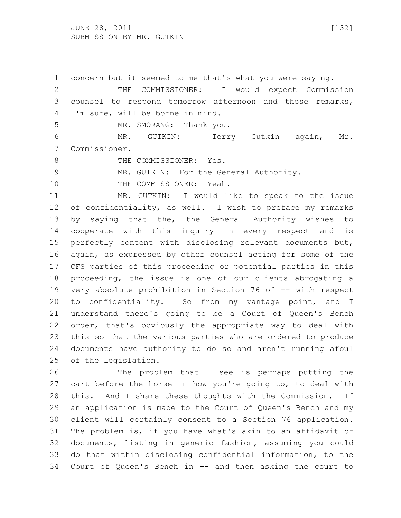concern but it seemed to me that's what you were saying. THE COMMISSIONER: I would expect Commission counsel to respond tomorrow afternoon and those remarks, I'm sure, will be borne in mind. 5 MR. SMORANG: Thank you. MR. GUTKIN: Terry Gutkin again, Mr. Commissioner. 8 THE COMMISSIONER: Yes. MR. GUTKIN: For the General Authority. 10 THE COMMISSIONER: Yeah. MR. GUTKIN: I would like to speak to the issue of confidentiality, as well. I wish to preface my remarks by saying that the, the General Authority wishes to cooperate with this inquiry in every respect and is perfectly content with disclosing relevant documents but, again, as expressed by other counsel acting for some of the CFS parties of this proceeding or potential parties in this proceeding, the issue is one of our clients abrogating a very absolute prohibition in Section 76 of -- with respect to confidentiality. So from my vantage point, and I understand there's going to be a Court of Queen's Bench order, that's obviously the appropriate way to deal with this so that the various parties who are ordered to produce documents have authority to do so and aren't running afoul of the legislation.

 The problem that I see is perhaps putting the cart before the horse in how you're going to, to deal with this. And I share these thoughts with the Commission. If an application is made to the Court of Queen's Bench and my client will certainly consent to a Section 76 application. The problem is, if you have what's akin to an affidavit of documents, listing in generic fashion, assuming you could do that within disclosing confidential information, to the Court of Queen's Bench in -- and then asking the court to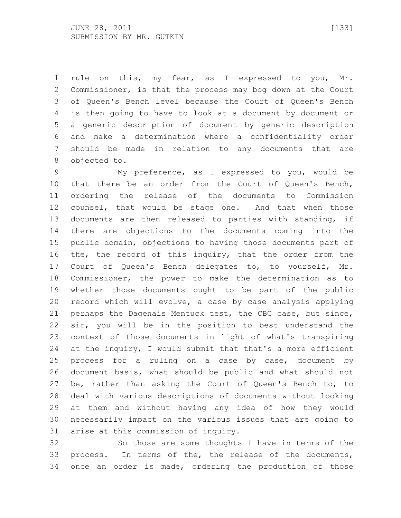rule on this, my fear, as I expressed to you, Mr. Commissioner, is that the process may bog down at the Court of Queen's Bench level because the Court of Queen's Bench is then going to have to look at a document by document or a generic description of document by generic description and make a determination where a confidentiality order should be made in relation to any documents that are objected to.

 My preference, as I expressed to you, would be that there be an order from the Court of Queen's Bench, ordering the release of the documents to Commission counsel, that would be stage one. And that when those documents are then released to parties with standing, if there are objections to the documents coming into the public domain, objections to having those documents part of the, the record of this inquiry, that the order from the Court of Queen's Bench delegates to, to yourself, Mr. Commissioner, the power to make the determination as to whether those documents ought to be part of the public record which will evolve, a case by case analysis applying perhaps the Dagenais Mentuck test, the CBC case, but since, sir, you will be in the position to best understand the context of those documents in light of what's transpiring 24 at the inquiry, I would submit that that's a more efficient process for a ruling on a case by case, document by document basis, what should be public and what should not be, rather than asking the Court of Queen's Bench to, to deal with various descriptions of documents without looking at them and without having any idea of how they would necessarily impact on the various issues that are going to arise at this commission of inquiry.

 So those are some thoughts I have in terms of the process. In terms of the, the release of the documents, once an order is made, ordering the production of those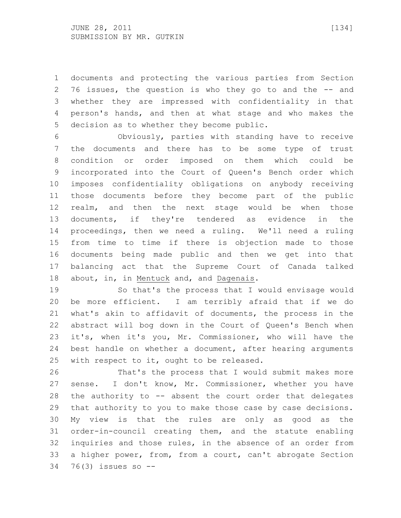documents and protecting the various parties from Section 76 issues, the question is who they go to and the -- and whether they are impressed with confidentiality in that person's hands, and then at what stage and who makes the decision as to whether they become public.

 Obviously, parties with standing have to receive the documents and there has to be some type of trust condition or order imposed on them which could be incorporated into the Court of Queen's Bench order which imposes confidentiality obligations on anybody receiving those documents before they become part of the public realm, and then the next stage would be when those documents, if they're tendered as evidence in the proceedings, then we need a ruling. We'll need a ruling from time to time if there is objection made to those documents being made public and then we get into that balancing act that the Supreme Court of Canada talked about, in, in Mentuck and, and Dagenais.

 So that's the process that I would envisage would be more efficient. I am terribly afraid that if we do what's akin to affidavit of documents, the process in the abstract will bog down in the Court of Queen's Bench when it's, when it's you, Mr. Commissioner, who will have the best handle on whether a document, after hearing arguments with respect to it, ought to be released.

 That's the process that I would submit makes more sense. I don't know, Mr. Commissioner, whether you have the authority to -- absent the court order that delegates that authority to you to make those case by case decisions. My view is that the rules are only as good as the order-in-council creating them, and the statute enabling inquiries and those rules, in the absence of an order from a higher power, from, from a court, can't abrogate Section 76(3) issues so --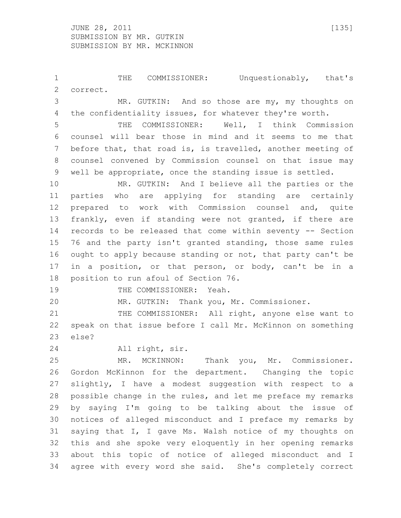THE COMMISSIONER: Unquestionably, that's correct. MR. GUTKIN: And so those are my, my thoughts on the confidentiality issues, for whatever they're worth. THE COMMISSIONER: Well, I think Commission counsel will bear those in mind and it seems to me that before that, that road is, is travelled, another meeting of counsel convened by Commission counsel on that issue may

well be appropriate, once the standing issue is settled.

 MR. GUTKIN: And I believe all the parties or the parties who are applying for standing are certainly prepared to work with Commission counsel and, quite frankly, even if standing were not granted, if there are records to be released that come within seventy -- Section 76 and the party isn't granted standing, those same rules ought to apply because standing or not, that party can't be in a position, or that person, or body, can't be in a position to run afoul of Section 76.

19 THE COMMISSIONER: Yeah.

MR. GUTKIN: Thank you, Mr. Commissioner.

21 THE COMMISSIONER: All right, anyone else want to speak on that issue before I call Mr. McKinnon on something else?

All right, sir.

 MR. MCKINNON: Thank you, Mr. Commissioner. Gordon McKinnon for the department. Changing the topic slightly, I have a modest suggestion with respect to a possible change in the rules, and let me preface my remarks by saying I'm going to be talking about the issue of notices of alleged misconduct and I preface my remarks by saying that I, I gave Ms. Walsh notice of my thoughts on this and she spoke very eloquently in her opening remarks about this topic of notice of alleged misconduct and I agree with every word she said. She's completely correct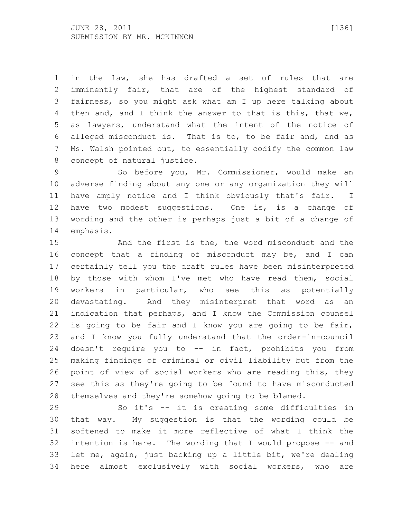in the law, she has drafted a set of rules that are imminently fair, that are of the highest standard of fairness, so you might ask what am I up here talking about then and, and I think the answer to that is this, that we, as lawyers, understand what the intent of the notice of alleged misconduct is. That is to, to be fair and, and as Ms. Walsh pointed out, to essentially codify the common law concept of natural justice.

 So before you, Mr. Commissioner, would make an adverse finding about any one or any organization they will have amply notice and I think obviously that's fair. I have two modest suggestions. One is, is a change of wording and the other is perhaps just a bit of a change of emphasis.

 And the first is the, the word misconduct and the concept that a finding of misconduct may be, and I can certainly tell you the draft rules have been misinterpreted by those with whom I've met who have read them, social workers in particular, who see this as potentially devastating. And they misinterpret that word as an indication that perhaps, and I know the Commission counsel is going to be fair and I know you are going to be fair, and I know you fully understand that the order-in-council doesn't require you to -- in fact, prohibits you from making findings of criminal or civil liability but from the point of view of social workers who are reading this, they see this as they're going to be found to have misconducted themselves and they're somehow going to be blamed.

 So it's -- it is creating some difficulties in that way. My suggestion is that the wording could be softened to make it more reflective of what I think the intention is here. The wording that I would propose -- and let me, again, just backing up a little bit, we're dealing here almost exclusively with social workers, who are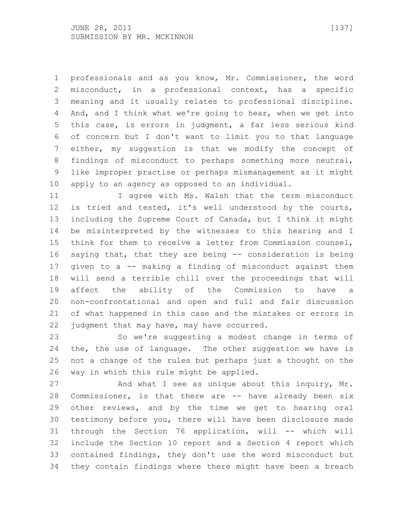professionals and as you know, Mr. Commissioner, the word misconduct, in a professional context, has a specific meaning and it usually relates to professional discipline. And, and I think what we're going to hear, when we get into this case, is errors in judgment, a far less serious kind of concern but I don't want to limit you to that language either, my suggestion is that we modify the concept of findings of misconduct to perhaps something more neutral, like improper practise or perhaps mismanagement as it might apply to an agency as opposed to an individual.

11 I agree with Ms. Walsh that the term misconduct is tried and tested, it's well understood by the courts, including the Supreme Court of Canada, but I think it might be misinterpreted by the witnesses to this hearing and I think for them to receive a letter from Commission counsel, saying that, that they are being -- consideration is being given to a -- making a finding of misconduct against them will send a terrible chill over the proceedings that will affect the ability of the Commission to have a non-confrontational and open and full and fair discussion of what happened in this case and the mistakes or errors in judgment that may have, may have occurred.

 So we're suggesting a modest change in terms of the, the use of language. The other suggestion we have is not a change of the rules but perhaps just a thought on the way in which this rule might be applied.

 And what I see as unique about this inquiry, Mr. Commissioner, is that there are -- have already been six other reviews, and by the time we get to hearing oral testimony before you, there will have been disclosure made through the Section 76 application, will -- which will include the Section 10 report and a Section 4 report which contained findings, they don't use the word misconduct but they contain findings where there might have been a breach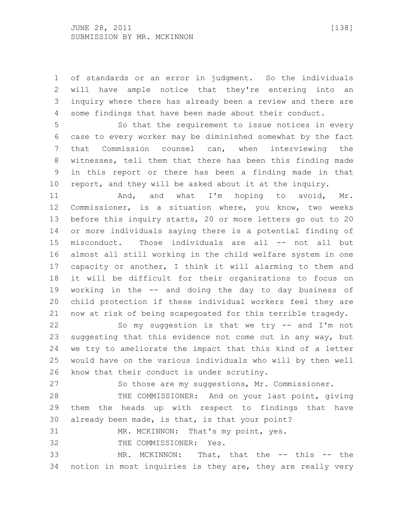of standards or an error in judgment. So the individuals will have ample notice that they're entering into an inquiry where there has already been a review and there are some findings that have been made about their conduct.

 So that the requirement to issue notices in every case to every worker may be diminished somewhat by the fact that Commission counsel can, when interviewing the witnesses, tell them that there has been this finding made in this report or there has been a finding made in that report, and they will be asked about it at the inquiry.

11 And, and what I'm hoping to avoid, Mr. Commissioner, is a situation where, you know, two weeks before this inquiry starts, 20 or more letters go out to 20 or more individuals saying there is a potential finding of misconduct. Those individuals are all -- not all but almost all still working in the child welfare system in one capacity or another, I think it will alarming to them and it will be difficult for their organizations to focus on working in the -- and doing the day to day business of child protection if these individual workers feel they are now at risk of being scapegoated for this terrible tragedy.

 So my suggestion is that we try -- and I'm not suggesting that this evidence not come out in any way, but we try to ameliorate the impact that this kind of a letter would have on the various individuals who will by then well know that their conduct is under scrutiny.

So those are my suggestions, Mr. Commissioner.

28 THE COMMISSIONER: And on your last point, giving them the heads up with respect to findings that have already been made, is that, is that your point?

MR. MCKINNON: That's my point, yes.

THE COMMISSIONER: Yes.

 MR. MCKINNON: That, that the -- this -- the notion in most inquiries is they are, they are really very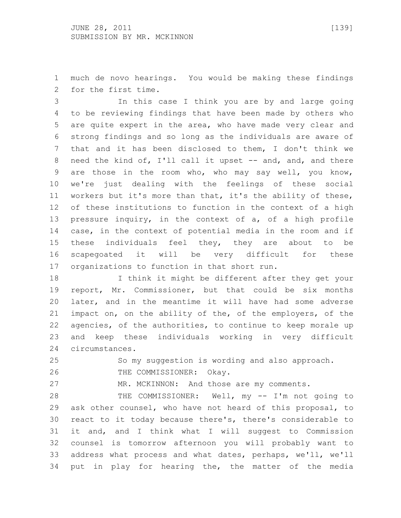much de novo hearings. You would be making these findings for the first time.

 In this case I think you are by and large going to be reviewing findings that have been made by others who are quite expert in the area, who have made very clear and strong findings and so long as the individuals are aware of that and it has been disclosed to them, I don't think we 8 need the kind of, I'll call it upset -- and, and, and there are those in the room who, who may say well, you know, we're just dealing with the feelings of these social workers but it's more than that, it's the ability of these, of these institutions to function in the context of a high pressure inquiry, in the context of a, of a high profile case, in the context of potential media in the room and if these individuals feel they, they are about to be scapegoated it will be very difficult for these organizations to function in that short run.

 I think it might be different after they get your report, Mr. Commissioner, but that could be six months later, and in the meantime it will have had some adverse impact on, on the ability of the, of the employers, of the agencies, of the authorities, to continue to keep morale up and keep these individuals working in very difficult circumstances.

So my suggestion is wording and also approach.

THE COMMISSIONER: Okay.

MR. MCKINNON: And those are my comments.

28 THE COMMISSIONER: Well, my -- I'm not going to ask other counsel, who have not heard of this proposal, to react to it today because there's, there's considerable to it and, and I think what I will suggest to Commission counsel is tomorrow afternoon you will probably want to address what process and what dates, perhaps, we'll, we'll put in play for hearing the, the matter of the media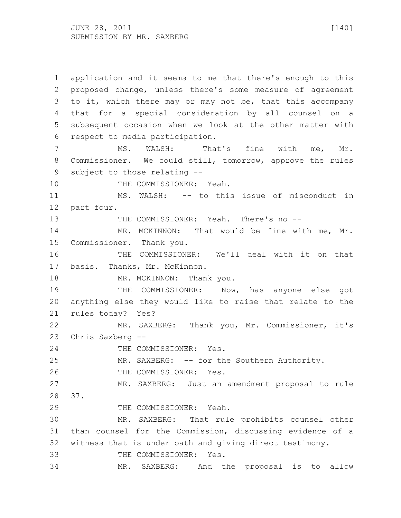application and it seems to me that there's enough to this proposed change, unless there's some measure of agreement to it, which there may or may not be, that this accompany that for a special consideration by all counsel on a subsequent occasion when we look at the other matter with respect to media participation. 7 MS. WALSH: That's fine with me, Mr. Commissioner. We could still, tomorrow, approve the rules subject to those relating -- 10 THE COMMISSIONER: Yeah. MS. WALSH: -- to this issue of misconduct in part four. THE COMMISSIONER: Yeah. There's no -- 14 MR. MCKINNON: That would be fine with me, Mr. Commissioner. Thank you. THE COMMISSIONER: We'll deal with it on that basis. Thanks, Mr. McKinnon. 18 MR. MCKINNON: Thank you. THE COMMISSIONER: Now, has anyone else got anything else they would like to raise that relate to the rules today? Yes? MR. SAXBERG: Thank you, Mr. Commissioner, it's Chris Saxberg -- 24 THE COMMISSIONER: Yes. MR. SAXBERG: -- for the Southern Authority. THE COMMISSIONER: Yes. MR. SAXBERG: Just an amendment proposal to rule 37. THE COMMISSIONER: Yeah. MR. SAXBERG: That rule prohibits counsel other than counsel for the Commission, discussing evidence of a witness that is under oath and giving direct testimony. THE COMMISSIONER: Yes. MR. SAXBERG: And the proposal is to allow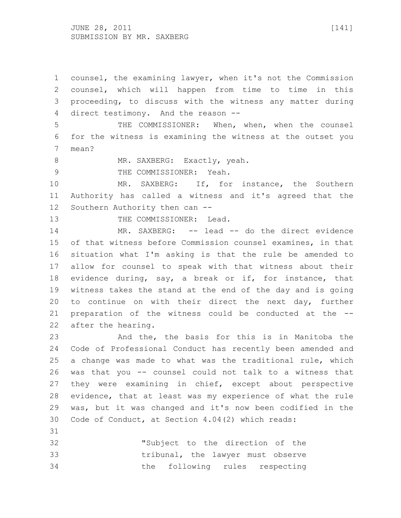JUNE 28, 2011 [141] SUBMISSION BY MR. SAXBERG

 counsel, the examining lawyer, when it's not the Commission counsel, which will happen from time to time in this proceeding, to discuss with the witness any matter during direct testimony. And the reason --

 THE COMMISSIONER: When, when, when the counsel for the witness is examining the witness at the outset you mean?

8 MR. SAXBERG: Exactly, yeah.

9 THE COMMISSIONER: Yeah.

 MR. SAXBERG: If, for instance, the Southern Authority has called a witness and it's agreed that the Southern Authority then can --

13 THE COMMISSIONER: Lead.

 MR. SAXBERG: -- lead -- do the direct evidence of that witness before Commission counsel examines, in that situation what I'm asking is that the rule be amended to allow for counsel to speak with that witness about their evidence during, say, a break or if, for instance, that witness takes the stand at the end of the day and is going to continue on with their direct the next day, further preparation of the witness could be conducted at the -- after the hearing.

 And the, the basis for this is in Manitoba the Code of Professional Conduct has recently been amended and a change was made to what was the traditional rule, which was that you -- counsel could not talk to a witness that they were examining in chief, except about perspective evidence, that at least was my experience of what the rule was, but it was changed and it's now been codified in the Code of Conduct, at Section 4.04(2) which reads:

 "Subject to the direction of the tribunal, the lawyer must observe the following rules respecting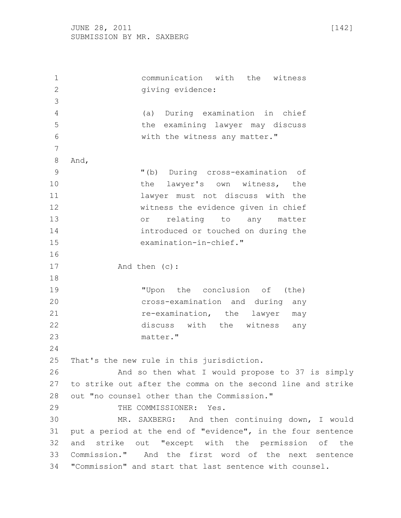communication with the witness 2 giving evidence: (a) During examination in chief the examining lawyer may discuss with the witness any matter." And, "(b) During cross-examination of 10 the lawyer's own witness, the lawyer must not discuss with the witness the evidence given in chief or relating to any matter introduced or touched on during the examination-in-chief." 17 And then (c): "Upon the conclusion of (the) cross-examination and during any *re-examination,* the lawyer may discuss with the witness any matter." That's the new rule in this jurisdiction. And so then what I would propose to 37 is simply to strike out after the comma on the second line and strike out "no counsel other than the Commission." THE COMMISSIONER: Yes. MR. SAXBERG: And then continuing down, I would put a period at the end of "evidence", in the four sentence and strike out "except with the permission of the Commission." And the first word of the next sentence "Commission" and start that last sentence with counsel.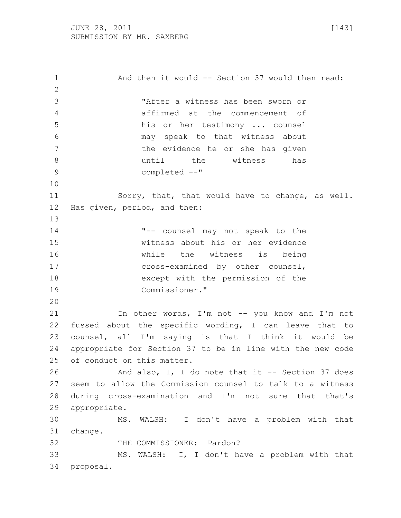1 And then it would -- Section 37 would then read: "After a witness has been sworn or affirmed at the commencement of his or her testimony ... counsel may speak to that witness about 7 the evidence he or she has given until the witness has completed --" Sorry, that, that would have to change, as well. Has given, period, and then: "-- counsel may not speak to the witness about his or her evidence while the witness is being cross-examined by other counsel, except with the permission of the Commissioner." 21 In other words, I'm not -- you know and I'm not fussed about the specific wording, I can leave that to counsel, all I'm saying is that I think it would be appropriate for Section 37 to be in line with the new code of conduct on this matter. And also, I, I do note that it -- Section 37 does seem to allow the Commission counsel to talk to a witness during cross-examination and I'm not sure that that's appropriate. MS. WALSH: I don't have a problem with that change. 32 THE COMMISSIONER: Pardon? MS. WALSH: I, I don't have a problem with that proposal.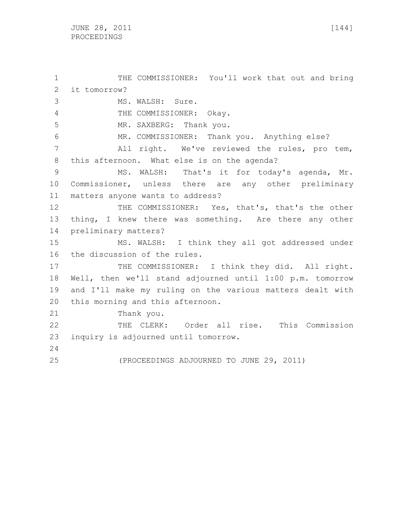THE COMMISSIONER: You'll work that out and bring it tomorrow? MS. WALSH: Sure. 4 THE COMMISSIONER: Okay. MR. SAXBERG: Thank you. MR. COMMISSIONER: Thank you. Anything else? All right. We've reviewed the rules, pro tem, this afternoon. What else is on the agenda? 9 MS. WALSH: That's it for today's agenda, Mr. Commissioner, unless there are any other preliminary matters anyone wants to address? 12 THE COMMISSIONER: Yes, that's, that's the other 13 thing, I knew there was something. Are there any other preliminary matters? MS. WALSH: I think they all got addressed under the discussion of the rules. 17 THE COMMISSIONER: I think they did. All right. Well, then we'll stand adjourned until 1:00 p.m. tomorrow and I'll make my ruling on the various matters dealt with this morning and this afternoon. Thank you. THE CLERK: Order all rise. This Commission inquiry is adjourned until tomorrow. (PROCEEDINGS ADJOURNED TO JUNE 29, 2011)